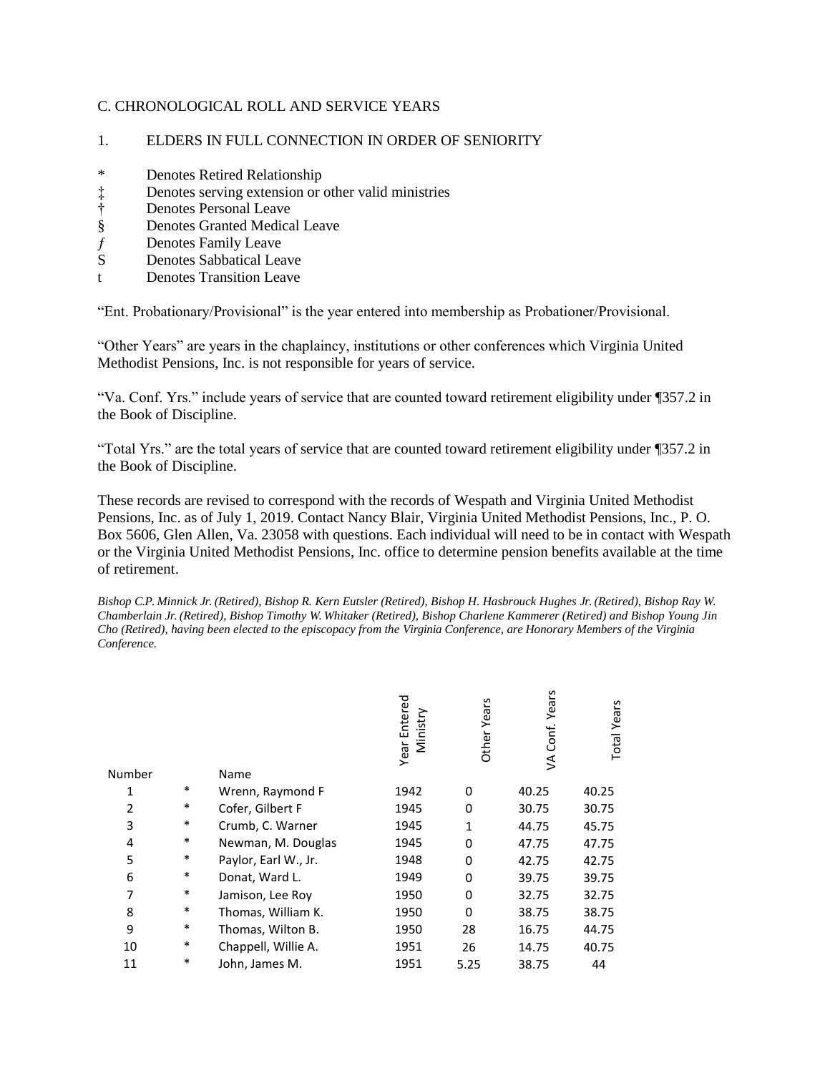### C. CHRONOLOGICAL ROLL AND SERVICE YEARS

#### 1. ELDERS IN FULL CONNECTION IN ORDER OF SENIORITY

- \* Denotes Retired Relationship
- ‡ Denotes serving extension or other valid ministries<br>† Denotes Personal Leave
- 
- † Denotes Personal Leave<br>§ Denotes Granted Medica § Denotes Granted Medical Leave
- ƒ Denotes Family Leave
- S Denotes Sabbatical Leave
- t Denotes Transition Leave

"Ent. Probationary/Provisional" is the year entered into membership as Probationer/Provisional.

"Other Years" are years in the chaplaincy, institutions or other conferences which Virginia United Methodist Pensions, Inc. is not responsible for years of service.

"Va. Conf. Yrs." include years of service that are counted toward retirement eligibility under ¶357.2 in the Book of Discipline.

"Total Yrs." are the total years of service that are counted toward retirement eligibility under ¶357.2 in the Book of Discipline.

These records are revised to correspond with the records of Wespath and Virginia United Methodist Pensions, Inc. as of July 1, 2019. Contact Nancy Blair, Virginia United Methodist Pensions, Inc., P. O. Box 5606, Glen Allen, Va. 23058 with questions. Each individual will need to be in contact with Wespath or the Virginia United Methodist Pensions, Inc. office to determine pension benefits available at the time of retirement.

*Bishop C.P. Minnick Jr. (Retired), Bishop R. Kern Eutsler (Retired), Bishop H. Hasbrouck Hughes Jr. (Retired), Bishop Ray W. Chamberlain Jr. (Retired), Bishop Timothy W. Whitaker (Retired), Bishop Charlene Kammerer (Retired) and Bishop Young Jin Cho (Retired), having been elected to the episcopacy from the Virginia Conference, are Honorary Members of the Virginia Conference.*

 $\epsilon$ 

| Number |        | Name                 | Entered<br>Ministry<br>Year | <b>Other Years</b> | VA Conf. Years | <b>Total Years</b> |
|--------|--------|----------------------|-----------------------------|--------------------|----------------|--------------------|
| 1      | $\ast$ | Wrenn, Raymond F     | 1942                        | 0                  | 40.25          | 40.25              |
| 2      | $\ast$ | Cofer, Gilbert F     | 1945                        | 0                  | 30.75          | 30.75              |
| 3      | $\ast$ | Crumb, C. Warner     | 1945                        | 1                  | 44.75          | 45.75              |
| 4      | $\ast$ | Newman, M. Douglas   | 1945                        | 0                  | 47.75          | 47.75              |
| 5      | $\ast$ | Paylor, Earl W., Jr. | 1948                        | 0                  | 42.75          | 42.75              |
| 6      | $\ast$ | Donat, Ward L.       | 1949                        | 0                  | 39.75          | 39.75              |
| 7      | $\ast$ | Jamison, Lee Roy     | 1950                        | 0                  | 32.75          | 32.75              |
| 8      | $\ast$ | Thomas, William K.   | 1950                        | 0                  | 38.75          | 38.75              |
| 9      | $\ast$ | Thomas, Wilton B.    | 1950                        | 28                 | 16.75          | 44.75              |
| 10     | $\ast$ | Chappell, Willie A.  | 1951                        | 26                 | 14.75          | 40.75              |
| 11     | *      | John, James M.       | 1951                        | 5.25               | 38.75          | 44                 |
|        |        |                      |                             |                    |                |                    |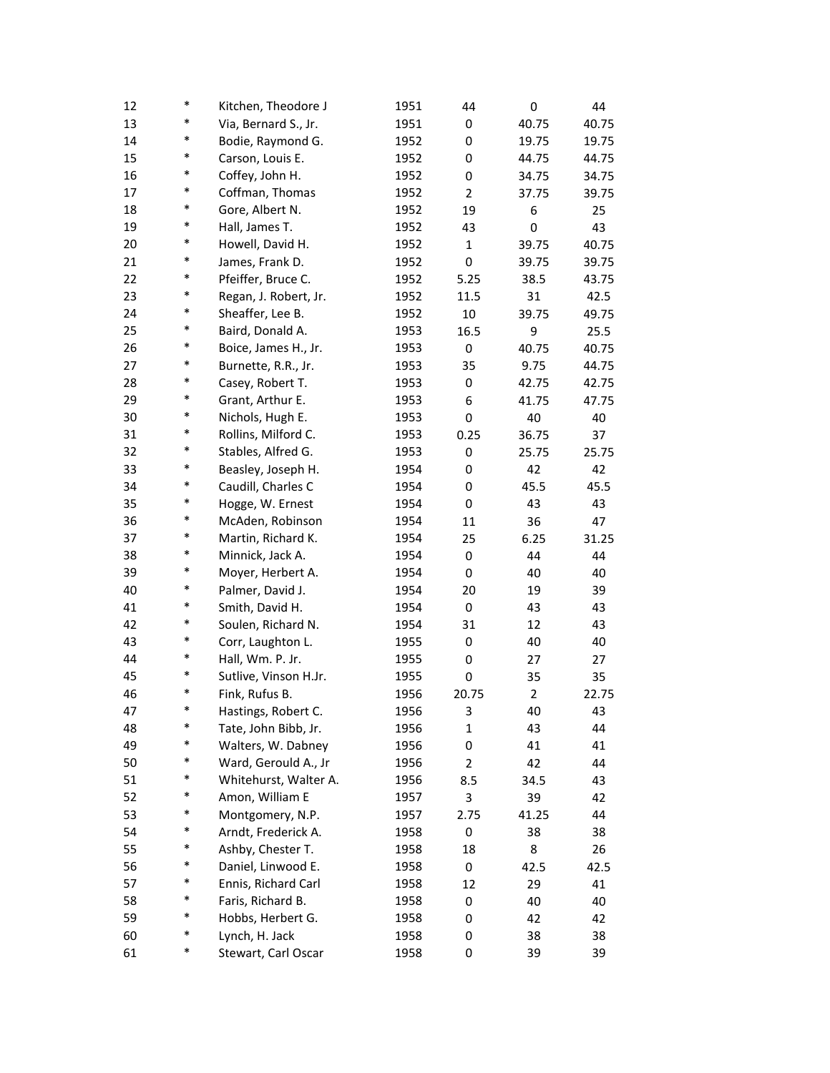| 12 | $\ast$ | Kitchen, Theodore J   | 1951 | 44             | 0              | 44    |
|----|--------|-----------------------|------|----------------|----------------|-------|
| 13 | $\ast$ | Via, Bernard S., Jr.  | 1951 | 0              | 40.75          | 40.75 |
| 14 | *      | Bodie, Raymond G.     | 1952 | 0              | 19.75          | 19.75 |
| 15 | $\ast$ | Carson, Louis E.      | 1952 | 0              | 44.75          | 44.75 |
| 16 | *      | Coffey, John H.       | 1952 | 0              | 34.75          | 34.75 |
| 17 | $\ast$ | Coffman, Thomas       | 1952 | $\overline{2}$ | 37.75          | 39.75 |
| 18 | $\ast$ | Gore, Albert N.       | 1952 | 19             | 6              | 25    |
| 19 | $\ast$ | Hall, James T.        | 1952 | 43             | 0              | 43    |
| 20 | $\ast$ | Howell, David H.      | 1952 | 1              | 39.75          | 40.75 |
| 21 | *      | James, Frank D.       | 1952 | 0              | 39.75          | 39.75 |
| 22 | *      | Pfeiffer, Bruce C.    | 1952 | 5.25           | 38.5           | 43.75 |
| 23 | *      | Regan, J. Robert, Jr. | 1952 | 11.5           | 31             | 42.5  |
| 24 | *      | Sheaffer, Lee B.      | 1952 | $10\,$         | 39.75          | 49.75 |
| 25 | $\ast$ | Baird, Donald A.      | 1953 | 16.5           | 9              | 25.5  |
| 26 | $\ast$ | Boice, James H., Jr.  | 1953 | 0              | 40.75          | 40.75 |
| 27 | $\ast$ | Burnette, R.R., Jr.   | 1953 | 35             | 9.75           | 44.75 |
| 28 | *      | Casey, Robert T.      | 1953 | 0              | 42.75          | 42.75 |
| 29 | *      | Grant, Arthur E.      | 1953 | 6              | 41.75          | 47.75 |
| 30 | $\ast$ | Nichols, Hugh E.      | 1953 | 0              | 40             | 40    |
| 31 | *      | Rollins, Milford C.   | 1953 | 0.25           | 36.75          | 37    |
| 32 | *      | Stables, Alfred G.    | 1953 | 0              | 25.75          | 25.75 |
| 33 | $\ast$ | Beasley, Joseph H.    | 1954 | 0              | 42             | 42    |
| 34 | $\ast$ | Caudill, Charles C    | 1954 | 0              | 45.5           | 45.5  |
| 35 | $\ast$ | Hogge, W. Ernest      | 1954 | 0              | 43             | 43    |
| 36 | $\ast$ | McAden, Robinson      | 1954 | 11             | 36             | 47    |
| 37 | *      | Martin, Richard K.    | 1954 | 25             | 6.25           | 31.25 |
| 38 | *      | Minnick, Jack A.      | 1954 | 0              | 44             | 44    |
| 39 | *      | Moyer, Herbert A.     | 1954 | 0              | 40             | 40    |
| 40 | *      | Palmer, David J.      | 1954 | 20             | 19             | 39    |
| 41 | $\ast$ | Smith, David H.       | 1954 | 0              | 43             | 43    |
| 42 | $\ast$ | Soulen, Richard N.    | 1954 | 31             | 12             | 43    |
| 43 | $\ast$ | Corr, Laughton L.     | 1955 | 0              | 40             | 40    |
| 44 | $\ast$ | Hall, Wm. P. Jr.      | 1955 | 0              | 27             | 27    |
| 45 | $\ast$ | Sutlive, Vinson H.Jr. | 1955 | 0              | 35             | 35    |
| 46 | $\ast$ | Fink, Rufus B.        | 1956 | 20.75          | $\overline{2}$ | 22.75 |
| 47 | *      | Hastings, Robert C.   | 1956 | 3              | 40             | 43    |
| 48 | *      | Tate, John Bibb, Jr.  | 1956 | $\mathbf{1}$   | 43             | 44    |
| 49 | $\ast$ | Walters, W. Dabney    | 1956 | 0              | 41             | 41    |
| 50 | $\ast$ | Ward, Gerould A., Jr  | 1956 | $\overline{2}$ | 42             | 44    |
| 51 | $\ast$ | Whitehurst, Walter A. | 1956 | 8.5            | 34.5           | 43    |
| 52 | $\ast$ | Amon, William E       | 1957 | 3              | 39             | 42    |
| 53 | $\ast$ | Montgomery, N.P.      | 1957 | 2.75           | 41.25          | 44    |
| 54 | $\ast$ | Arndt, Frederick A.   | 1958 | 0              | 38             | 38    |
| 55 | $\ast$ | Ashby, Chester T.     | 1958 | 18             | 8              | 26    |
| 56 | $\ast$ | Daniel, Linwood E.    | 1958 | 0              | 42.5           | 42.5  |
| 57 | $\ast$ | Ennis, Richard Carl   | 1958 | 12             | 29             | 41    |
| 58 | $\ast$ | Faris, Richard B.     | 1958 | 0              | 40             | 40    |
| 59 | $\ast$ | Hobbs, Herbert G.     | 1958 | 0              | 42             | 42    |
| 60 | $\ast$ | Lynch, H. Jack        | 1958 | 0              | 38             | 38    |
| 61 | $\ast$ | Stewart, Carl Oscar   | 1958 | 0              | 39             | 39    |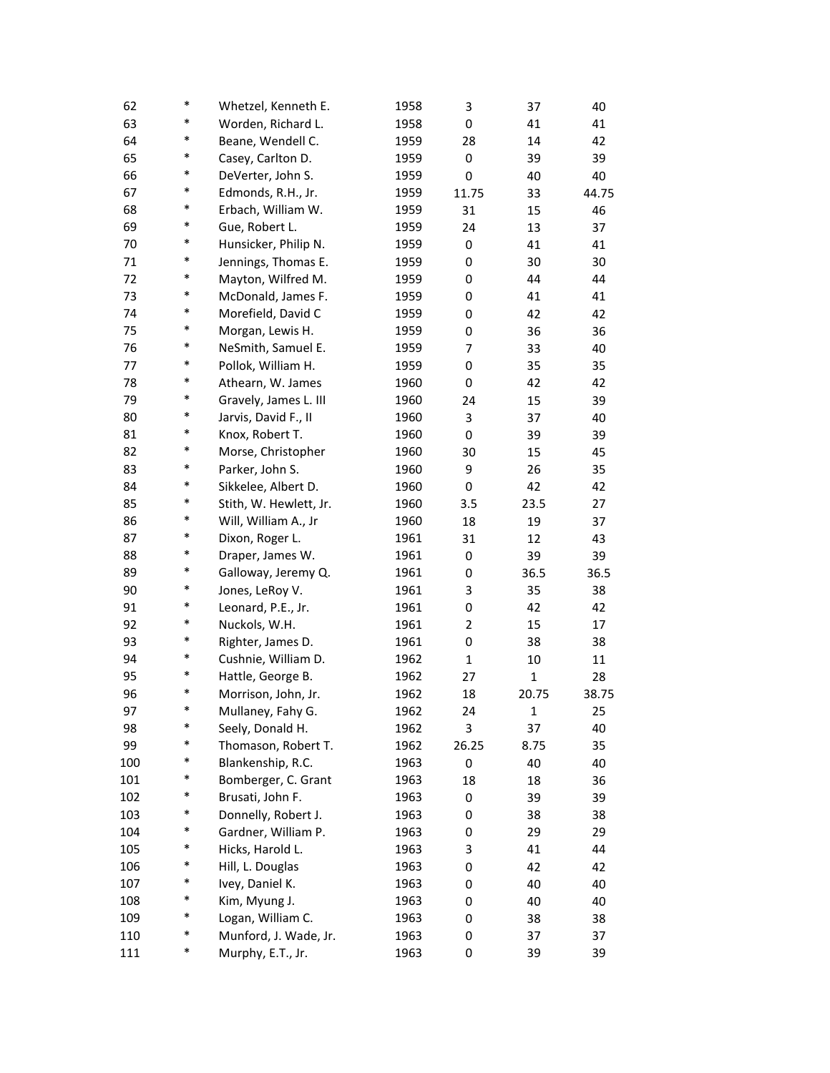| 62  | $\ast$ | Whetzel, Kenneth E.    | 1958 | 3     | 37           | 40    |
|-----|--------|------------------------|------|-------|--------------|-------|
| 63  | $\ast$ | Worden, Richard L.     | 1958 | 0     | 41           | 41    |
| 64  | $\ast$ | Beane, Wendell C.      | 1959 | 28    | 14           | 42    |
| 65  | $\ast$ | Casey, Carlton D.      | 1959 | 0     | 39           | 39    |
| 66  | $\ast$ | DeVerter, John S.      | 1959 | 0     | 40           | 40    |
| 67  | *      | Edmonds, R.H., Jr.     | 1959 | 11.75 | 33           | 44.75 |
| 68  | $\ast$ | Erbach, William W.     | 1959 | 31    | 15           | 46    |
| 69  | $\ast$ | Gue, Robert L.         | 1959 | 24    | 13           | 37    |
| 70  | $\ast$ | Hunsicker, Philip N.   | 1959 | 0     | 41           | 41    |
| 71  | $\ast$ | Jennings, Thomas E.    | 1959 | 0     | 30           | 30    |
| 72  | $\ast$ | Mayton, Wilfred M.     | 1959 | 0     | 44           | 44    |
| 73  | $\ast$ | McDonald, James F.     | 1959 | 0     | 41           | 41    |
| 74  | $\ast$ | Morefield, David C     | 1959 | 0     | 42           | 42    |
| 75  | *      | Morgan, Lewis H.       | 1959 | 0     | 36           | 36    |
| 76  | $\ast$ | NeSmith, Samuel E.     | 1959 | 7     | 33           | 40    |
| 77  | $\ast$ | Pollok, William H.     | 1959 | 0     | 35           | 35    |
| 78  | $\ast$ | Athearn, W. James      | 1960 | 0     | 42           | 42    |
| 79  | $\ast$ | Gravely, James L. III  | 1960 | 24    | 15           | 39    |
| 80  | $\ast$ | Jarvis, David F., II   | 1960 | 3     | 37           | 40    |
| 81  | $\ast$ | Knox, Robert T.        | 1960 | 0     | 39           | 39    |
| 82  | $\ast$ | Morse, Christopher     | 1960 | 30    | 15           | 45    |
| 83  | *      | Parker, John S.        | 1960 | 9     | 26           | 35    |
| 84  | $\ast$ | Sikkelee, Albert D.    | 1960 | 0     | 42           | 42    |
| 85  | $\ast$ | Stith, W. Hewlett, Jr. | 1960 | 3.5   | 23.5         | 27    |
| 86  | $\ast$ | Will, William A., Jr   | 1960 | 18    | 19           | 37    |
| 87  | $\ast$ | Dixon, Roger L.        | 1961 | 31    | 12           | 43    |
| 88  | $\ast$ | Draper, James W.       | 1961 | 0     | 39           | 39    |
| 89  | $\ast$ | Galloway, Jeremy Q.    | 1961 | 0     | 36.5         | 36.5  |
| 90  | $\ast$ | Jones, LeRoy V.        | 1961 | 3     | 35           | 38    |
| 91  | *      | Leonard, P.E., Jr.     | 1961 | 0     | 42           | 42    |
| 92  | $\ast$ | Nuckols, W.H.          | 1961 | 2     | 15           | 17    |
| 93  | $\ast$ | Righter, James D.      | 1961 | 0     | 38           | 38    |
| 94  | $\ast$ | Cushnie, William D.    | 1962 | 1     | 10           | 11    |
| 95  | $\ast$ | Hattle, George B.      | 1962 | 27    | 1            | 28    |
| 96  | $\ast$ | Morrison, John, Jr.    | 1962 | 18    | 20.75        | 38.75 |
| 97  | *      | Mullaney, Fahy G.      | 1962 | 24    | $\mathbf{1}$ | 25    |
| 98  | *      | Seely, Donald H.       | 1962 | 3     | 37           | 40    |
| 99  | *      | Thomason, Robert T.    | 1962 | 26.25 | 8.75         | 35    |
| 100 | *      | Blankenship, R.C.      | 1963 | 0     | 40           | 40    |
| 101 | *      | Bomberger, C. Grant    | 1963 | 18    | 18           | 36    |
| 102 | *      | Brusati, John F.       | 1963 | 0     | 39           | 39    |
| 103 | $\ast$ | Donnelly, Robert J.    | 1963 | 0     | 38           | 38    |
| 104 | *      | Gardner, William P.    | 1963 | 0     | 29           | 29    |
| 105 | *      | Hicks, Harold L.       | 1963 | 3     | 41           | 44    |
| 106 | *      | Hill, L. Douglas       | 1963 | 0     | 42           | 42    |
| 107 | $\ast$ | Ivey, Daniel K.        | 1963 | 0     | 40           | 40    |
| 108 | *      | Kim, Myung J.          | 1963 | 0     | 40           | 40    |
| 109 | *      | Logan, William C.      | 1963 | 0     | 38           | 38    |
| 110 | *      | Munford, J. Wade, Jr.  | 1963 | 0     | 37           | 37    |
| 111 | *      | Murphy, E.T., Jr.      | 1963 | 0     | 39           | 39    |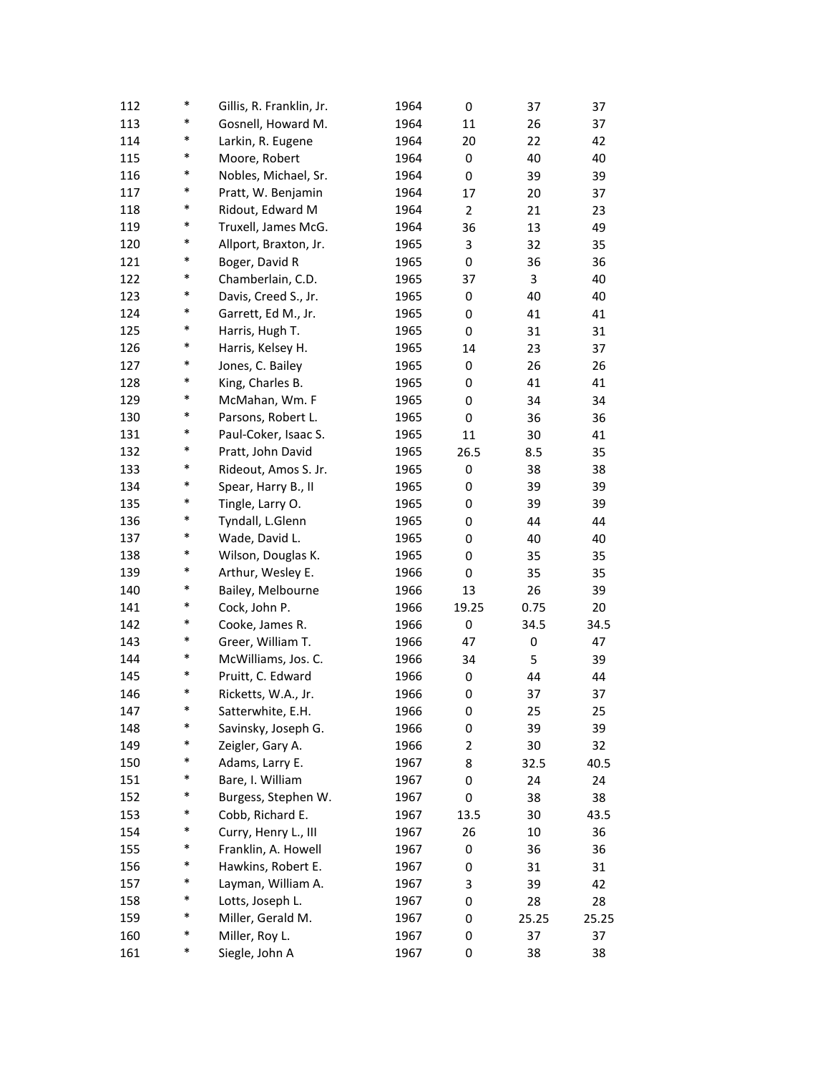| 112 | *      | Gillis, R. Franklin, Jr. | 1964 | 0              | 37    | 37    |
|-----|--------|--------------------------|------|----------------|-------|-------|
| 113 | *      | Gosnell, Howard M.       | 1964 | 11             | 26    | 37    |
| 114 | *      | Larkin, R. Eugene        | 1964 | 20             | 22    | 42    |
| 115 | *      | Moore, Robert            | 1964 | 0              | 40    | 40    |
| 116 | $\ast$ | Nobles, Michael, Sr.     | 1964 | 0              | 39    | 39    |
| 117 | *      | Pratt, W. Benjamin       | 1964 | 17             | 20    | 37    |
| 118 | $\ast$ | Ridout, Edward M         | 1964 | $\overline{2}$ | 21    | 23    |
| 119 | $\ast$ | Truxell, James McG.      | 1964 | 36             | 13    | 49    |
| 120 | *      | Allport, Braxton, Jr.    | 1965 | 3              | 32    | 35    |
| 121 | $\ast$ | Boger, David R           | 1965 | 0              | 36    | 36    |
| 122 | $\ast$ | Chamberlain, C.D.        | 1965 | 37             | 3     | 40    |
| 123 | $\ast$ | Davis, Creed S., Jr.     | 1965 | 0              | 40    | 40    |
| 124 | $\ast$ | Garrett, Ed M., Jr.      | 1965 | 0              | 41    | 41    |
| 125 | $\ast$ | Harris, Hugh T.          | 1965 | 0              | 31    | 31    |
| 126 | $\ast$ | Harris, Kelsey H.        | 1965 | 14             | 23    | 37    |
| 127 | $\ast$ | Jones, C. Bailey         | 1965 | 0              | 26    | 26    |
| 128 | *      | King, Charles B.         | 1965 | 0              | 41    | 41    |
| 129 | $\ast$ | McMahan, Wm. F           | 1965 | 0              | 34    | 34    |
| 130 | *      | Parsons, Robert L.       | 1965 | 0              | 36    | 36    |
| 131 | *      | Paul-Coker, Isaac S.     | 1965 | 11             | 30    | 41    |
| 132 | $\ast$ | Pratt, John David        | 1965 | 26.5           | 8.5   | 35    |
| 133 | $\ast$ | Rideout, Amos S. Jr.     | 1965 | 0              | 38    | 38    |
| 134 | $\ast$ | Spear, Harry B., II      | 1965 | 0              | 39    | 39    |
| 135 | $\ast$ | Tingle, Larry O.         | 1965 | 0              | 39    | 39    |
| 136 | $\ast$ | Tyndall, L.Glenn         | 1965 | 0              | 44    | 44    |
| 137 | $\ast$ | Wade, David L.           | 1965 | 0              | 40    | 40    |
| 138 | $\ast$ | Wilson, Douglas K.       | 1965 | 0              | 35    | 35    |
| 139 | $\ast$ | Arthur, Wesley E.        | 1966 | 0              | 35    | 35    |
| 140 | $\ast$ | Bailey, Melbourne        | 1966 | 13             | 26    | 39    |
| 141 | $\ast$ | Cock, John P.            | 1966 | 19.25          | 0.75  | 20    |
| 142 | $\ast$ | Cooke, James R.          | 1966 | 0              | 34.5  | 34.5  |
| 143 | $\ast$ | Greer, William T.        | 1966 | 47             | 0     | 47    |
| 144 | *      | McWilliams, Jos. C.      | 1966 | 34             | 5     | 39    |
| 145 | *      | Pruitt, C. Edward        | 1966 | 0              | 44    | 44    |
| 146 | *      | Ricketts, W.A., Jr.      | 1966 | 0              | 37    | 37    |
| 147 | *      | Satterwhite, E.H.        | 1966 | 0              | 25    | 25    |
| 148 | $\ast$ | Savinsky, Joseph G.      | 1966 | 0              | 39    | 39    |
| 149 | $\ast$ | Zeigler, Gary A.         | 1966 | 2              | 30    | 32    |
| 150 | $\ast$ | Adams, Larry E.          | 1967 | 8              | 32.5  | 40.5  |
| 151 | $\ast$ | Bare, I. William         | 1967 | 0              | 24    | 24    |
| 152 | *      | Burgess, Stephen W.      | 1967 | 0              | 38    | 38    |
| 153 | $\ast$ | Cobb, Richard E.         | 1967 | 13.5           | 30    | 43.5  |
| 154 | *      | Curry, Henry L., III     | 1967 | 26             | 10    | 36    |
| 155 | $\ast$ | Franklin, A. Howell      | 1967 | 0              | 36    | 36    |
| 156 | $\ast$ | Hawkins, Robert E.       | 1967 | 0              | 31    | 31    |
| 157 | $\ast$ | Layman, William A.       | 1967 | 3              | 39    | 42    |
| 158 | $\ast$ | Lotts, Joseph L.         | 1967 | 0              | 28    | 28    |
| 159 | $\ast$ | Miller, Gerald M.        | 1967 | 0              | 25.25 | 25.25 |
| 160 | $\ast$ | Miller, Roy L.           | 1967 | 0              | 37    | 37    |
| 161 | $\ast$ | Siegle, John A           | 1967 | 0              | 38    | 38    |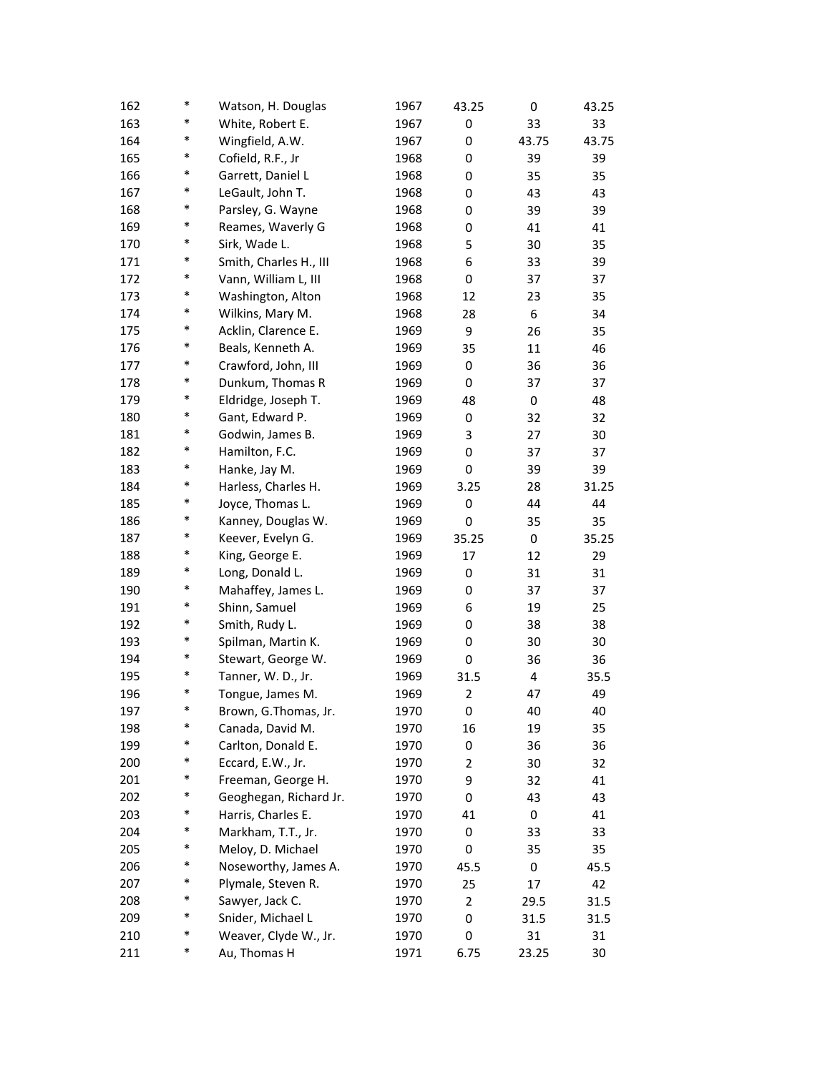| 162 | $\ast$ | Watson, H. Douglas     | 1967 | 43.25          | 0     | 43.25 |
|-----|--------|------------------------|------|----------------|-------|-------|
| 163 | *      | White, Robert E.       | 1967 | 0              | 33    | 33    |
| 164 | *      | Wingfield, A.W.        | 1967 | 0              | 43.75 | 43.75 |
| 165 | *      | Cofield, R.F., Jr      | 1968 | 0              | 39    | 39    |
| 166 | *      | Garrett, Daniel L      | 1968 | 0              | 35    | 35    |
| 167 | $\ast$ | LeGault, John T.       | 1968 | 0              | 43    | 43    |
| 168 | $\ast$ | Parsley, G. Wayne      | 1968 | 0              | 39    | 39    |
| 169 | $\ast$ | Reames, Waverly G      | 1968 | 0              | 41    | 41    |
| 170 | *      | Sirk, Wade L.          | 1968 | 5              | 30    | 35    |
| 171 | *      | Smith, Charles H., III | 1968 | 6              | 33    | 39    |
| 172 | $\ast$ | Vann, William L, III   | 1968 | 0              | 37    | 37    |
| 173 | *      | Washington, Alton      | 1968 | 12             | 23    | 35    |
| 174 | *      | Wilkins, Mary M.       | 1968 | 28             | 6     | 34    |
| 175 | $\ast$ | Acklin, Clarence E.    | 1969 | 9              | 26    | 35    |
| 176 | $\ast$ | Beals, Kenneth A.      | 1969 | 35             | 11    | 46    |
| 177 | $\ast$ | Crawford, John, III    | 1969 | 0              | 36    | 36    |
| 178 | *      | Dunkum, Thomas R       | 1969 | 0              | 37    | 37    |
| 179 | *      | Eldridge, Joseph T.    | 1969 | 48             | 0     | 48    |
| 180 | *      | Gant, Edward P.        | 1969 | 0              | 32    | 32    |
| 181 | *      | Godwin, James B.       | 1969 | 3              | 27    | 30    |
| 182 | *      | Hamilton, F.C.         | 1969 | 0              | 37    | 37    |
| 183 | $\ast$ | Hanke, Jay M.          | 1969 | 0              | 39    | 39    |
| 184 | $\ast$ | Harless, Charles H.    | 1969 | 3.25           | 28    | 31.25 |
| 185 | $\ast$ | Joyce, Thomas L.       | 1969 | 0              | 44    | 44    |
| 186 | $\ast$ |                        |      |                |       |       |
|     | *      | Kanney, Douglas W.     | 1969 | 0              | 35    | 35    |
| 187 | *      | Keever, Evelyn G.      | 1969 | 35.25          | 0     | 35.25 |
| 188 | *      | King, George E.        | 1969 | 17             | 12    | 29    |
| 189 | *      | Long, Donald L.        | 1969 | 0              | 31    | 31    |
| 190 | $\ast$ | Mahaffey, James L.     | 1969 | 0              | 37    | 37    |
| 191 | $\ast$ | Shinn, Samuel          | 1969 | 6              | 19    | 25    |
| 192 |        | Smith, Rudy L.         | 1969 | 0              | 38    | 38    |
| 193 | $\ast$ | Spilman, Martin K.     | 1969 | 0              | 30    | 30    |
| 194 | *      | Stewart, George W.     | 1969 | 0              | 36    | 36    |
| 195 | *      | Tanner, W. D., Jr.     | 1969 | 31.5           | 4     | 35.5  |
| 196 | $\ast$ | Tongue, James M.       | 1969 | 2              | 47    | 49    |
| 197 |        | Brown, G.Thomas, Jr.   | 1970 | 0              | 40    | 40    |
| 198 | $\ast$ | Canada, David M.       | 1970 | 16             | 19    | 35    |
| 199 | $\ast$ | Carlton, Donald E.     | 1970 | 0              | 36    | 36    |
| 200 | $\ast$ | Eccard, E.W., Jr.      | 1970 | 2              | 30    | 32    |
| 201 | $\ast$ | Freeman, George H.     | 1970 | 9              | 32    | 41    |
| 202 | *      | Geoghegan, Richard Jr. | 1970 | 0              | 43    | 43    |
| 203 | *      | Harris, Charles E.     | 1970 | 41             | 0     | 41    |
| 204 | *      | Markham, T.T., Jr.     | 1970 | 0              | 33    | 33    |
| 205 | *      | Meloy, D. Michael      | 1970 | 0              | 35    | 35    |
| 206 | $\ast$ | Noseworthy, James A.   | 1970 | 45.5           | 0     | 45.5  |
| 207 | $\ast$ | Plymale, Steven R.     | 1970 | 25             | 17    | 42    |
| 208 | $\ast$ | Sawyer, Jack C.        | 1970 | $\overline{2}$ | 29.5  | 31.5  |
| 209 | $\ast$ | Snider, Michael L      | 1970 | 0              | 31.5  | 31.5  |
| 210 | *      | Weaver, Clyde W., Jr.  | 1970 | 0              | 31    | 31    |
| 211 | *      | Au, Thomas H           | 1971 | 6.75           | 23.25 | 30    |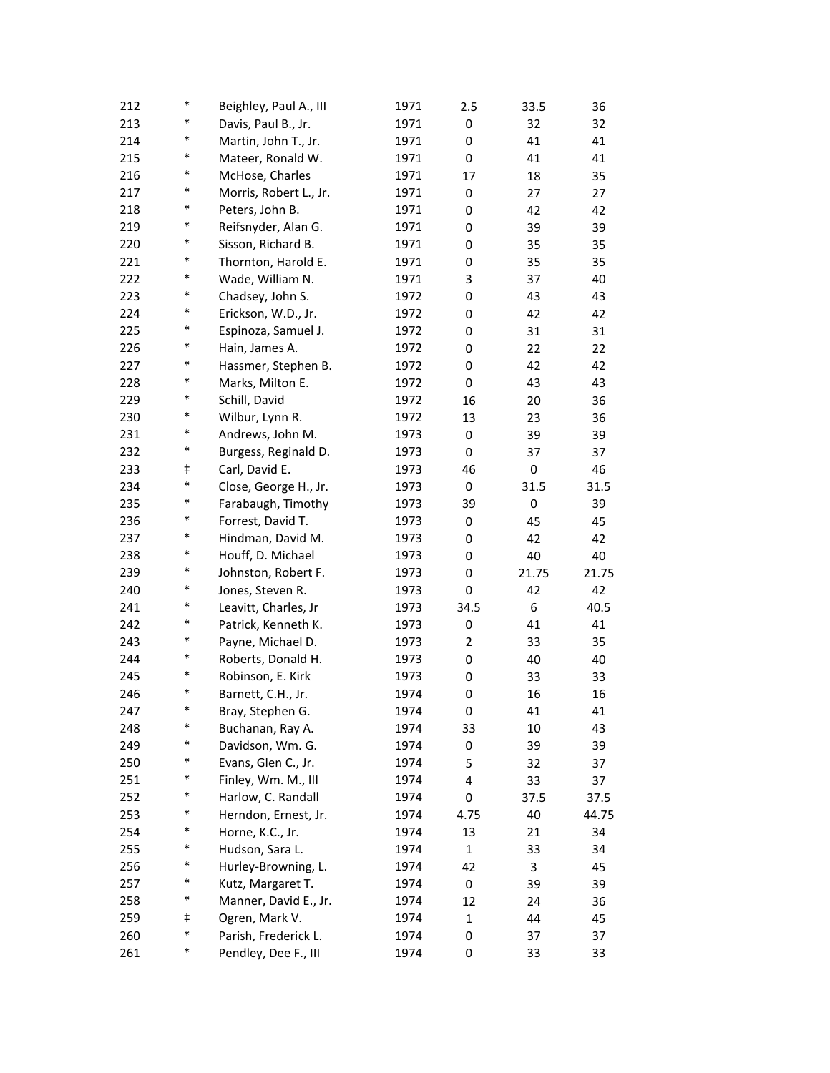| 212 | *      | Beighley, Paul A., III | 1971 | 2.5          | 33.5  | 36    |
|-----|--------|------------------------|------|--------------|-------|-------|
| 213 | *      | Davis, Paul B., Jr.    | 1971 | 0            | 32    | 32    |
| 214 | *      | Martin, John T., Jr.   | 1971 | 0            | 41    | 41    |
| 215 | $\ast$ | Mateer, Ronald W.      | 1971 | 0            | 41    | 41    |
| 216 | *      | McHose, Charles        | 1971 | 17           | 18    | 35    |
| 217 | *      | Morris, Robert L., Jr. | 1971 | 0            | 27    | 27    |
| 218 | *      | Peters, John B.        | 1971 | 0            | 42    | 42    |
| 219 | *      | Reifsnyder, Alan G.    | 1971 | 0            | 39    | 39    |
| 220 | $\ast$ | Sisson, Richard B.     | 1971 | 0            | 35    | 35    |
| 221 | *      | Thornton, Harold E.    | 1971 | 0            | 35    | 35    |
| 222 | $\ast$ | Wade, William N.       | 1971 | 3            | 37    | 40    |
| 223 | *      | Chadsey, John S.       | 1972 | 0            | 43    | 43    |
| 224 | *      | Erickson, W.D., Jr.    | 1972 | 0            | 42    | 42    |
| 225 | *      | Espinoza, Samuel J.    | 1972 | 0            | 31    | 31    |
| 226 | $\ast$ | Hain, James A.         | 1972 | 0            | 22    | 22    |
| 227 | *      | Hassmer, Stephen B.    | 1972 | 0            | 42    | 42    |
| 228 | $\ast$ | Marks, Milton E.       | 1972 | 0            | 43    | 43    |
| 229 | *      | Schill, David          | 1972 | 16           | 20    | 36    |
| 230 | $\ast$ | Wilbur, Lynn R.        | 1972 | 13           | 23    | 36    |
| 231 | *      | Andrews, John M.       | 1973 | 0            | 39    | 39    |
| 232 | $\ast$ | Burgess, Reginald D.   | 1973 | 0            | 37    | 37    |
| 233 | ŧ      | Carl, David E.         | 1973 | 46           | 0     | 46    |
| 234 | *      | Close, George H., Jr.  | 1973 | 0            | 31.5  | 31.5  |
| 235 | $\ast$ | Farabaugh, Timothy     | 1973 | 39           | 0     | 39    |
| 236 | $\ast$ | Forrest, David T.      | 1973 | 0            | 45    | 45    |
| 237 | *      | Hindman, David M.      | 1973 | 0            | 42    | 42    |
| 238 | $\ast$ | Houff, D. Michael      | 1973 | 0            | 40    | 40    |
| 239 | *      | Johnston, Robert F.    | 1973 | 0            | 21.75 | 21.75 |
| 240 | *      | Jones, Steven R.       | 1973 | 0            | 42    | 42    |
| 241 | $\ast$ | Leavitt, Charles, Jr   | 1973 | 34.5         | 6     | 40.5  |
| 242 | $\ast$ | Patrick, Kenneth K.    | 1973 | 0            | 41    | 41    |
| 243 | $\ast$ | Payne, Michael D.      | 1973 | 2            | 33    | 35    |
| 244 | $\ast$ | Roberts, Donald H.     | 1973 | 0            | 40    | 40    |
| 245 | *      | Robinson, E. Kirk      | 1973 | 0            | 33    | 33    |
| 246 | *      | Barnett, C.H., Jr.     | 1974 | 0            | 16    | 16    |
| 247 |        | Bray, Stephen G.       | 1974 | 0            | 41    | 41    |
| 248 | *      | Buchanan, Ray A.       | 1974 | 33           | 10    | 43    |
| 249 | $\ast$ | Davidson, Wm. G.       | 1974 | 0            | 39    | 39    |
| 250 | $\ast$ | Evans, Glen C., Jr.    | 1974 | 5            | 32    | 37    |
| 251 | $\ast$ | Finley, Wm. M., III    | 1974 | 4            | 33    | 37    |
| 252 | $\ast$ | Harlow, C. Randall     | 1974 | 0            | 37.5  | 37.5  |
| 253 | $\ast$ | Herndon, Ernest, Jr.   | 1974 | 4.75         | 40    | 44.75 |
| 254 | $\ast$ | Horne, K.C., Jr.       | 1974 | 13           | 21    | 34    |
| 255 | $\ast$ | Hudson, Sara L.        | 1974 | $\mathbf{1}$ | 33    | 34    |
| 256 | *      | Hurley-Browning, L.    | 1974 | 42           | 3     | 45    |
| 257 | *      | Kutz, Margaret T.      | 1974 | 0            | 39    | 39    |
| 258 | *      | Manner, David E., Jr.  | 1974 | 12           | 24    | 36    |
| 259 | ŧ      | Ogren, Mark V.         | 1974 | $\mathbf{1}$ | 44    | 45    |
| 260 | *      | Parish, Frederick L.   | 1974 | 0            | 37    | 37    |
| 261 | $\ast$ | Pendley, Dee F., III   | 1974 | 0            | 33    | 33    |
|     |        |                        |      |              |       |       |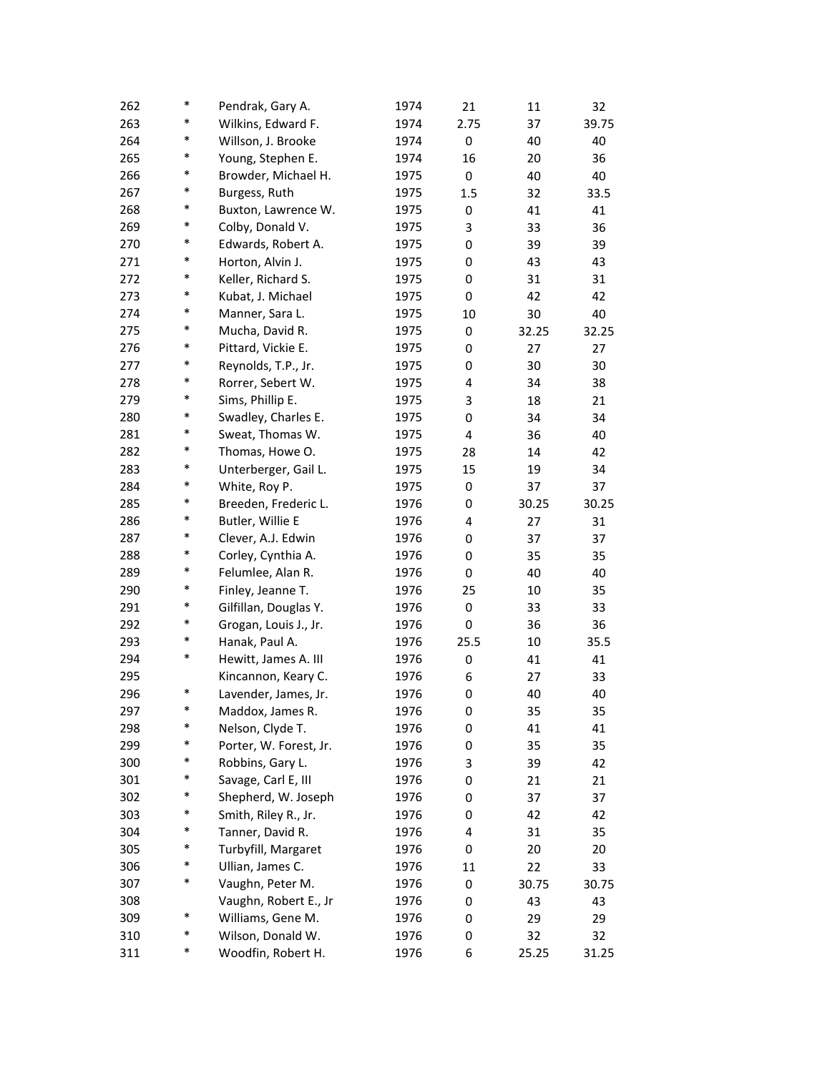| 262 | $\ast$ | Pendrak, Gary A.       | 1974 | 21   | 11    | 32    |
|-----|--------|------------------------|------|------|-------|-------|
| 263 | $\ast$ | Wilkins, Edward F.     | 1974 | 2.75 | 37    | 39.75 |
| 264 | $\ast$ | Willson, J. Brooke     | 1974 | 0    | 40    | 40    |
| 265 | $\ast$ | Young, Stephen E.      | 1974 | 16   | 20    | 36    |
| 266 | *      | Browder, Michael H.    | 1975 | 0    | 40    | 40    |
| 267 | *      | Burgess, Ruth          | 1975 | 1.5  | 32    | 33.5  |
| 268 | $\ast$ | Buxton, Lawrence W.    | 1975 | 0    | 41    | 41    |
| 269 | $\ast$ | Colby, Donald V.       | 1975 | 3    | 33    | 36    |
| 270 | $\ast$ | Edwards, Robert A.     | 1975 | 0    | 39    | 39    |
| 271 | $\ast$ | Horton, Alvin J.       | 1975 | 0    | 43    | 43    |
| 272 | $\ast$ | Keller, Richard S.     | 1975 | 0    | 31    | 31    |
| 273 | $\ast$ | Kubat, J. Michael      | 1975 | 0    | 42    | 42    |
| 274 | $\ast$ | Manner, Sara L.        | 1975 | 10   | 30    | 40    |
| 275 | *      | Mucha, David R.        | 1975 | 0    | 32.25 | 32.25 |
| 276 | $\ast$ | Pittard, Vickie E.     | 1975 | 0    | 27    | 27    |
| 277 | $\ast$ | Reynolds, T.P., Jr.    | 1975 | 0    | 30    | 30    |
| 278 | $\ast$ | Rorrer, Sebert W.      | 1975 | 4    | 34    | 38    |
| 279 | $\ast$ | Sims, Phillip E.       | 1975 | 3    | 18    | 21    |
| 280 | $\ast$ | Swadley, Charles E.    | 1975 | 0    | 34    | 34    |
| 281 | *      | Sweat, Thomas W.       | 1975 | 4    | 36    | 40    |
| 282 | *      | Thomas, Howe O.        | 1975 | 28   | 14    | 42    |
| 283 | *      | Unterberger, Gail L.   | 1975 | 15   | 19    | 34    |
| 284 | $\ast$ | White, Roy P.          | 1975 | 0    | 37    | 37    |
| 285 | $\ast$ | Breeden, Frederic L.   | 1976 | 0    | 30.25 | 30.25 |
| 286 | $\ast$ | Butler, Willie E       | 1976 | 4    | 27    | 31    |
| 287 | $\ast$ | Clever, A.J. Edwin     | 1976 | 0    | 37    | 37    |
| 288 | $\ast$ | Corley, Cynthia A.     | 1976 | 0    | 35    | 35    |
| 289 | *      | Felumlee, Alan R.      | 1976 | 0    | 40    | 40    |
| 290 | $\ast$ | Finley, Jeanne T.      | 1976 | 25   | 10    | 35    |
| 291 | *      | Gilfillan, Douglas Y.  | 1976 | 0    | 33    | 33    |
| 292 | $\ast$ | Grogan, Louis J., Jr.  | 1976 | 0    | 36    | 36    |
| 293 | $\ast$ | Hanak, Paul A.         | 1976 | 25.5 | 10    | 35.5  |
| 294 | $\ast$ | Hewitt, James A. III   | 1976 | 0    | 41    | 41    |
| 295 |        | Kincannon, Keary C.    | 1976 | 6    | 27    | 33    |
| 296 | $\ast$ | Lavender, James, Jr.   | 1976 | 0    | 40    | 40    |
| 297 |        | Maddox, James R.       | 1976 | 0    | 35    | 35    |
| 298 | $\ast$ | Nelson, Clyde T.       | 1976 | 0    | 41    | 41    |
| 299 | $\ast$ | Porter, W. Forest, Jr. | 1976 | 0    | 35    | 35    |
| 300 | $\ast$ | Robbins, Gary L.       | 1976 | 3    | 39    | 42    |
| 301 | $\ast$ | Savage, Carl E, III    | 1976 | 0    | 21    | 21    |
| 302 | $\ast$ | Shepherd, W. Joseph    | 1976 | 0    | 37    | 37    |
| 303 | $\ast$ | Smith, Riley R., Jr.   | 1976 | 0    | 42    | 42    |
| 304 | $\ast$ | Tanner, David R.       | 1976 | 4    | 31    | 35    |
| 305 | $\ast$ | Turbyfill, Margaret    | 1976 | 0    | 20    | 20    |
| 306 | $\ast$ | Ullian, James C.       | 1976 | 11   | 22    | 33    |
| 307 | $\ast$ | Vaughn, Peter M.       | 1976 | 0    | 30.75 | 30.75 |
| 308 |        | Vaughn, Robert E., Jr  | 1976 | 0    | 43    | 43    |
| 309 | $\ast$ | Williams, Gene M.      | 1976 | 0    | 29    | 29    |
| 310 | $\ast$ | Wilson, Donald W.      | 1976 | 0    | 32    | 32    |
| 311 | $\ast$ | Woodfin, Robert H.     | 1976 | 6    | 25.25 | 31.25 |
|     |        |                        |      |      |       |       |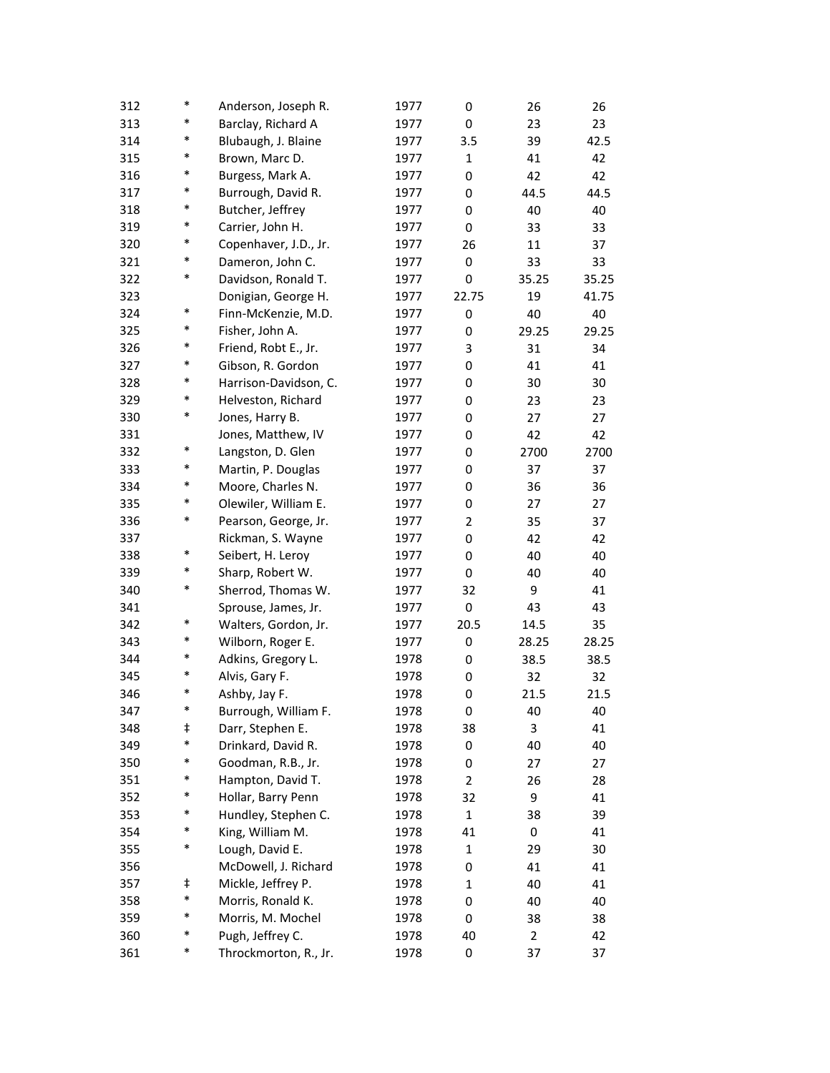| 312 | $\ast$ | Anderson, Joseph R.   | 1977 | 0              | 26    | 26    |
|-----|--------|-----------------------|------|----------------|-------|-------|
| 313 | *      | Barclay, Richard A    | 1977 | 0              | 23    | 23    |
| 314 | *      | Blubaugh, J. Blaine   | 1977 | 3.5            | 39    | 42.5  |
| 315 | $\ast$ | Brown, Marc D.        | 1977 | $\mathbf{1}$   | 41    | 42    |
| 316 | $\ast$ | Burgess, Mark A.      | 1977 | 0              | 42    | 42    |
| 317 | *      | Burrough, David R.    | 1977 | 0              | 44.5  | 44.5  |
| 318 | $\ast$ | Butcher, Jeffrey      | 1977 | 0              | 40    | 40    |
| 319 | $\ast$ | Carrier, John H.      | 1977 | 0              | 33    | 33    |
| 320 | $\ast$ | Copenhaver, J.D., Jr. | 1977 | 26             | 11    | 37    |
| 321 | $\ast$ | Dameron, John C.      | 1977 | 0              | 33    | 33    |
| 322 | *      | Davidson, Ronald T.   | 1977 | 0              | 35.25 | 35.25 |
| 323 |        | Donigian, George H.   | 1977 | 22.75          | 19    | 41.75 |
| 324 | $\ast$ | Finn-McKenzie, M.D.   | 1977 | 0              | 40    | 40    |
| 325 | $\ast$ | Fisher, John A.       | 1977 | 0              | 29.25 | 29.25 |
| 326 | $\ast$ | Friend, Robt E., Jr.  | 1977 | 3              | 31    | 34    |
| 327 | $\ast$ | Gibson, R. Gordon     | 1977 | 0              | 41    | 41    |
| 328 | *      | Harrison-Davidson, C. | 1977 | 0              | 30    | 30    |
| 329 | $\ast$ | Helveston, Richard    | 1977 | 0              | 23    | 23    |
| 330 | $\ast$ | Jones, Harry B.       | 1977 | 0              | 27    | 27    |
| 331 |        | Jones, Matthew, IV    | 1977 | 0              | 42    | 42    |
| 332 | $\ast$ | Langston, D. Glen     | 1977 | 0              | 2700  | 2700  |
| 333 | $\ast$ | Martin, P. Douglas    | 1977 | 0              | 37    | 37    |
| 334 | $\ast$ | Moore, Charles N.     | 1977 | 0              | 36    | 36    |
| 335 | $\ast$ | Olewiler, William E.  | 1977 | 0              | 27    | 27    |
| 336 | $\ast$ | Pearson, George, Jr.  | 1977 | $\overline{2}$ | 35    | 37    |
| 337 |        | Rickman, S. Wayne     | 1977 | 0              | 42    | 42    |
| 338 | $\ast$ | Seibert, H. Leroy     | 1977 | 0              | 40    | 40    |
| 339 | *      | Sharp, Robert W.      | 1977 | 0              | 40    | 40    |
| 340 | *      | Sherrod, Thomas W.    | 1977 | 32             | 9     | 41    |
| 341 |        | Sprouse, James, Jr.   | 1977 | 0              | 43    | 43    |
| 342 | *      | Walters, Gordon, Jr.  | 1977 | 20.5           | 14.5  | 35    |
| 343 | $\ast$ | Wilborn, Roger E.     | 1977 | 0              | 28.25 | 28.25 |
| 344 | *      | Adkins, Gregory L.    | 1978 | 0              | 38.5  | 38.5  |
| 345 | $\ast$ | Alvis, Gary F.        | 1978 | 0              | 32    | 32    |
| 346 | $\ast$ | Ashby, Jay F.         | 1978 | 0              | 21.5  | 21.5  |
| 347 | $\ast$ | Burrough, William F.  | 1978 | 0              | 40    | 40    |
| 348 | ŧ      | Darr, Stephen E.      | 1978 | 38             | 3     | 41    |
| 349 | $\ast$ | Drinkard, David R.    | 1978 | 0              | 40    | 40    |
| 350 | *      | Goodman, R.B., Jr.    | 1978 | 0              | 27    | 27    |
| 351 | *      | Hampton, David T.     | 1978 | $\overline{2}$ | 26    | 28    |
| 352 | $\ast$ | Hollar, Barry Penn    | 1978 | 32             | 9     | 41    |
| 353 | *      | Hundley, Stephen C.   | 1978 | $\mathbf{1}$   | 38    | 39    |
| 354 | $\ast$ | King, William M.      | 1978 | 41             | 0     | 41    |
| 355 | $\ast$ | Lough, David E.       | 1978 | $\mathbf{1}$   | 29    | 30    |
| 356 |        | McDowell, J. Richard  | 1978 | 0              | 41    | 41    |
| 357 | ŧ      | Mickle, Jeffrey P.    | 1978 | $\mathbf{1}$   | 40    | 41    |
| 358 | $\ast$ | Morris, Ronald K.     | 1978 | 0              | 40    | 40    |
| 359 | $\ast$ | Morris, M. Mochel     | 1978 | 0              | 38    | 38    |
| 360 | $\ast$ | Pugh, Jeffrey C.      | 1978 | 40             | 2     | 42    |
| 361 | $\ast$ | Throckmorton, R., Jr. | 1978 | 0              | 37    | 37    |
|     |        |                       |      |                |       |       |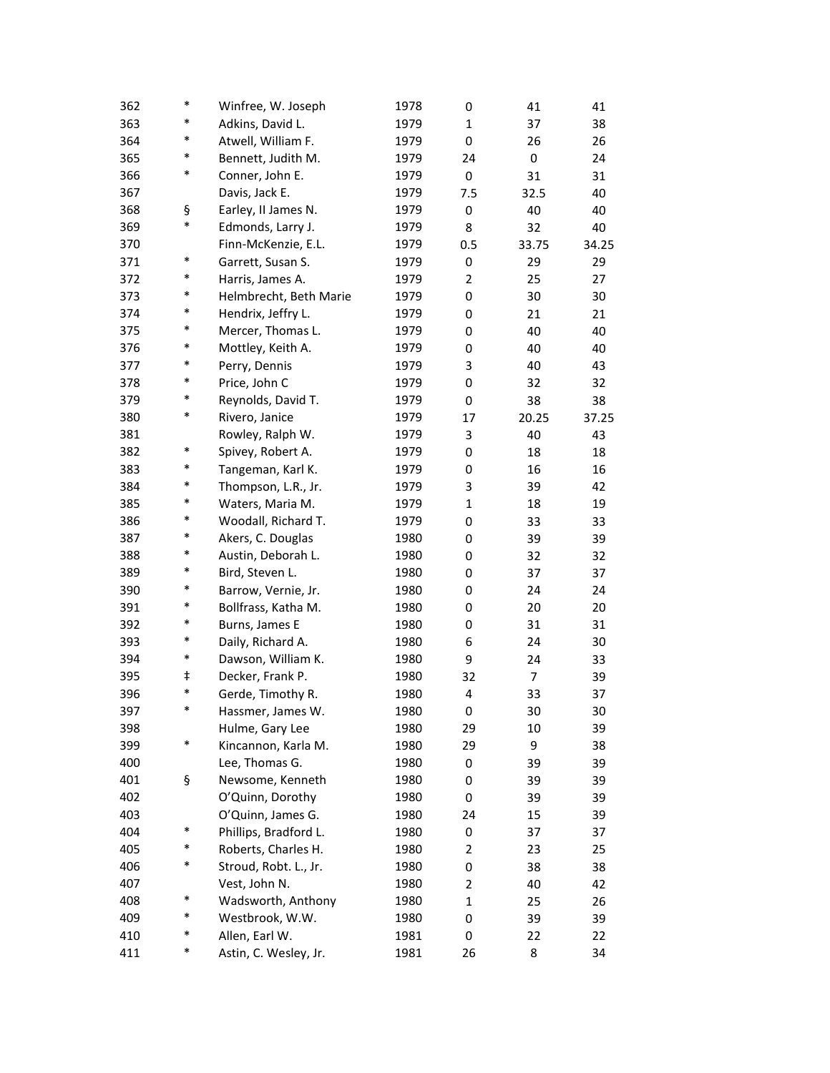| 362 | *      | Winfree, W. Joseph     | 1978 | 0              | 41    | 41    |
|-----|--------|------------------------|------|----------------|-------|-------|
| 363 | *      | Adkins, David L.       | 1979 | 1              | 37    | 38    |
| 364 | *      | Atwell, William F.     | 1979 | 0              | 26    | 26    |
| 365 | *      | Bennett, Judith M.     | 1979 | 24             | 0     | 24    |
| 366 | *      | Conner, John E.        | 1979 | 0              | 31    | 31    |
| 367 |        | Davis, Jack E.         | 1979 | 7.5            | 32.5  | 40    |
| 368 | ş      | Earley, II James N.    | 1979 | 0              | 40    | 40    |
| 369 | *      | Edmonds, Larry J.      | 1979 | 8              | 32    | 40    |
| 370 |        | Finn-McKenzie, E.L.    | 1979 | 0.5            | 33.75 | 34.25 |
| 371 | *      | Garrett, Susan S.      | 1979 | 0              | 29    | 29    |
| 372 | *      | Harris, James A.       | 1979 | $\overline{2}$ | 25    | 27    |
| 373 | *      | Helmbrecht, Beth Marie | 1979 | 0              | 30    | 30    |
| 374 | *      | Hendrix, Jeffry L.     | 1979 | 0              | 21    | 21    |
| 375 | *      | Mercer, Thomas L.      | 1979 | 0              | 40    | 40    |
| 376 | *      | Mottley, Keith A.      | 1979 | 0              | 40    | 40    |
| 377 | $\ast$ | Perry, Dennis          | 1979 | 3              | 40    | 43    |
| 378 | *      | Price, John C          | 1979 | 0              | 32    | 32    |
| 379 | *      | Reynolds, David T.     | 1979 | 0              | 38    | 38    |
| 380 | *      | Rivero, Janice         | 1979 | 17             | 20.25 | 37.25 |
| 381 |        | Rowley, Ralph W.       | 1979 | 3              | 40    | 43    |
| 382 | *      | Spivey, Robert A.      | 1979 | 0              | 18    | 18    |
| 383 | *      | Tangeman, Karl K.      | 1979 | 0              | 16    | 16    |
| 384 | *      | Thompson, L.R., Jr.    | 1979 | 3              | 39    | 42    |
| 385 | *      | Waters, Maria M.       | 1979 | $\mathbf{1}$   | 18    | 19    |
| 386 | *      | Woodall, Richard T.    | 1979 | 0              | 33    | 33    |
| 387 | *      | Akers, C. Douglas      | 1980 | 0              | 39    | 39    |
| 388 | *      | Austin, Deborah L.     | 1980 | 0              | 32    | 32    |
| 389 | *      | Bird, Steven L.        | 1980 | 0              | 37    | 37    |
| 390 | *      | Barrow, Vernie, Jr.    | 1980 | 0              | 24    | 24    |
| 391 | *      | Bollfrass, Katha M.    | 1980 | 0              | 20    | 20    |
| 392 | $\ast$ | Burns, James E         | 1980 | 0              | 31    | 31    |
| 393 | $\ast$ | Daily, Richard A.      | 1980 | 6              | 24    | 30    |
| 394 | $\ast$ | Dawson, William K.     | 1980 | 9              | 24    | 33    |
| 395 | ŧ      | Decker, Frank P.       | 1980 | 32             | 7     | 39    |
| 396 | *      | Gerde, Timothy R.      | 1980 | 4              | 33    | 37    |
| 397 | *      | Hassmer, James W.      | 1980 | 0              | 30    | 30    |
| 398 |        | Hulme, Gary Lee        | 1980 | 29             | 10    | 39    |
| 399 | $\ast$ | Kincannon, Karla M.    | 1980 | 29             | 9     | 38    |
| 400 |        | Lee, Thomas G.         | 1980 | 0              | 39    | 39    |
| 401 | ş      | Newsome, Kenneth       | 1980 | 0              | 39    | 39    |
| 402 |        | O'Quinn, Dorothy       | 1980 | 0              | 39    | 39    |
| 403 |        | O'Quinn, James G.      | 1980 | 24             | 15    | 39    |
| 404 | $\ast$ | Phillips, Bradford L.  | 1980 | 0              | 37    | 37    |
| 405 | $\ast$ | Roberts, Charles H.    | 1980 | 2              | 23    | 25    |
| 406 | $\ast$ | Stroud, Robt. L., Jr.  | 1980 | 0              | 38    | 38    |
| 407 |        | Vest, John N.          | 1980 | $\overline{2}$ | 40    | 42    |
| 408 | $\ast$ | Wadsworth, Anthony     | 1980 | $\mathbf{1}$   | 25    | 26    |
| 409 | $\ast$ | Westbrook, W.W.        | 1980 | 0              | 39    | 39    |
| 410 | $\ast$ | Allen, Earl W.         | 1981 | 0              | 22    | 22    |
| 411 | $\ast$ | Astin, C. Wesley, Jr.  | 1981 | 26             | 8     | 34    |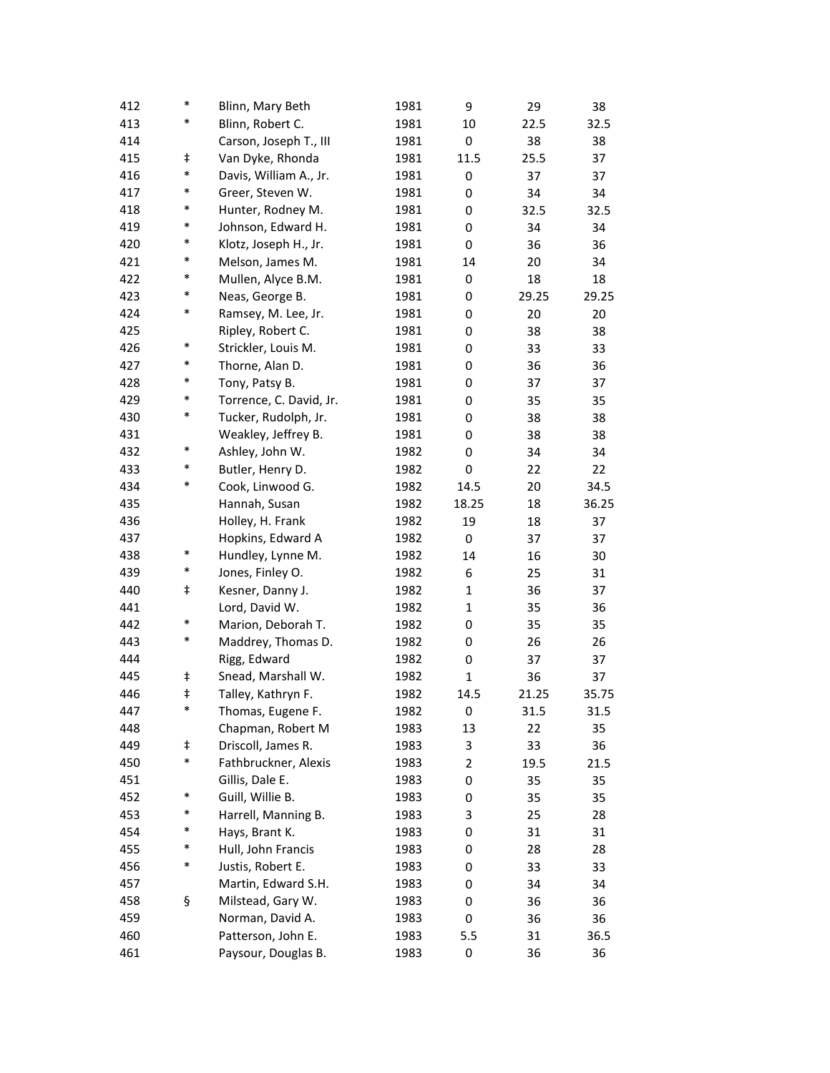| 412 | $\ast$     | Blinn, Mary Beth        | 1981 | 9              | 29    | 38    |
|-----|------------|-------------------------|------|----------------|-------|-------|
| 413 | $\ast$     | Blinn, Robert C.        | 1981 | 10             | 22.5  | 32.5  |
| 414 |            | Carson, Joseph T., III  | 1981 | 0              | 38    | 38    |
| 415 | $\ddagger$ | Van Dyke, Rhonda        | 1981 | 11.5           | 25.5  | 37    |
| 416 | $\ast$     | Davis, William A., Jr.  | 1981 | 0              | 37    | 37    |
| 417 | $\ast$     | Greer, Steven W.        | 1981 | 0              | 34    | 34    |
| 418 | $\ast$     | Hunter, Rodney M.       | 1981 | 0              | 32.5  | 32.5  |
| 419 | $\ast$     | Johnson, Edward H.      | 1981 | 0              | 34    | 34    |
| 420 | $\ast$     | Klotz, Joseph H., Jr.   | 1981 | 0              | 36    | 36    |
| 421 | $\ast$     | Melson, James M.        | 1981 | 14             | 20    | 34    |
| 422 | $\ast$     | Mullen, Alyce B.M.      | 1981 | 0              | 18    | 18    |
| 423 | $\ast$     | Neas, George B.         | 1981 | 0              | 29.25 | 29.25 |
| 424 | $\ast$     | Ramsey, M. Lee, Jr.     | 1981 | 0              | 20    | 20    |
| 425 |            | Ripley, Robert C.       | 1981 | 0              | 38    | 38    |
| 426 | $\ast$     | Strickler, Louis M.     | 1981 | 0              | 33    | 33    |
| 427 | $\ast$     | Thorne, Alan D.         | 1981 | 0              | 36    | 36    |
| 428 | $\ast$     | Tony, Patsy B.          | 1981 | 0              | 37    | 37    |
| 429 | $\ast$     | Torrence, C. David, Jr. | 1981 | 0              | 35    | 35    |
| 430 | $\ast$     | Tucker, Rudolph, Jr.    | 1981 | 0              | 38    | 38    |
| 431 |            | Weakley, Jeffrey B.     | 1981 | 0              | 38    | 38    |
| 432 | $\ast$     | Ashley, John W.         | 1982 | 0              | 34    | 34    |
| 433 | $\ast$     | Butler, Henry D.        | 1982 | 0              | 22    | 22    |
| 434 | $\ast$     | Cook, Linwood G.        | 1982 | 14.5           | 20    | 34.5  |
| 435 |            | Hannah, Susan           | 1982 | 18.25          | 18    | 36.25 |
| 436 |            | Holley, H. Frank        | 1982 | 19             | 18    | 37    |
| 437 |            | Hopkins, Edward A       | 1982 | 0              | 37    | 37    |
| 438 | $\ast$     | Hundley, Lynne M.       | 1982 | 14             | 16    | 30    |
| 439 | $\ast$     | Jones, Finley O.        | 1982 | 6              | 25    | 31    |
| 440 | ŧ          | Kesner, Danny J.        | 1982 | $\mathbf{1}$   | 36    | 37    |
| 441 |            | Lord, David W.          | 1982 | $\mathbf{1}$   | 35    | 36    |
| 442 | $\ast$     | Marion, Deborah T.      | 1982 | 0              | 35    | 35    |
| 443 | $\ast$     | Maddrey, Thomas D.      | 1982 | 0              | 26    | 26    |
| 444 |            | Rigg, Edward            | 1982 | 0              | 37    | 37    |
| 445 | ŧ          | Snead, Marshall W.      | 1982 | 1              | 36    | 37    |
| 446 | ŧ          | Talley, Kathryn F.      | 1982 | 14.5           | 21.25 | 35.75 |
| 447 | $\ast$     | Thomas, Eugene F.       | 1982 | 0              | 31.5  | 31.5  |
| 448 |            | Chapman, Robert M       | 1983 | 13             | 22    | 35    |
| 449 | ŧ          | Driscoll, James R.      | 1983 | 3              | 33    | 36    |
| 450 | $\ast$     | Fathbruckner, Alexis    | 1983 | $\overline{2}$ | 19.5  | 21.5  |
| 451 |            | Gillis, Dale E.         | 1983 | 0              | 35    | 35    |
| 452 | $\ast$     | Guill, Willie B.        | 1983 | 0              | 35    | 35    |
| 453 | $\ast$     | Harrell, Manning B.     | 1983 | 3              | 25    | 28    |
| 454 | *          | Hays, Brant K.          | 1983 | 0              | 31    | 31    |
| 455 | $\ast$     | Hull, John Francis      | 1983 | 0              | 28    | 28    |
| 456 | $\ast$     | Justis, Robert E.       | 1983 | 0              | 33    | 33    |
| 457 |            | Martin, Edward S.H.     | 1983 | 0              | 34    | 34    |
| 458 | ş          | Milstead, Gary W.       | 1983 | 0              | 36    | 36    |
| 459 |            | Norman, David A.        | 1983 | 0              | 36    | 36    |
| 460 |            | Patterson, John E.      | 1983 | 5.5            | 31    | 36.5  |
| 461 |            | Paysour, Douglas B.     | 1983 | 0              | 36    | 36    |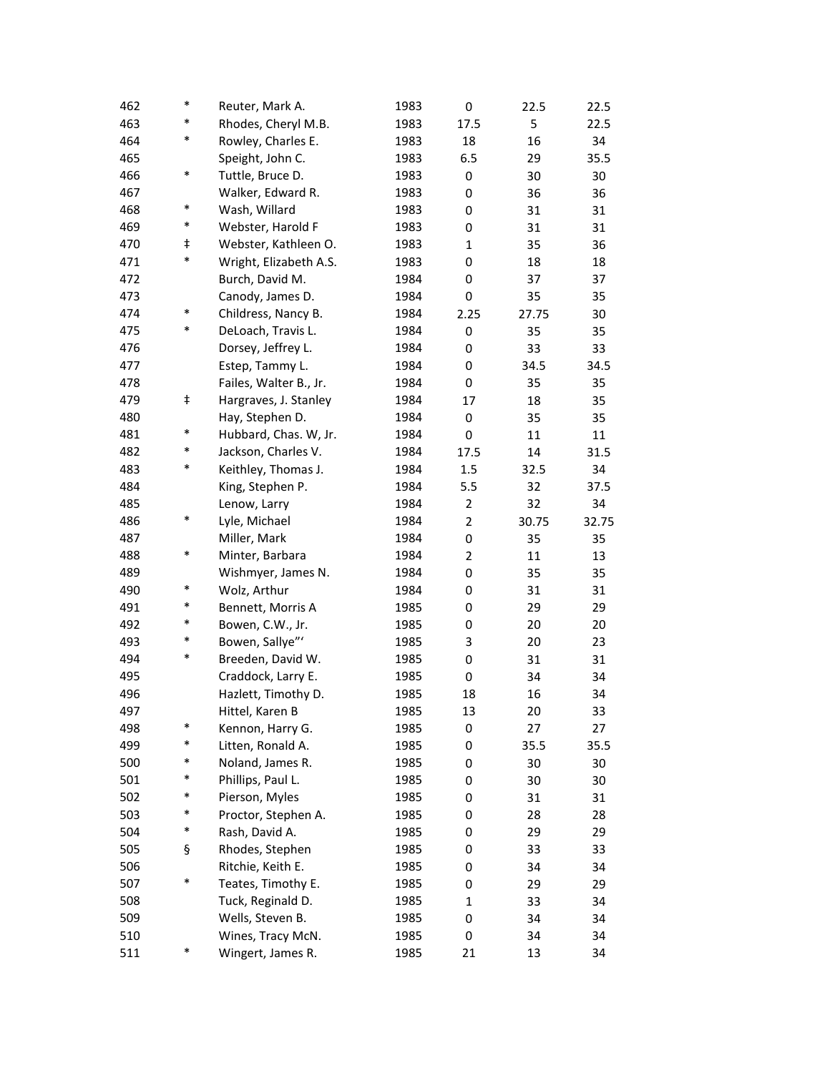| 462 | $\ast$     | Reuter, Mark A.        | 1983 | 0            | 22.5  | 22.5  |
|-----|------------|------------------------|------|--------------|-------|-------|
| 463 | $\ast$     | Rhodes, Cheryl M.B.    | 1983 | 17.5         | 5     | 22.5  |
| 464 | *          | Rowley, Charles E.     | 1983 | 18           | 16    | 34    |
| 465 |            | Speight, John C.       | 1983 | 6.5          | 29    | 35.5  |
| 466 | *          | Tuttle, Bruce D.       | 1983 | 0            | 30    | 30    |
| 467 |            | Walker, Edward R.      | 1983 | 0            | 36    | 36    |
| 468 | $\ast$     | Wash, Willard          | 1983 | 0            | 31    | 31    |
| 469 | $\ast$     | Webster, Harold F      | 1983 | 0            | 31    | 31    |
| 470 | $\ddagger$ | Webster, Kathleen O.   | 1983 | $\mathbf{1}$ | 35    | 36    |
| 471 | $\ast$     | Wright, Elizabeth A.S. | 1983 | 0            | 18    | 18    |
| 472 |            | Burch, David M.        | 1984 | 0            | 37    | 37    |
| 473 |            | Canody, James D.       | 1984 | 0            | 35    | 35    |
| 474 | $\ast$     | Childress, Nancy B.    | 1984 | 2.25         | 27.75 | 30    |
| 475 | *          | DeLoach, Travis L.     | 1984 | 0            | 35    | 35    |
| 476 |            | Dorsey, Jeffrey L.     | 1984 | 0            | 33    | 33    |
| 477 |            | Estep, Tammy L.        | 1984 | 0            | 34.5  | 34.5  |
| 478 |            | Failes, Walter B., Jr. | 1984 | 0            | 35    | 35    |
| 479 | ŧ          | Hargraves, J. Stanley  | 1984 | 17           | 18    | 35    |
| 480 |            | Hay, Stephen D.        | 1984 | 0            | 35    | 35    |
| 481 | $\ast$     | Hubbard, Chas. W, Jr.  | 1984 | 0            | 11    | 11    |
| 482 | *          | Jackson, Charles V.    | 1984 | 17.5         | 14    | 31.5  |
| 483 | *          | Keithley, Thomas J.    | 1984 | 1.5          | 32.5  | 34    |
| 484 |            | King, Stephen P.       | 1984 | 5.5          | 32    | 37.5  |
| 485 |            | Lenow, Larry           | 1984 | 2            | 32    | 34    |
| 486 | $\ast$     | Lyle, Michael          | 1984 | 2            | 30.75 | 32.75 |
| 487 |            | Miller, Mark           | 1984 | 0            | 35    | 35    |
| 488 | $\ast$     | Minter, Barbara        | 1984 | 2            | 11    | 13    |
| 489 |            | Wishmyer, James N.     | 1984 | 0            | 35    | 35    |
| 490 | $\ast$     | Wolz, Arthur           | 1984 | 0            | 31    | 31    |
| 491 | $\ast$     | Bennett, Morris A      | 1985 | 0            | 29    | 29    |
| 492 | *          | Bowen, C.W., Jr.       | 1985 | 0            | 20    | 20    |
| 493 | $\ast$     | Bowen, Sallye"'        | 1985 | 3            | 20    | 23    |
| 494 | $\ast$     | Breeden, David W.      | 1985 | 0            | 31    | 31    |
| 495 |            | Craddock, Larry E.     | 1985 | 0            | 34    | 34    |
| 496 |            | Hazlett, Timothy D.    | 1985 | 18           | 16    | 34    |
| 497 |            | Hittel, Karen B        | 1985 | 13           | 20    | 33    |
| 498 | *          | Kennon, Harry G.       | 1985 | 0            | 27    | 27    |
| 499 | *          | Litten, Ronald A.      | 1985 | 0            | 35.5  | 35.5  |
| 500 | $\ast$     | Noland, James R.       | 1985 | 0            | 30    | 30    |
| 501 | $\ast$     | Phillips, Paul L.      | 1985 | 0            | 30    | 30    |
| 502 | $\ast$     | Pierson, Myles         | 1985 | 0            | 31    | 31    |
| 503 | $\ast$     | Proctor, Stephen A.    | 1985 | 0            | 28    | 28    |
| 504 | $\ast$     | Rash, David A.         | 1985 | 0            | 29    | 29    |
| 505 | ş          | Rhodes, Stephen        | 1985 | 0            | 33    | 33    |
| 506 |            | Ritchie, Keith E.      | 1985 | 0            | 34    | 34    |
| 507 | $\ast$     | Teates, Timothy E.     | 1985 | 0            | 29    | 29    |
| 508 |            | Tuck, Reginald D.      | 1985 | $\mathbf{1}$ | 33    | 34    |
| 509 |            | Wells, Steven B.       | 1985 | 0            | 34    | 34    |
| 510 |            | Wines, Tracy McN.      | 1985 | 0            | 34    | 34    |
| 511 | $\ast$     | Wingert, James R.      | 1985 | 21           | 13    | 34    |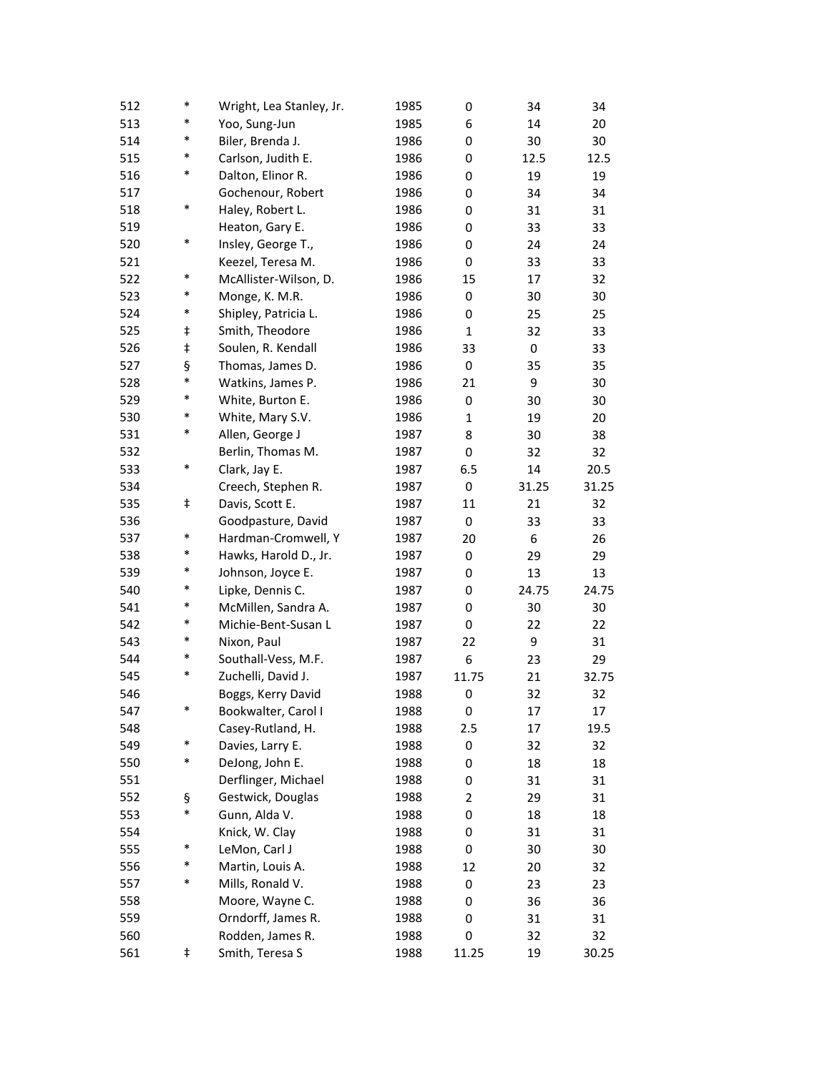| 512 | $\ast$ | Wright, Lea Stanley, Jr. | 1985 | 0            | 34    | 34    |
|-----|--------|--------------------------|------|--------------|-------|-------|
| 513 | *      | Yoo, Sung-Jun            | 1985 | 6            | 14    | 20    |
| 514 | *      | Biler, Brenda J.         | 1986 | 0            | 30    | 30    |
| 515 | *      | Carlson, Judith E.       | 1986 | 0            | 12.5  | 12.5  |
| 516 | *      | Dalton, Elinor R.        | 1986 | 0            | 19    | 19    |
| 517 |        | Gochenour, Robert        | 1986 | 0            | 34    | 34    |
| 518 | *      | Haley, Robert L.         | 1986 | 0            | 31    | 31    |
| 519 |        | Heaton, Gary E.          | 1986 | 0            | 33    | 33    |
| 520 | *      | Insley, George T.,       | 1986 | 0            | 24    | 24    |
| 521 |        | Keezel, Teresa M.        | 1986 | 0            | 33    | 33    |
| 522 | $\ast$ | McAllister-Wilson, D.    | 1986 | 15           | 17    | 32    |
| 523 | *      | Monge, K. M.R.           | 1986 | 0            | 30    | 30    |
| 524 | $\ast$ | Shipley, Patricia L.     | 1986 | 0            | 25    | 25    |
| 525 | ŧ      | Smith, Theodore          | 1986 | $\mathbf{1}$ | 32    | 33    |
| 526 | ŧ      | Soulen, R. Kendall       | 1986 | 33           | 0     | 33    |
| 527 | ş      | Thomas, James D.         | 1986 | 0            | 35    | 35    |
| 528 | *      | Watkins, James P.        | 1986 | 21           | 9     | 30    |
| 529 | $\ast$ | White, Burton E.         | 1986 | 0            | 30    | 30    |
| 530 | *      | White, Mary S.V.         | 1986 | 1            | 19    | 20    |
| 531 | *      | Allen, George J          | 1987 | 8            | 30    | 38    |
| 532 |        | Berlin, Thomas M.        | 1987 | 0            | 32    | 32    |
| 533 | *      | Clark, Jay E.            | 1987 | 6.5          | 14    | 20.5  |
| 534 |        | Creech, Stephen R.       | 1987 | 0            | 31.25 | 31.25 |
| 535 | ŧ      | Davis, Scott E.          | 1987 | 11           | 21    | 32    |
| 536 |        | Goodpasture, David       | 1987 | 0            | 33    | 33    |
| 537 | $\ast$ | Hardman-Cromwell, Y      | 1987 | 20           | 6     | 26    |
| 538 | *      | Hawks, Harold D., Jr.    | 1987 | 0            | 29    | 29    |
| 539 | *      | Johnson, Joyce E.        | 1987 | 0            | 13    | 13    |
| 540 | *      | Lipke, Dennis C.         | 1987 | 0            | 24.75 | 24.75 |
| 541 | *      | McMillen, Sandra A.      | 1987 | 0            | 30    | 30    |
| 542 | *      | Michie-Bent-Susan L      | 1987 | 0            | 22    | 22    |
| 543 | *      | Nixon, Paul              | 1987 | 22           | 9     | 31    |
| 544 | $\ast$ | Southall-Vess, M.F.      | 1987 | 6            | 23    | 29    |
| 545 | $\ast$ | Zuchelli, David J.       | 1987 | 11.75        | 21    | 32.75 |
| 546 |        | Boggs, Kerry David       | 1988 | 0            | 32    | 32    |
| 547 |        | Bookwalter, Carol I      | 1988 | 0            | 17    | 17    |
| 548 |        | Casey-Rutland, H.        | 1988 | 2.5          | 17    | 19.5  |
| 549 | *      | Davies, Larry E.         | 1988 | 0            | 32    | 32    |
| 550 | $\ast$ | DeJong, John E.          | 1988 | 0            | 18    | 18    |
| 551 |        | Derflinger, Michael      | 1988 | 0            | 31    | 31    |
| 552 | ş      | Gestwick, Douglas        | 1988 | 2            | 29    | 31    |
| 553 | $\ast$ | Gunn, Alda V.            | 1988 | 0            | 18    | 18    |
| 554 |        | Knick, W. Clay           | 1988 | 0            | 31    | 31    |
| 555 | *      | LeMon, Carl J            | 1988 | 0            | 30    | 30    |
| 556 | $\ast$ | Martin, Louis A.         | 1988 | 12           | 20    | 32    |
| 557 | $\ast$ | Mills, Ronald V.         | 1988 | 0            | 23    | 23    |
| 558 |        | Moore, Wayne C.          | 1988 | 0            | 36    | 36    |
| 559 |        | Orndorff, James R.       | 1988 | 0            | 31    | 31    |
| 560 |        | Rodden, James R.         | 1988 | 0            | 32    | 32    |
| 561 | ŧ      | Smith, Teresa S          | 1988 | 11.25        | 19    | 30.25 |
|     |        |                          |      |              |       |       |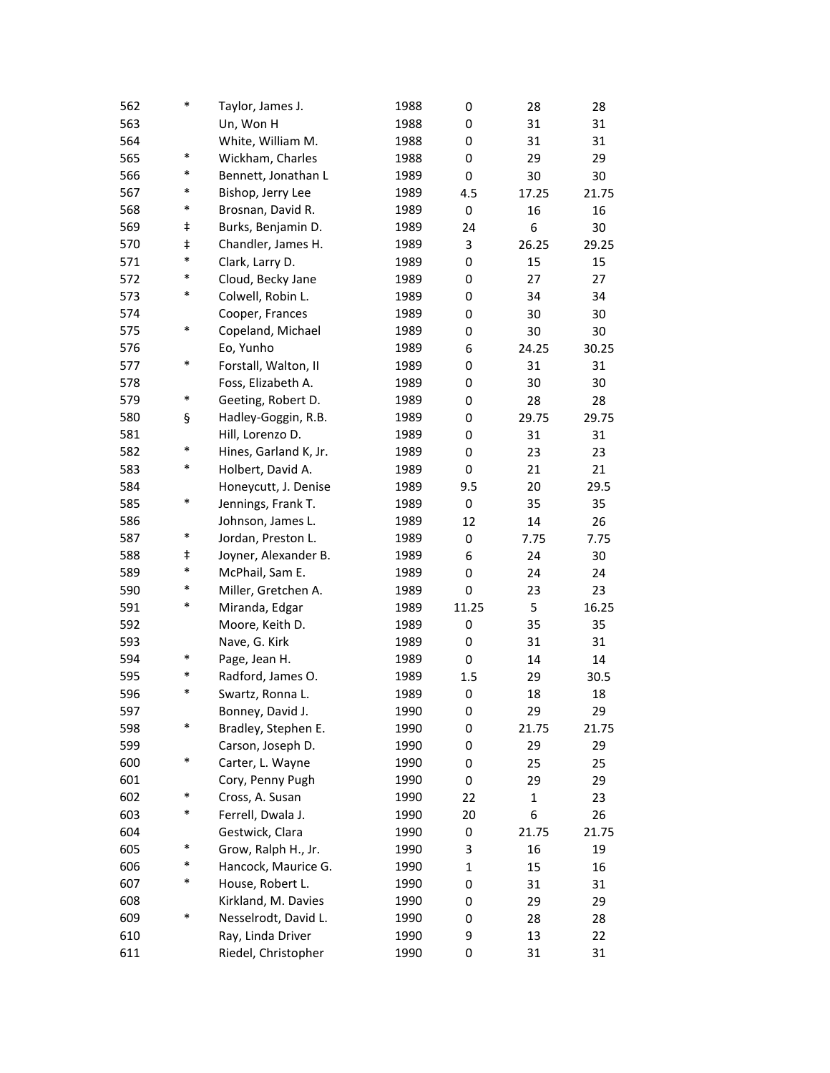| 562 | $\ast$     | Taylor, James J.      | 1988 | 0     | 28           | 28    |
|-----|------------|-----------------------|------|-------|--------------|-------|
| 563 |            | Un, Won H             | 1988 | 0     | 31           | 31    |
| 564 |            | White, William M.     | 1988 | 0     | 31           | 31    |
| 565 | $\ast$     | Wickham, Charles      | 1988 | 0     | 29           | 29    |
| 566 | *          | Bennett, Jonathan L   | 1989 | 0     | 30           | 30    |
| 567 | *          | Bishop, Jerry Lee     | 1989 | 4.5   | 17.25        | 21.75 |
| 568 | $\ast$     | Brosnan, David R.     | 1989 | 0     | 16           | 16    |
| 569 | $\ddagger$ | Burks, Benjamin D.    | 1989 | 24    | 6            | 30    |
| 570 | $\ddagger$ | Chandler, James H.    | 1989 | 3     | 26.25        | 29.25 |
| 571 | *          | Clark, Larry D.       | 1989 | 0     | 15           | 15    |
| 572 | *          | Cloud, Becky Jane     | 1989 | 0     | 27           | 27    |
| 573 | *          | Colwell, Robin L.     | 1989 | 0     | 34           | 34    |
| 574 |            | Cooper, Frances       | 1989 | 0     | 30           | 30    |
| 575 | $\ast$     | Copeland, Michael     | 1989 | 0     | 30           | 30    |
| 576 |            | Eo, Yunho             | 1989 | 6     | 24.25        | 30.25 |
| 577 | $\ast$     | Forstall, Walton, II  | 1989 | 0     | 31           | 31    |
| 578 |            | Foss, Elizabeth A.    | 1989 | 0     | 30           | 30    |
| 579 | $\ast$     | Geeting, Robert D.    | 1989 | 0     | 28           | 28    |
| 580 | ş          | Hadley-Goggin, R.B.   | 1989 | 0     | 29.75        | 29.75 |
| 581 |            | Hill, Lorenzo D.      | 1989 | 0     | 31           | 31    |
| 582 | *          | Hines, Garland K, Jr. | 1989 | 0     | 23           | 23    |
| 583 | $\ast$     | Holbert, David A.     | 1989 | 0     | 21           | 21    |
| 584 |            | Honeycutt, J. Denise  | 1989 | 9.5   | 20           | 29.5  |
| 585 | $\ast$     | Jennings, Frank T.    | 1989 | 0     | 35           | 35    |
| 586 |            | Johnson, James L.     | 1989 | 12    | 14           | 26    |
| 587 | $\ast$     | Jordan, Preston L.    | 1989 | 0     | 7.75         | 7.75  |
| 588 | ŧ          | Joyner, Alexander B.  | 1989 | 6     | 24           | 30    |
| 589 | $\ast$     | McPhail, Sam E.       | 1989 | 0     | 24           | 24    |
| 590 | $\ast$     | Miller, Gretchen A.   | 1989 | 0     | 23           | 23    |
| 591 | *          | Miranda, Edgar        | 1989 | 11.25 | 5            | 16.25 |
| 592 |            | Moore, Keith D.       | 1989 | 0     | 35           | 35    |
| 593 |            | Nave, G. Kirk         | 1989 | 0     | 31           | 31    |
| 594 | $\ast$     | Page, Jean H.         | 1989 | 0     | 14           | 14    |
| 595 | *          | Radford, James O.     | 1989 | 1.5   | 29           | 30.5  |
| 596 | $\ast$     | Swartz, Ronna L.      | 1989 | 0     | 18           | 18    |
| 597 |            | Bonney, David J.      | 1990 | 0     | 29           | 29    |
| 598 | *          | Bradley, Stephen E.   | 1990 | 0     | 21.75        | 21.75 |
| 599 |            | Carson, Joseph D.     | 1990 | 0     | 29           | 29    |
| 600 | $\ast$     | Carter, L. Wayne      | 1990 | 0     | 25           | 25    |
| 601 |            | Cory, Penny Pugh      | 1990 | 0     | 29           | 29    |
| 602 | $\ast$     | Cross, A. Susan       | 1990 | 22    | $\mathbf{1}$ | 23    |
| 603 | *          | Ferrell, Dwala J.     | 1990 | 20    | 6            | 26    |
| 604 |            | Gestwick, Clara       | 1990 | 0     | 21.75        | 21.75 |
| 605 | $\ast$     | Grow, Ralph H., Jr.   | 1990 | 3     | 16           | 19    |
| 606 | *          | Hancock, Maurice G.   | 1990 | 1     | 15           | 16    |
| 607 | *          | House, Robert L.      | 1990 | 0     | 31           | 31    |
| 608 |            | Kirkland, M. Davies   | 1990 | 0     | 29           | 29    |
| 609 | *          | Nesselrodt, David L.  | 1990 | 0     | 28           | 28    |
| 610 |            | Ray, Linda Driver     | 1990 | 9     | 13           | 22    |
| 611 |            | Riedel, Christopher   | 1990 | 0     | 31           | 31    |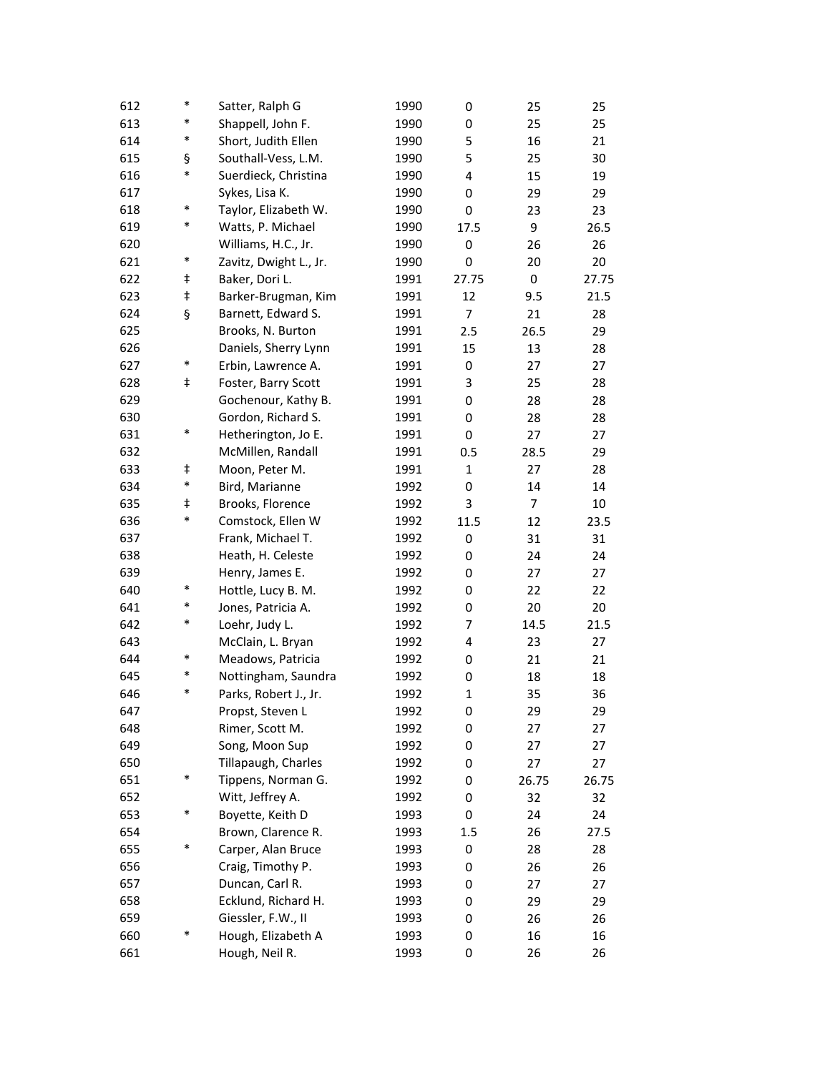| 612 | $\ast$     | Satter, Ralph G        | 1990 | 0            | 25             | 25    |
|-----|------------|------------------------|------|--------------|----------------|-------|
| 613 | *          | Shappell, John F.      | 1990 | 0            | 25             | 25    |
| 614 | $\ast$     | Short, Judith Ellen    | 1990 | 5            | 16             | 21    |
| 615 | ş          | Southall-Vess, L.M.    | 1990 | 5            | 25             | 30    |
| 616 | *          | Suerdieck, Christina   | 1990 | 4            | 15             | 19    |
| 617 |            | Sykes, Lisa K.         | 1990 | 0            | 29             | 29    |
| 618 | $\ast$     | Taylor, Elizabeth W.   | 1990 | 0            | 23             | 23    |
| 619 | $\ast$     | Watts, P. Michael      | 1990 | 17.5         | 9              | 26.5  |
| 620 |            | Williams, H.C., Jr.    | 1990 | 0            | 26             | 26    |
| 621 | $\ast$     | Zavitz, Dwight L., Jr. | 1990 | 0            | 20             | 20    |
| 622 | ŧ          | Baker, Dori L.         | 1991 | 27.75        | 0              | 27.75 |
| 623 | ŧ          | Barker-Brugman, Kim    | 1991 | 12           | 9.5            | 21.5  |
| 624 | ş          | Barnett, Edward S.     | 1991 | 7            | 21             | 28    |
| 625 |            | Brooks, N. Burton      | 1991 | 2.5          | 26.5           | 29    |
| 626 |            | Daniels, Sherry Lynn   | 1991 | 15           | 13             | 28    |
| 627 | $\ast$     | Erbin, Lawrence A.     | 1991 | 0            | 27             | 27    |
| 628 | $\ddagger$ | Foster, Barry Scott    | 1991 | 3            | 25             | 28    |
| 629 |            | Gochenour, Kathy B.    | 1991 | 0            | 28             | 28    |
| 630 |            | Gordon, Richard S.     | 1991 | 0            | 28             | 28    |
| 631 | $\ast$     | Hetherington, Jo E.    | 1991 | 0            | 27             | 27    |
| 632 |            | McMillen, Randall      | 1991 | 0.5          | 28.5           | 29    |
| 633 | ŧ          | Moon, Peter M.         | 1991 | $\mathbf{1}$ | 27             | 28    |
| 634 | $\ast$     | Bird, Marianne         | 1992 | 0            | 14             | 14    |
| 635 | ŧ          | Brooks, Florence       | 1992 | 3            | $\overline{7}$ | 10    |
| 636 | $\ast$     | Comstock, Ellen W      | 1992 | 11.5         | 12             | 23.5  |
| 637 |            | Frank, Michael T.      | 1992 | 0            | 31             | 31    |
| 638 |            | Heath, H. Celeste      | 1992 | 0            | 24             | 24    |
| 639 |            | Henry, James E.        | 1992 | 0            | 27             | 27    |
| 640 | $\ast$     | Hottle, Lucy B. M.     | 1992 | 0            | 22             | 22    |
| 641 | $\ast$     | Jones, Patricia A.     | 1992 | 0            | 20             | 20    |
| 642 | $\ast$     | Loehr, Judy L.         | 1992 | 7            | 14.5           | 21.5  |
| 643 |            | McClain, L. Bryan      | 1992 | 4            | 23             | 27    |
| 644 | $\ast$     | Meadows, Patricia      | 1992 | 0            | 21             | 21    |
| 645 | *          | Nottingham, Saundra    | 1992 | 0            | 18             | 18    |
| 646 | *          | Parks, Robert J., Jr.  | 1992 | $\mathbf{1}$ | 35             | 36    |
| 647 |            | Propst, Steven L       | 1992 | 0            | 29             | 29    |
| 648 |            | Rimer, Scott M.        | 1992 | 0            | 27             | 27    |
| 649 |            | Song, Moon Sup         | 1992 | 0            | 27             | 27    |
| 650 |            | Tillapaugh, Charles    | 1992 | 0            | 27             | 27    |
| 651 | $\ast$     | Tippens, Norman G.     | 1992 | 0            | 26.75          | 26.75 |
| 652 |            | Witt, Jeffrey A.       | 1992 | 0            | 32             | 32    |
| 653 | $\ast$     | Boyette, Keith D       | 1993 | 0            | 24             | 24    |
| 654 |            | Brown, Clarence R.     | 1993 | 1.5          | 26             | 27.5  |
| 655 | $\ast$     | Carper, Alan Bruce     | 1993 | 0            | 28             | 28    |
| 656 |            | Craig, Timothy P.      | 1993 | 0            | 26             | 26    |
| 657 |            | Duncan, Carl R.        | 1993 | 0            | 27             | 27    |
| 658 |            | Ecklund, Richard H.    | 1993 | 0            | 29             | 29    |
| 659 |            | Giessler, F.W., II     | 1993 | 0            | 26             | 26    |
| 660 | $\ast$     | Hough, Elizabeth A     | 1993 | 0            | 16             | 16    |
| 661 |            | Hough, Neil R.         | 1993 | 0            | 26             | 26    |
|     |            |                        |      |              |                |       |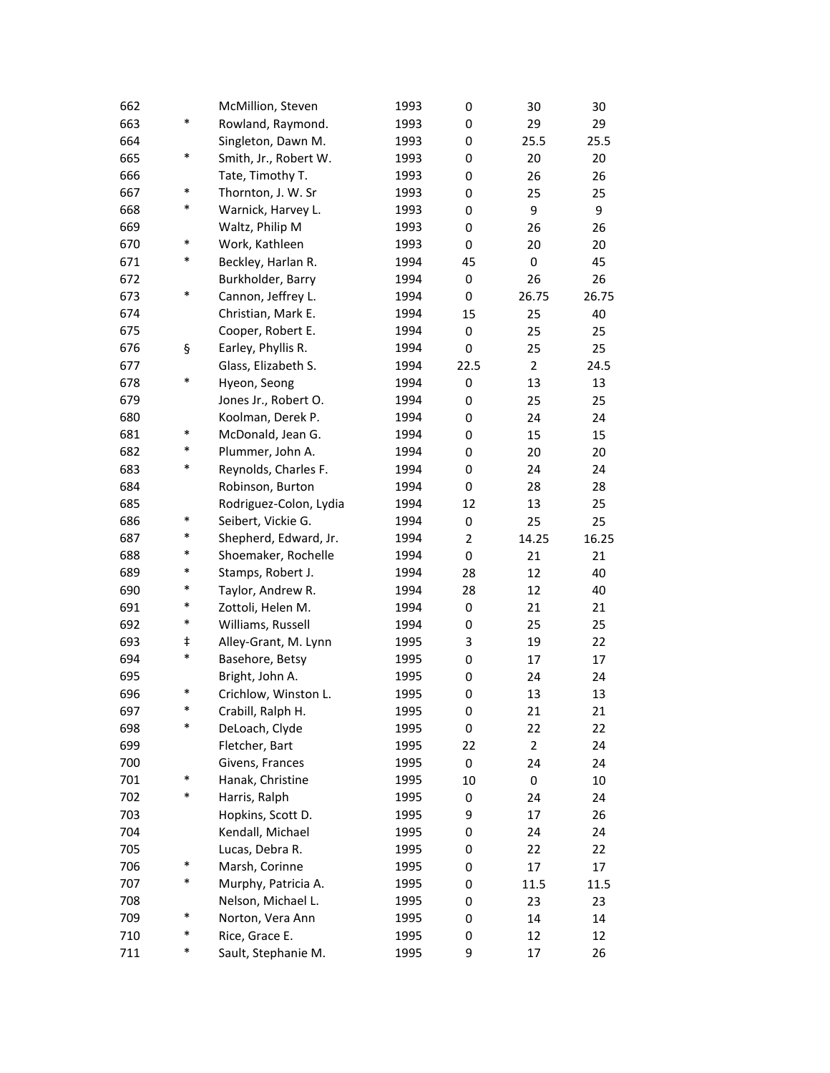| 662 |        | McMillion, Steven      | 1993 | 0    | 30             | 30    |
|-----|--------|------------------------|------|------|----------------|-------|
| 663 | $\ast$ | Rowland, Raymond.      | 1993 | 0    | 29             | 29    |
| 664 |        | Singleton, Dawn M.     | 1993 | 0    | 25.5           | 25.5  |
| 665 | $\ast$ | Smith, Jr., Robert W.  | 1993 | 0    | 20             | 20    |
| 666 |        | Tate, Timothy T.       | 1993 | 0    | 26             | 26    |
| 667 | $\ast$ | Thornton, J. W. Sr     | 1993 | 0    | 25             | 25    |
| 668 | $\ast$ | Warnick, Harvey L.     | 1993 | 0    | 9              | 9     |
| 669 |        | Waltz, Philip M        | 1993 | 0    | 26             | 26    |
| 670 | $\ast$ | Work, Kathleen         | 1993 | 0    | 20             | 20    |
| 671 | $\ast$ | Beckley, Harlan R.     | 1994 | 45   | 0              | 45    |
| 672 |        | Burkholder, Barry      | 1994 | 0    | 26             | 26    |
| 673 | $\ast$ | Cannon, Jeffrey L.     | 1994 | 0    | 26.75          | 26.75 |
| 674 |        | Christian, Mark E.     | 1994 | 15   | 25             | 40    |
| 675 |        | Cooper, Robert E.      | 1994 | 0    | 25             | 25    |
| 676 | ş      | Earley, Phyllis R.     | 1994 | 0    | 25             | 25    |
| 677 |        | Glass, Elizabeth S.    | 1994 | 22.5 | $\overline{2}$ | 24.5  |
| 678 | $\ast$ | Hyeon, Seong           | 1994 | 0    | 13             | 13    |
| 679 |        | Jones Jr., Robert O.   | 1994 | 0    | 25             | 25    |
| 680 |        | Koolman, Derek P.      | 1994 | 0    | 24             | 24    |
| 681 | $\ast$ | McDonald, Jean G.      | 1994 | 0    | 15             | 15    |
| 682 | $\ast$ | Plummer, John A.       | 1994 | 0    | 20             | 20    |
| 683 | *      | Reynolds, Charles F.   | 1994 | 0    | 24             | 24    |
| 684 |        | Robinson, Burton       | 1994 | 0    | 28             | 28    |
| 685 |        | Rodriguez-Colon, Lydia | 1994 | 12   | 13             | 25    |
| 686 | $\ast$ | Seibert, Vickie G.     | 1994 | 0    | 25             | 25    |
| 687 | $\ast$ | Shepherd, Edward, Jr.  | 1994 | 2    | 14.25          | 16.25 |
| 688 | $\ast$ | Shoemaker, Rochelle    | 1994 | 0    | 21             | 21    |
| 689 | $\ast$ | Stamps, Robert J.      | 1994 | 28   | 12             | 40    |
| 690 | *      | Taylor, Andrew R.      | 1994 | 28   | 12             | 40    |
| 691 | $\ast$ | Zottoli, Helen M.      | 1994 | 0    | 21             | 21    |
| 692 | $\ast$ | Williams, Russell      | 1994 | 0    | 25             | 25    |
| 693 | ŧ      | Alley-Grant, M. Lynn   | 1995 | 3    | 19             | 22    |
| 694 | $\ast$ | Basehore, Betsy        | 1995 | 0    | 17             | 17    |
| 695 |        | Bright, John A.        | 1995 | 0    | 24             | 24    |
| 696 | *      | Crichlow, Winston L.   | 1995 | 0    | 13             | 13    |
| 697 | *      | Crabill, Ralph H.      | 1995 | 0    | 21             | 21    |
| 698 | *      | DeLoach, Clyde         | 1995 | 0    | 22             | 22    |
| 699 |        | Fletcher, Bart         | 1995 | 22   | $\overline{2}$ | 24    |
| 700 |        | Givens, Frances        | 1995 | 0    | 24             | 24    |
| 701 | $\ast$ | Hanak, Christine       | 1995 | 10   | 0              | 10    |
| 702 | $\ast$ | Harris, Ralph          | 1995 | 0    | 24             | 24    |
| 703 |        | Hopkins, Scott D.      | 1995 | 9    | 17             | 26    |
| 704 |        | Kendall, Michael       | 1995 | 0    | 24             | 24    |
| 705 |        | Lucas, Debra R.        | 1995 | 0    | 22             | 22    |
| 706 | $\ast$ | Marsh, Corinne         | 1995 | 0    | 17             | 17    |
| 707 | $\ast$ | Murphy, Patricia A.    | 1995 | 0    | 11.5           | 11.5  |
| 708 |        | Nelson, Michael L.     | 1995 | 0    | 23             | 23    |
| 709 | $\ast$ | Norton, Vera Ann       | 1995 | 0    | 14             | 14    |
| 710 | $\ast$ | Rice, Grace E.         | 1995 | 0    | 12             | 12    |
| 711 | $\ast$ | Sault, Stephanie M.    | 1995 | 9    | 17             | 26    |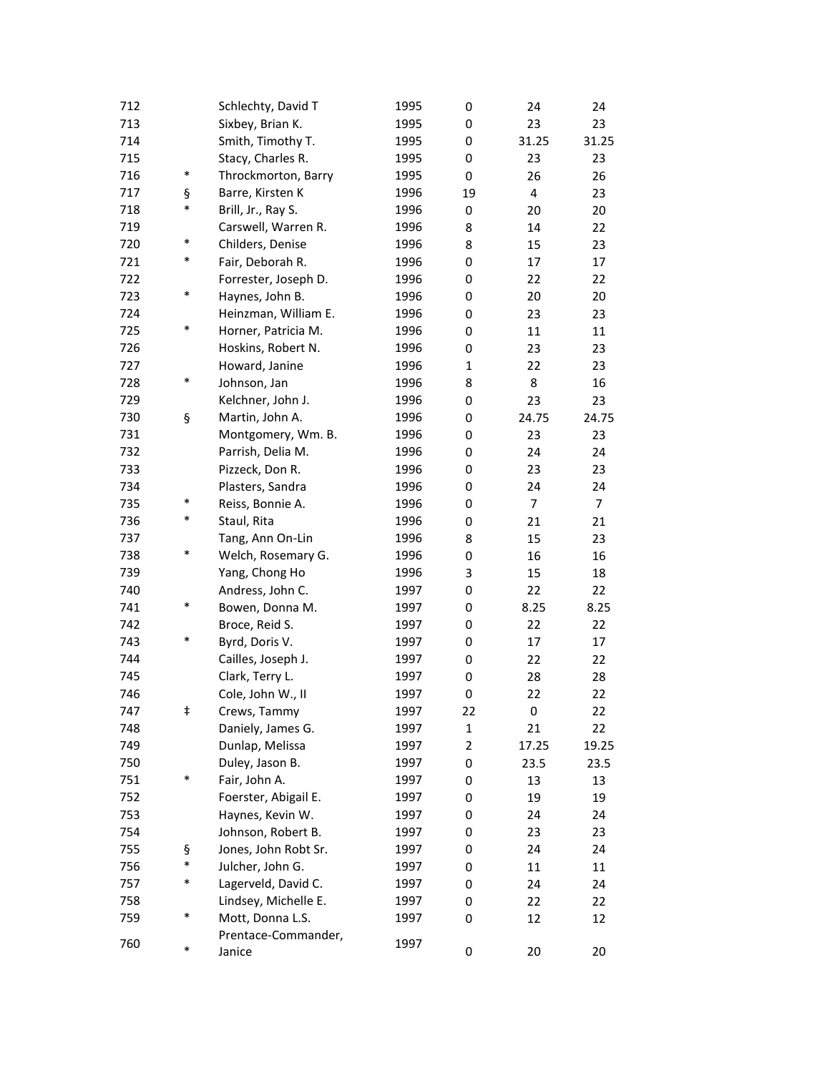| 712 |        | Schlechty, David T   | 1995 | 0              | 24                      | 24             |
|-----|--------|----------------------|------|----------------|-------------------------|----------------|
| 713 |        | Sixbey, Brian K.     | 1995 | 0              | 23                      | 23             |
| 714 |        | Smith, Timothy T.    | 1995 | 0              | 31.25                   | 31.25          |
| 715 |        | Stacy, Charles R.    | 1995 | 0              | 23                      | 23             |
| 716 | $\ast$ | Throckmorton, Barry  | 1995 | 0              | 26                      | 26             |
| 717 | ş      | Barre, Kirsten K     | 1996 | 19             | $\overline{\mathbf{4}}$ | 23             |
| 718 | *      | Brill, Jr., Ray S.   | 1996 | 0              | 20                      | 20             |
| 719 |        | Carswell, Warren R.  | 1996 | 8              | 14                      | 22             |
| 720 | $\ast$ | Childers, Denise     | 1996 | 8              | 15                      | 23             |
| 721 | $\ast$ | Fair, Deborah R.     | 1996 | 0              | 17                      | 17             |
| 722 |        | Forrester, Joseph D. | 1996 | 0              | 22                      | 22             |
| 723 | $\ast$ | Haynes, John B.      | 1996 | 0              | 20                      | 20             |
| 724 |        | Heinzman, William E. | 1996 | 0              | 23                      | 23             |
| 725 | *      | Horner, Patricia M.  | 1996 | 0              | 11                      | 11             |
| 726 |        | Hoskins, Robert N.   | 1996 | 0              | 23                      | 23             |
| 727 |        | Howard, Janine       | 1996 | $\mathbf{1}$   | 22                      | 23             |
| 728 | $\ast$ | Johnson, Jan         | 1996 | 8              | 8                       | 16             |
| 729 |        | Kelchner, John J.    | 1996 | 0              | 23                      | 23             |
| 730 | ş      | Martin, John A.      | 1996 | 0              | 24.75                   | 24.75          |
| 731 |        | Montgomery, Wm. B.   | 1996 | 0              | 23                      | 23             |
| 732 |        | Parrish, Delia M.    | 1996 | 0              | 24                      | 24             |
| 733 |        | Pizzeck, Don R.      | 1996 | 0              | 23                      | 23             |
| 734 |        | Plasters, Sandra     | 1996 | 0              | 24                      | 24             |
| 735 | $\ast$ | Reiss, Bonnie A.     | 1996 | 0              | 7                       | $\overline{7}$ |
| 736 | $\ast$ | Staul, Rita          | 1996 | 0              | 21                      | 21             |
| 737 |        | Tang, Ann On-Lin     | 1996 | 8              | 15                      | 23             |
| 738 | $\ast$ | Welch, Rosemary G.   | 1996 | 0              | 16                      | 16             |
| 739 |        | Yang, Chong Ho       | 1996 | 3              | 15                      | 18             |
| 740 |        | Andress, John C.     | 1997 | 0              | 22                      | 22             |
| 741 | *      | Bowen, Donna M.      | 1997 | 0              | 8.25                    | 8.25           |
| 742 |        | Broce, Reid S.       | 1997 | 0              | 22                      | 22             |
| 743 | *      | Byrd, Doris V.       | 1997 | 0              | 17                      | 17             |
| 744 |        | Cailles, Joseph J.   | 1997 | 0              | 22                      | 22             |
| 745 |        | Clark, Terry L.      | 1997 | 0              | 28                      | 28             |
| 746 |        | Cole, John W., II    | 1997 | 0              | 22                      | 22             |
| 747 | ŧ      | Crews, Tammy         | 1997 | 22             | 0                       | 22             |
| 748 |        | Daniely, James G.    | 1997 | $\mathbf 1$    | 21                      | 22             |
| 749 |        | Dunlap, Melissa      | 1997 | $\overline{2}$ | 17.25                   | 19.25          |
| 750 |        | Duley, Jason B.      | 1997 | 0              | 23.5                    | 23.5           |
| 751 | $\ast$ | Fair, John A.        | 1997 | 0              | 13                      | 13             |
| 752 |        | Foerster, Abigail E. | 1997 | 0              | 19                      | 19             |
| 753 |        | Haynes, Kevin W.     | 1997 | 0              | 24                      | 24             |
| 754 |        | Johnson, Robert B.   | 1997 | 0              | 23                      | 23             |
| 755 | ş      | Jones, John Robt Sr. | 1997 | 0              | 24                      | 24             |
| 756 | $\ast$ | Julcher, John G.     | 1997 | 0              | 11                      | 11             |
| 757 | $\ast$ | Lagerveld, David C.  | 1997 | 0              | 24                      | 24             |
| 758 |        | Lindsey, Michelle E. | 1997 | 0              | 22                      | 22             |
| 759 | $\ast$ | Mott, Donna L.S.     | 1997 | 0              | 12                      | 12             |
|     |        | Prentace-Commander,  |      |                |                         |                |
| 760 | $\ast$ | Janice               | 1997 | 0              | 20                      | 20             |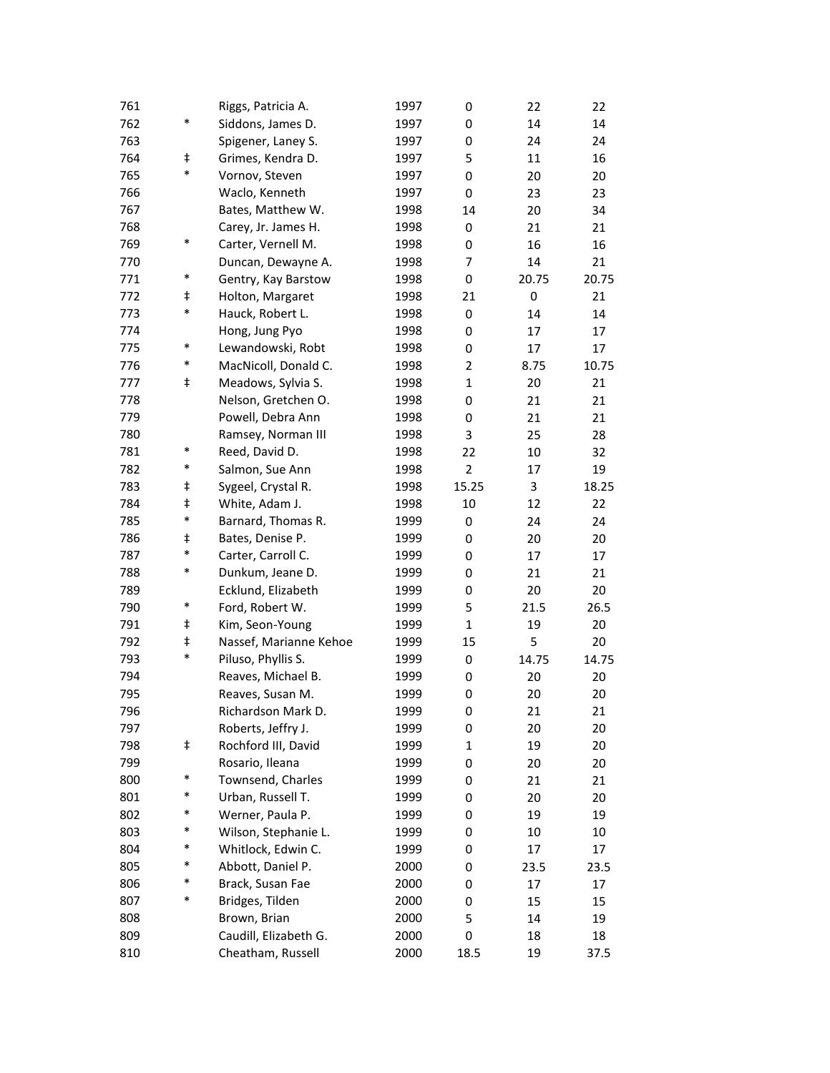| 761 |            | Riggs, Patricia A.     | 1997 | 0              | 22    | 22    |
|-----|------------|------------------------|------|----------------|-------|-------|
| 762 | $\ast$     | Siddons, James D.      | 1997 | 0              | 14    | 14    |
| 763 |            | Spigener, Laney S.     | 1997 | 0              | 24    | 24    |
| 764 | $\ddagger$ | Grimes, Kendra D.      | 1997 | 5              | 11    | 16    |
| 765 | *          | Vornov, Steven         | 1997 | 0              | 20    | 20    |
| 766 |            | Waclo, Kenneth         | 1997 | 0              | 23    | 23    |
| 767 |            | Bates, Matthew W.      | 1998 | 14             | 20    | 34    |
| 768 |            | Carey, Jr. James H.    | 1998 | 0              | 21    | 21    |
| 769 | $\ast$     | Carter, Vernell M.     | 1998 | 0              | 16    | 16    |
| 770 |            | Duncan, Dewayne A.     | 1998 | 7              | 14    | 21    |
| 771 | $\ast$     | Gentry, Kay Barstow    | 1998 | 0              | 20.75 | 20.75 |
| 772 | ŧ          | Holton, Margaret       | 1998 | 21             | 0     | 21    |
| 773 | *          | Hauck, Robert L.       | 1998 | 0              | 14    | 14    |
| 774 |            | Hong, Jung Pyo         | 1998 | 0              | 17    | 17    |
| 775 | $\ast$     | Lewandowski, Robt      | 1998 | 0              | 17    | 17    |
| 776 | $\ast$     | MacNicoll, Donald C.   | 1998 | $\overline{2}$ | 8.75  | 10.75 |
| 777 | ŧ          | Meadows, Sylvia S.     | 1998 | $\mathbf{1}$   | 20    | 21    |
| 778 |            | Nelson, Gretchen O.    | 1998 | 0              | 21    | 21    |
| 779 |            | Powell, Debra Ann      | 1998 | 0              | 21    | 21    |
| 780 |            | Ramsey, Norman III     | 1998 | 3              | 25    | 28    |
| 781 | $\ast$     | Reed, David D.         | 1998 | 22             | 10    | 32    |
| 782 | *          | Salmon, Sue Ann        | 1998 | $\overline{2}$ | 17    | 19    |
| 783 | ŧ          | Sygeel, Crystal R.     | 1998 | 15.25          | 3     | 18.25 |
| 784 | ŧ          | White, Adam J.         | 1998 | 10             | 12    | 22    |
| 785 | $\ast$     | Barnard, Thomas R.     | 1999 | 0              | 24    | 24    |
| 786 | ŧ          | Bates, Denise P.       | 1999 | 0              | 20    | 20    |
| 787 | $\ast$     | Carter, Carroll C.     | 1999 | 0              | 17    | 17    |
| 788 | *          | Dunkum, Jeane D.       | 1999 | 0              | 21    | 21    |
| 789 |            | Ecklund, Elizabeth     | 1999 | 0              | 20    | 20    |
| 790 | $\ast$     | Ford, Robert W.        | 1999 | 5              | 21.5  | 26.5  |
| 791 | ŧ          | Kim, Seon-Young        | 1999 | $\mathbf{1}$   | 19    | 20    |
| 792 | $\ddagger$ | Nassef, Marianne Kehoe | 1999 | 15             | 5     | 20    |
| 793 | *          | Piluso, Phyllis S.     | 1999 | 0              | 14.75 | 14.75 |
| 794 |            | Reaves, Michael B.     | 1999 | 0              | 20    | 20    |
| 795 |            | Reaves, Susan M.       | 1999 | 0              | 20    | 20    |
| 796 |            | Richardson Mark D.     | 1999 | 0              | 21    | 21    |
| 797 |            | Roberts, Jeffry J.     | 1999 | 0              | 20    | 20    |
| 798 | ŧ          | Rochford III, David    | 1999 | $\mathbf{1}$   | 19    | 20    |
| 799 |            | Rosario, Ileana        | 1999 | 0              | 20    | 20    |
| 800 | $\ast$     | Townsend, Charles      | 1999 | 0              | 21    | 21    |
| 801 | *          | Urban, Russell T.      | 1999 | 0              | 20    | 20    |
| 802 | *          | Werner, Paula P.       | 1999 | 0              | 19    | 19    |
| 803 | $\ast$     | Wilson, Stephanie L.   | 1999 | 0              | 10    | 10    |
| 804 | *          | Whitlock, Edwin C.     | 1999 | 0              | 17    | 17    |
| 805 | *          | Abbott, Daniel P.      | 2000 | 0              | 23.5  | 23.5  |
| 806 | $\ast$     | Brack, Susan Fae       | 2000 | 0              | 17    | 17    |
| 807 | *          | Bridges, Tilden        | 2000 | 0              | 15    | 15    |
| 808 |            | Brown, Brian           | 2000 | 5              | 14    | 19    |
| 809 |            | Caudill, Elizabeth G.  | 2000 | 0              | 18    | 18    |
| 810 |            | Cheatham, Russell      | 2000 | 18.5           | 19    | 37.5  |
|     |            |                        |      |                |       |       |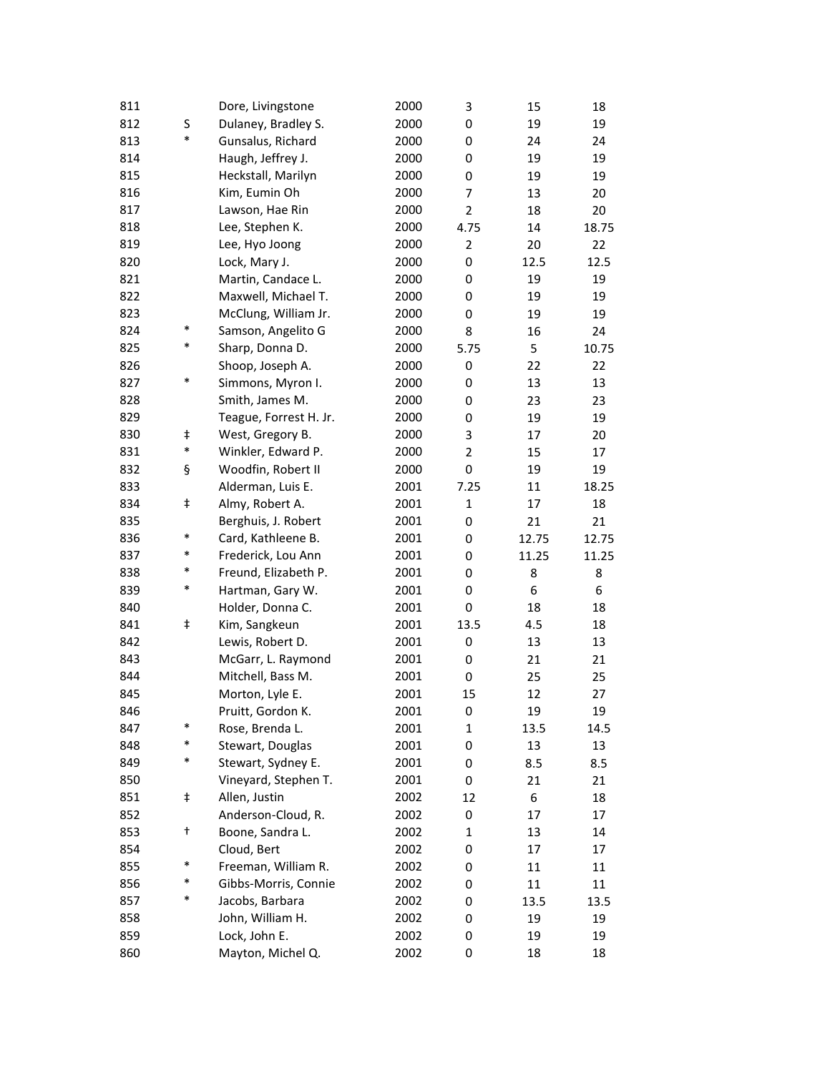| 811 |            | Dore, Livingstone      | 2000 | 3              | 15    | 18    |
|-----|------------|------------------------|------|----------------|-------|-------|
| 812 | S          | Dulaney, Bradley S.    | 2000 | 0              | 19    | 19    |
| 813 | *          | Gunsalus, Richard      | 2000 | 0              | 24    | 24    |
| 814 |            | Haugh, Jeffrey J.      | 2000 | 0              | 19    | 19    |
| 815 |            | Heckstall, Marilyn     | 2000 | 0              | 19    | 19    |
| 816 |            | Kim, Eumin Oh          | 2000 | 7              | 13    | 20    |
| 817 |            | Lawson, Hae Rin        | 2000 | $\overline{2}$ | 18    | 20    |
| 818 |            | Lee, Stephen K.        | 2000 | 4.75           | 14    | 18.75 |
| 819 |            | Lee, Hyo Joong         | 2000 | $\overline{2}$ | 20    | 22    |
| 820 |            | Lock, Mary J.          | 2000 | 0              | 12.5  | 12.5  |
| 821 |            | Martin, Candace L.     | 2000 | 0              | 19    | 19    |
| 822 |            | Maxwell, Michael T.    | 2000 | 0              | 19    | 19    |
| 823 |            | McClung, William Jr.   | 2000 | 0              | 19    | 19    |
| 824 | $\ast$     | Samson, Angelito G     | 2000 | 8              | 16    | 24    |
| 825 | $\ast$     | Sharp, Donna D.        | 2000 | 5.75           | 5     | 10.75 |
| 826 |            | Shoop, Joseph A.       | 2000 | 0              | 22    | 22    |
| 827 | $\ast$     | Simmons, Myron I.      | 2000 | 0              | 13    | 13    |
| 828 |            | Smith, James M.        | 2000 | 0              | 23    | 23    |
| 829 |            | Teague, Forrest H. Jr. | 2000 | 0              | 19    | 19    |
| 830 | ŧ          | West, Gregory B.       | 2000 | 3              | 17    | 20    |
| 831 | $\ast$     | Winkler, Edward P.     | 2000 | 2              | 15    | 17    |
| 832 | ş          | Woodfin, Robert II     | 2000 | 0              | 19    | 19    |
| 833 |            | Alderman, Luis E.      | 2001 | 7.25           | 11    | 18.25 |
| 834 | $\ddagger$ | Almy, Robert A.        | 2001 | $\mathbf{1}$   | 17    | 18    |
| 835 |            | Berghuis, J. Robert    | 2001 | 0              | 21    | 21    |
| 836 | $\ast$     | Card, Kathleene B.     | 2001 | 0              | 12.75 | 12.75 |
| 837 | $\ast$     | Frederick, Lou Ann     | 2001 | 0              | 11.25 | 11.25 |
| 838 | *          | Freund, Elizabeth P.   | 2001 | 0              | 8     | 8     |
| 839 | $\ast$     | Hartman, Gary W.       | 2001 | 0              | 6     | 6     |
| 840 |            | Holder, Donna C.       | 2001 | 0              | 18    | 18    |
| 841 | $\ddagger$ | Kim, Sangkeun          | 2001 | 13.5           | 4.5   | 18    |
| 842 |            | Lewis, Robert D.       | 2001 | 0              | 13    | 13    |
| 843 |            | McGarr, L. Raymond     | 2001 | 0              | 21    | 21    |
| 844 |            | Mitchell, Bass M.      | 2001 | 0              | 25    | 25    |
| 845 |            | Morton, Lyle E.        | 2001 | 15             | 12    | 27    |
| 846 |            | Pruitt, Gordon K.      | 2001 | 0              | 19    | 19    |
| 847 | $\ast$     | Rose, Brenda L.        | 2001 | $\mathbf{1}$   | 13.5  | 14.5  |
| 848 | *          | Stewart, Douglas       | 2001 | 0              | 13    | 13    |
| 849 | $\ast$     | Stewart, Sydney E.     | 2001 | 0              | 8.5   | 8.5   |
| 850 |            | Vineyard, Stephen T.   | 2001 | 0              | 21    | 21    |
| 851 | ŧ          | Allen, Justin          | 2002 | 12             | 6     | 18    |
| 852 |            | Anderson-Cloud, R.     | 2002 | 0              | 17    | 17    |
| 853 | t          | Boone, Sandra L.       | 2002 | $\mathbf 1$    | 13    | 14    |
| 854 |            | Cloud, Bert            | 2002 | 0              | 17    | 17    |
| 855 | $\ast$     | Freeman, William R.    | 2002 | 0              | 11    | 11    |
| 856 | $\ast$     | Gibbs-Morris, Connie   | 2002 | 0              | 11    | 11    |
| 857 | *          | Jacobs, Barbara        | 2002 | 0              | 13.5  | 13.5  |
| 858 |            | John, William H.       | 2002 | 0              | 19    | 19    |
| 859 |            | Lock, John E.          | 2002 | 0              | 19    | 19    |
| 860 |            | Mayton, Michel Q.      | 2002 | 0              | 18    | 18    |
|     |            |                        |      |                |       |       |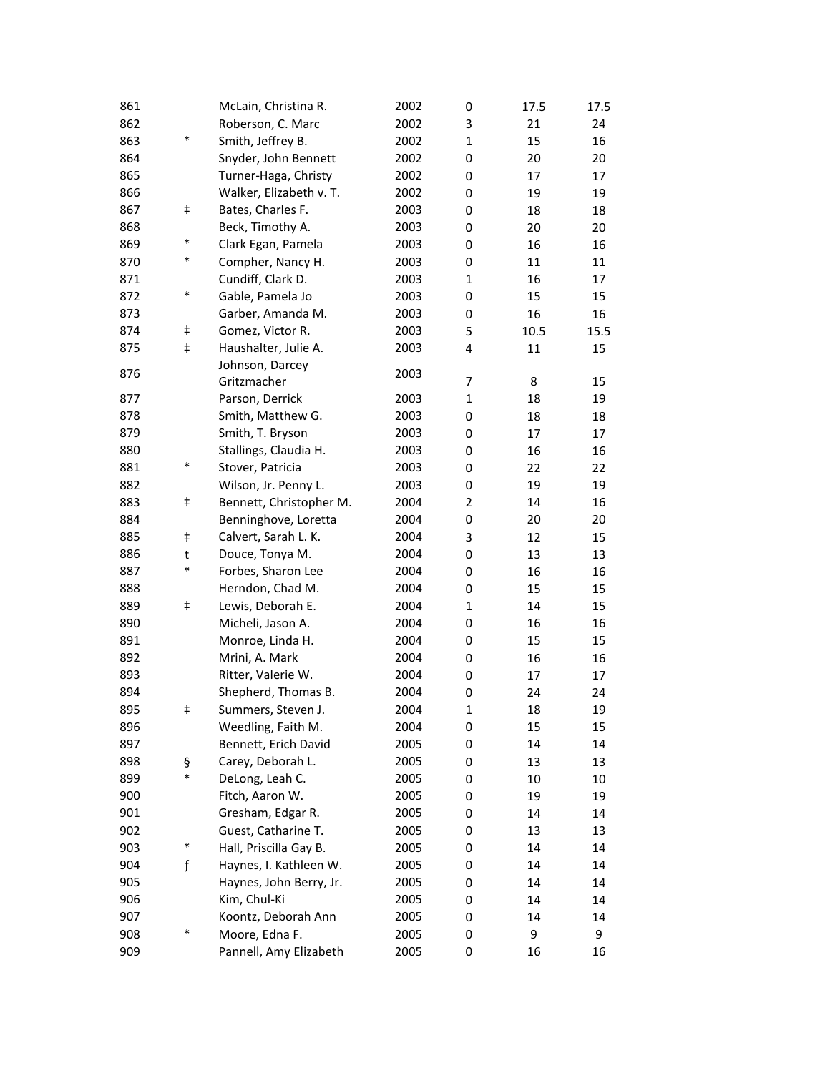| 861 |            | McLain, Christina R.    | 2002 | 0              | 17.5 | 17.5 |
|-----|------------|-------------------------|------|----------------|------|------|
| 862 |            | Roberson, C. Marc       | 2002 | 3              | 21   | 24   |
| 863 | $\ast$     | Smith, Jeffrey B.       | 2002 | 1              | 15   | 16   |
| 864 |            | Snyder, John Bennett    | 2002 | 0              | 20   | 20   |
| 865 |            | Turner-Haga, Christy    | 2002 | 0              | 17   | 17   |
| 866 |            | Walker, Elizabeth v. T. | 2002 | 0              | 19   | 19   |
| 867 | ŧ          | Bates, Charles F.       | 2003 | 0              | 18   | 18   |
| 868 |            | Beck, Timothy A.        | 2003 | 0              | 20   | 20   |
| 869 | $\ast$     | Clark Egan, Pamela      | 2003 | 0              | 16   | 16   |
| 870 | $\ast$     | Compher, Nancy H.       | 2003 | 0              | 11   | 11   |
| 871 |            | Cundiff, Clark D.       | 2003 | $\mathbf{1}$   | 16   | 17   |
| 872 | *          | Gable, Pamela Jo        | 2003 | 0              | 15   | 15   |
| 873 |            | Garber, Amanda M.       | 2003 | 0              | 16   | 16   |
| 874 | ŧ          | Gomez, Victor R.        | 2003 | 5              | 10.5 | 15.5 |
| 875 | $\ddagger$ | Haushalter, Julie A.    | 2003 | 4              | 11   | 15   |
|     |            | Johnson, Darcey         |      |                |      |      |
| 876 |            | Gritzmacher             | 2003 | 7              | 8    | 15   |
| 877 |            | Parson, Derrick         | 2003 | $\mathbf{1}$   | 18   | 19   |
| 878 |            | Smith, Matthew G.       | 2003 | 0              | 18   | 18   |
| 879 |            | Smith, T. Bryson        | 2003 | 0              | 17   | 17   |
| 880 |            | Stallings, Claudia H.   | 2003 | 0              | 16   | 16   |
| 881 | $\ast$     | Stover, Patricia        | 2003 | 0              | 22   | 22   |
| 882 |            | Wilson, Jr. Penny L.    | 2003 | 0              | 19   | 19   |
| 883 | $\ddagger$ | Bennett, Christopher M. | 2004 | $\overline{2}$ | 14   | 16   |
| 884 |            | Benninghove, Loretta    | 2004 | 0              | 20   | 20   |
| 885 | $\ddagger$ | Calvert, Sarah L. K.    | 2004 | 3              | 12   | 15   |
| 886 | t          | Douce, Tonya M.         | 2004 | 0              | 13   | 13   |
| 887 | *          | Forbes, Sharon Lee      | 2004 | 0              | 16   | 16   |
| 888 |            | Herndon, Chad M.        | 2004 | 0              | 15   | 15   |
| 889 | ŧ          | Lewis, Deborah E.       | 2004 | $\mathbf{1}$   | 14   | 15   |
| 890 |            | Micheli, Jason A.       | 2004 | 0              | 16   | 16   |
| 891 |            | Monroe, Linda H.        | 2004 | 0              | 15   | 15   |
| 892 |            | Mrini, A. Mark          | 2004 | 0              | 16   | 16   |
| 893 |            | Ritter, Valerie W.      | 2004 | 0              | 17   | 17   |
| 894 |            | Shepherd, Thomas B.     | 2004 | 0              | 24   | 24   |
| 895 | Ŧ          | Summers, Steven J.      | 2004 | 1              | 18   | 19   |
| 896 |            | Weedling, Faith M.      | 2004 | 0              | 15   | 15   |
| 897 |            | Bennett, Erich David    | 2005 | 0              | 14   | 14   |
| 898 | ş          | Carey, Deborah L.       | 2005 | 0              | 13   | 13   |
| 899 | $\ast$     | DeLong, Leah C.         | 2005 | 0              | 10   | 10   |
| 900 |            | Fitch, Aaron W.         | 2005 | 0              | 19   | 19   |
| 901 |            | Gresham, Edgar R.       | 2005 | 0              | 14   | 14   |
| 902 |            | Guest, Catharine T.     | 2005 | 0              | 13   | 13   |
| 903 | $\ast$     | Hall, Priscilla Gay B.  | 2005 | 0              | 14   | 14   |
| 904 | f          | Haynes, I. Kathleen W.  | 2005 | 0              | 14   | 14   |
| 905 |            | Haynes, John Berry, Jr. | 2005 | 0              | 14   | 14   |
| 906 |            | Kim, Chul-Ki            | 2005 | 0              | 14   | 14   |
| 907 |            | Koontz, Deborah Ann     | 2005 | 0              | 14   | 14   |
| 908 | $\ast$     | Moore, Edna F.          | 2005 | 0              | 9    | 9    |
| 909 |            | Pannell, Amy Elizabeth  | 2005 | 0              | 16   | 16   |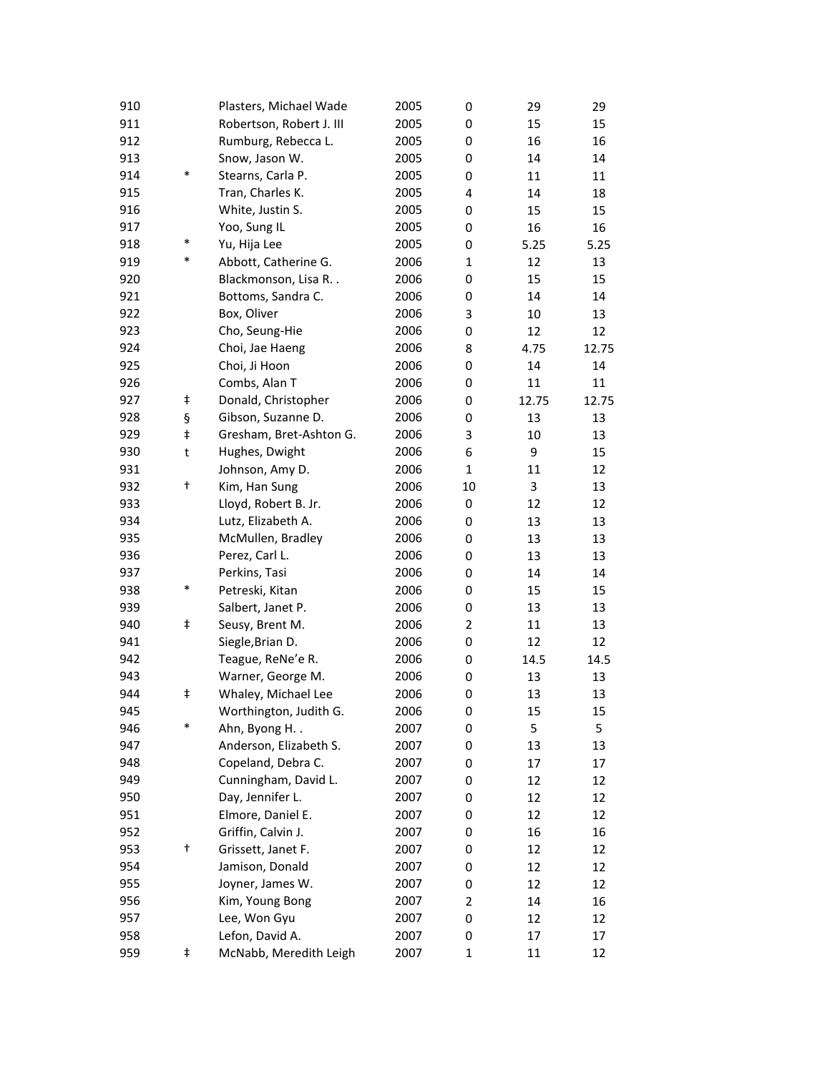| 910 |        | Plasters, Michael Wade   | 2005 | 0              | 29    | 29       |
|-----|--------|--------------------------|------|----------------|-------|----------|
| 911 |        | Robertson, Robert J. III | 2005 | 0              | 15    | 15       |
| 912 |        | Rumburg, Rebecca L.      | 2005 | 0              | 16    | 16       |
| 913 |        | Snow, Jason W.           | 2005 | 0              | 14    | 14       |
| 914 | $\ast$ | Stearns, Carla P.        | 2005 | 0              | 11    | 11       |
| 915 |        | Tran, Charles K.         | 2005 | 4              | 14    | 18       |
| 916 |        | White, Justin S.         | 2005 | 0              | 15    | 15       |
| 917 |        | Yoo, Sung IL             | 2005 | 0              | 16    | 16       |
| 918 | $\ast$ | Yu, Hija Lee             | 2005 | 0              | 5.25  | 5.25     |
| 919 | $\ast$ | Abbott, Catherine G.     | 2006 | $\mathbf{1}$   | 12    | 13       |
| 920 |        | Blackmonson, Lisa R. .   | 2006 | 0              | 15    | 15       |
| 921 |        | Bottoms, Sandra C.       | 2006 | 0              | 14    | 14       |
| 922 |        | Box, Oliver              | 2006 | 3              | 10    | 13       |
| 923 |        | Cho, Seung-Hie           | 2006 | 0              | 12    | 12       |
| 924 |        | Choi, Jae Haeng          | 2006 | 8              | 4.75  | 12.75    |
| 925 |        | Choi, Ji Hoon            | 2006 | 0              | 14    | 14       |
| 926 |        | Combs, Alan T            | 2006 | 0              | 11    | 11       |
| 927 | ŧ      | Donald, Christopher      | 2006 | 0              | 12.75 | 12.75    |
| 928 | ş      | Gibson, Suzanne D.       | 2006 | 0              | 13    | 13       |
| 929 | ŧ      | Gresham, Bret-Ashton G.  | 2006 | 3              | 10    | 13       |
| 930 | t      | Hughes, Dwight           | 2006 | 6              | 9     | 15       |
| 931 |        | Johnson, Amy D.          | 2006 | $\mathbf 1$    | 11    | 12       |
| 932 | t      | Kim, Han Sung            | 2006 | 10             | 3     | 13       |
| 933 |        | Lloyd, Robert B. Jr.     | 2006 | 0              | 12    | 12       |
| 934 |        | Lutz, Elizabeth A.       | 2006 | 0              | 13    | 13       |
| 935 |        | McMullen, Bradley        | 2006 | 0              | 13    | 13       |
| 936 |        | Perez, Carl L.           | 2006 |                | 13    |          |
| 937 |        | Perkins, Tasi            | 2006 | 0              | 14    | 13<br>14 |
|     | $\ast$ |                          |      | 0              |       |          |
| 938 |        | Petreski, Kitan          | 2006 | 0              | 15    | 15       |
| 939 |        | Salbert, Janet P.        | 2006 | 0              | 13    | 13       |
| 940 | ŧ      | Seusy, Brent M.          | 2006 | $\overline{2}$ | 11    | 13       |
| 941 |        | Siegle, Brian D.         | 2006 | 0              | 12    | 12       |
| 942 |        | Teague, ReNe'e R.        | 2006 | 0              | 14.5  | 14.5     |
| 943 |        | Warner, George M.        | 2006 | 0              | 13    | 13       |
| 944 | ŧ      | Whaley, Michael Lee      | 2006 | 0              | 13    | 13       |
| 945 |        | Worthington, Judith G.   | 2006 | 0              | 15    | 15       |
| 946 | $\ast$ | Ahn, Byong H. .          | 2007 | 0              | 5     | 5        |
| 947 |        | Anderson, Elizabeth S.   | 2007 | 0              | 13    | 13       |
| 948 |        | Copeland, Debra C.       | 2007 | 0              | 17    | 17       |
| 949 |        | Cunningham, David L.     | 2007 | 0              | 12    | 12       |
| 950 |        | Day, Jennifer L.         | 2007 | 0              | 12    | 12       |
| 951 |        | Elmore, Daniel E.        | 2007 | 0              | 12    | 12       |
| 952 |        | Griffin, Calvin J.       | 2007 | 0              | 16    | 16       |
| 953 | t      | Grissett, Janet F.       | 2007 | 0              | 12    | 12       |
| 954 |        | Jamison, Donald          | 2007 | 0              | 12    | 12       |
| 955 |        | Joyner, James W.         | 2007 | 0              | 12    | 12       |
| 956 |        | Kim, Young Bong          | 2007 | 2              | 14    | 16       |
| 957 |        | Lee, Won Gyu             | 2007 | 0              | 12    | 12       |
| 958 |        | Lefon, David A.          | 2007 | 0              | 17    | 17       |
| 959 | ŧ      | McNabb, Meredith Leigh   | 2007 | 1              | 11    | 12       |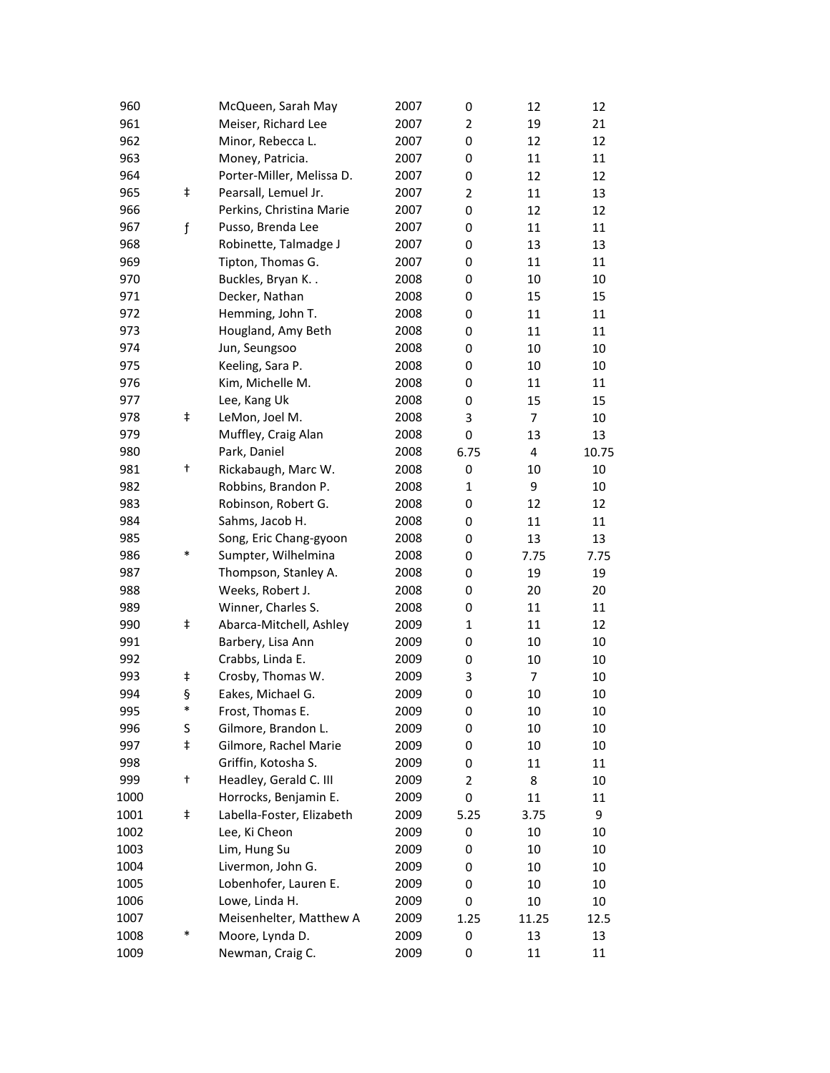| 960  |               | McQueen, Sarah May        | 2007 | 0              | 12             | 12    |
|------|---------------|---------------------------|------|----------------|----------------|-------|
| 961  |               | Meiser, Richard Lee       | 2007 | $\overline{2}$ | 19             | 21    |
| 962  |               | Minor, Rebecca L.         | 2007 | 0              | 12             | 12    |
| 963  |               | Money, Patricia.          | 2007 | 0              | 11             | 11    |
| 964  |               | Porter-Miller, Melissa D. | 2007 | 0              | 12             | 12    |
| 965  | ŧ             | Pearsall, Lemuel Jr.      | 2007 | $\overline{2}$ | 11             | 13    |
| 966  |               | Perkins, Christina Marie  | 2007 | 0              | 12             | 12    |
| 967  | $\mathfrak f$ | Pusso, Brenda Lee         | 2007 | 0              | 11             | 11    |
| 968  |               | Robinette, Talmadge J     | 2007 | 0              | 13             | 13    |
| 969  |               | Tipton, Thomas G.         | 2007 | 0              | 11             | 11    |
| 970  |               | Buckles, Bryan K          | 2008 | 0              | 10             | 10    |
| 971  |               | Decker, Nathan            | 2008 | 0              | 15             | 15    |
| 972  |               | Hemming, John T.          | 2008 | 0              | 11             | 11    |
| 973  |               | Hougland, Amy Beth        | 2008 | 0              | 11             | 11    |
| 974  |               | Jun, Seungsoo             | 2008 | 0              | 10             | 10    |
| 975  |               | Keeling, Sara P.          | 2008 | 0              | 10             | 10    |
| 976  |               | Kim, Michelle M.          | 2008 | 0              | 11             | 11    |
| 977  |               | Lee, Kang Uk              | 2008 | 0              | 15             | 15    |
| 978  | ŧ             | LeMon, Joel M.            | 2008 | 3              | $\overline{7}$ | 10    |
| 979  |               | Muffley, Craig Alan       | 2008 | 0              | 13             | 13    |
| 980  |               | Park, Daniel              | 2008 | 6.75           | 4              | 10.75 |
| 981  | t             | Rickabaugh, Marc W.       | 2008 | 0              | 10             | 10    |
| 982  |               | Robbins, Brandon P.       | 2008 | $\mathbf{1}$   | 9              | 10    |
| 983  |               | Robinson, Robert G.       | 2008 | 0              | 12             | 12    |
| 984  |               | Sahms, Jacob H.           | 2008 | 0              | 11             | 11    |
| 985  |               | Song, Eric Chang-gyoon    | 2008 | 0              | 13             | 13    |
| 986  | *             | Sumpter, Wilhelmina       | 2008 | 0              |                |       |
| 987  |               |                           |      |                | 7.75           | 7.75  |
|      |               | Thompson, Stanley A.      | 2008 | 0              | 19             | 19    |
| 988  |               | Weeks, Robert J.          | 2008 | 0              | 20             | 20    |
| 989  |               | Winner, Charles S.        | 2008 | 0              | 11             | 11    |
| 990  | $\ddagger$    | Abarca-Mitchell, Ashley   | 2009 | $\mathbf{1}$   | 11             | 12    |
| 991  |               | Barbery, Lisa Ann         | 2009 | 0              | 10             | 10    |
| 992  |               | Crabbs, Linda E.          | 2009 | 0              | 10             | 10    |
| 993  | ŧ             | Crosby, Thomas W.         | 2009 | 3              | $\overline{7}$ | 10    |
| 994  | ş             | Eakes, Michael G.         | 2009 | 0              | 10             | 10    |
| 995  | $\ast$        | Frost, Thomas E.          | 2009 | 0              | 10             | 10    |
| 996  | S             | Gilmore, Brandon L.       | 2009 | 0              | 10             | 10    |
| 997  | ŧ             | Gilmore, Rachel Marie     | 2009 | 0              | 10             | 10    |
| 998  |               | Griffin, Kotosha S.       | 2009 | 0              | 11             | 11    |
| 999  | t             | Headley, Gerald C. III    | 2009 | $\overline{2}$ | 8              | 10    |
| 1000 |               | Horrocks, Benjamin E.     | 2009 | 0              | 11             | 11    |
| 1001 | ŧ             | Labella-Foster, Elizabeth | 2009 | 5.25           | 3.75           | 9     |
| 1002 |               | Lee, Ki Cheon             | 2009 | 0              | 10             | 10    |
| 1003 |               | Lim, Hung Su              | 2009 | 0              | 10             | 10    |
| 1004 |               | Livermon, John G.         | 2009 | 0              | 10             | 10    |
| 1005 |               | Lobenhofer, Lauren E.     | 2009 | 0              | 10             | 10    |
| 1006 |               | Lowe, Linda H.            | 2009 | 0              | 10             | 10    |
| 1007 |               | Meisenhelter, Matthew A   | 2009 | 1.25           | 11.25          | 12.5  |
| 1008 | *             | Moore, Lynda D.           | 2009 | 0              | 13             | 13    |
| 1009 |               | Newman, Craig C.          | 2009 | 0              | 11             | 11    |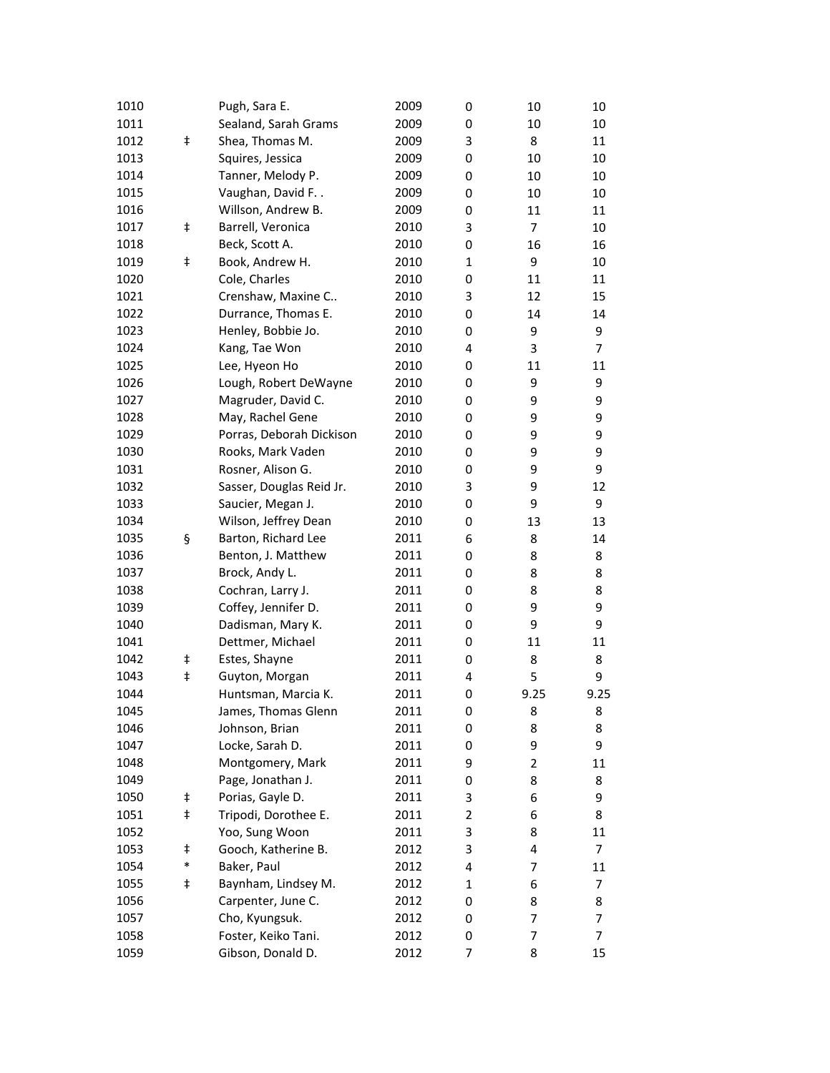| 1010 |            | Pugh, Sara E.            | 2009 | 0            | 10             | 10             |
|------|------------|--------------------------|------|--------------|----------------|----------------|
| 1011 |            | Sealand, Sarah Grams     | 2009 | 0            | 10             | 10             |
| 1012 | $\ddagger$ | Shea, Thomas M.          | 2009 | 3            | 8              | 11             |
| 1013 |            | Squires, Jessica         | 2009 | 0            | 10             | 10             |
| 1014 |            | Tanner, Melody P.        | 2009 | 0            | 10             | 10             |
| 1015 |            | Vaughan, David F         | 2009 | 0            | 10             | 10             |
| 1016 |            | Willson, Andrew B.       | 2009 | 0            | 11             | 11             |
| 1017 | ŧ          | Barrell, Veronica        | 2010 | 3            | 7              | 10             |
| 1018 |            | Beck, Scott A.           | 2010 | 0            | 16             | 16             |
| 1019 | ŧ          | Book, Andrew H.          | 2010 | $\mathbf{1}$ | 9              | 10             |
| 1020 |            | Cole, Charles            | 2010 | 0            | 11             | 11             |
| 1021 |            | Crenshaw, Maxine C       | 2010 | 3            | 12             | 15             |
| 1022 |            | Durrance, Thomas E.      | 2010 | 0            | 14             | 14             |
| 1023 |            | Henley, Bobbie Jo.       | 2010 | 0            | 9              | 9              |
| 1024 |            | Kang, Tae Won            | 2010 | 4            | 3              | $\overline{7}$ |
| 1025 |            | Lee, Hyeon Ho            | 2010 | 0            | 11             | 11             |
| 1026 |            | Lough, Robert DeWayne    | 2010 | 0            | 9              | 9              |
| 1027 |            | Magruder, David C.       | 2010 | 0            | 9              | 9              |
| 1028 |            | May, Rachel Gene         | 2010 | 0            | 9              | 9              |
| 1029 |            | Porras, Deborah Dickison | 2010 | 0            | 9              | 9              |
| 1030 |            | Rooks, Mark Vaden        | 2010 | 0            | 9              | 9              |
| 1031 |            | Rosner, Alison G.        | 2010 | 0            | 9              | 9              |
| 1032 |            | Sasser, Douglas Reid Jr. | 2010 | 3            | 9              | 12             |
| 1033 |            | Saucier, Megan J.        | 2010 | 0            | 9              | 9              |
| 1034 |            | Wilson, Jeffrey Dean     | 2010 | 0            | 13             | 13             |
| 1035 | ş          | Barton, Richard Lee      | 2011 | 6            | 8              | 14             |
| 1036 |            | Benton, J. Matthew       | 2011 | 0            | 8              | 8              |
| 1037 |            | Brock, Andy L.           | 2011 | 0            | 8              | 8              |
| 1038 |            | Cochran, Larry J.        | 2011 | 0            | 8              | 8              |
| 1039 |            | Coffey, Jennifer D.      | 2011 | 0            | 9              | 9              |
| 1040 |            | Dadisman, Mary K.        | 2011 | 0            | 9              | 9              |
| 1041 |            | Dettmer, Michael         | 2011 | 0            | 11             | 11             |
| 1042 | ŧ          | Estes, Shayne            | 2011 | 0            | 8              | 8              |
| 1043 | ŧ          | Guyton, Morgan           | 2011 | 4            | 5              | 9              |
| 1044 |            | Huntsman, Marcia K.      | 2011 | 0            | 9.25           | 9.25           |
| 1045 |            | James, Thomas Glenn      | 2011 | 0            | 8              | 8              |
| 1046 |            | Johnson, Brian           | 2011 | 0            | 8              | 8              |
| 1047 |            | Locke, Sarah D.          | 2011 | 0            | 9              | 9              |
| 1048 |            | Montgomery, Mark         | 2011 | 9            | $\overline{2}$ | 11             |
| 1049 |            | Page, Jonathan J.        | 2011 | 0            | 8              | 8              |
| 1050 | ŧ          | Porias, Gayle D.         | 2011 | 3            | 6              | 9              |
| 1051 | $\ddagger$ | Tripodi, Dorothee E.     | 2011 | 2            | 6              | 8              |
| 1052 |            | Yoo, Sung Woon           | 2011 | 3            | 8              | 11             |
| 1053 | ŧ          | Gooch, Katherine B.      | 2012 | 3            | 4              | 7              |
| 1054 | $\ast$     | Baker, Paul              | 2012 | 4            | 7              | 11             |
| 1055 | ŧ          | Baynham, Lindsey M.      | 2012 | 1            | 6              | 7              |
| 1056 |            | Carpenter, June C.       | 2012 | 0            | 8              | 8              |
| 1057 |            | Cho, Kyungsuk.           | 2012 | 0            | 7              | 7              |
| 1058 |            | Foster, Keiko Tani.      | 2012 | 0            | 7              | 7              |
| 1059 |            | Gibson, Donald D.        | 2012 | 7            | 8              |                |
|      |            |                          |      |              |                | 15             |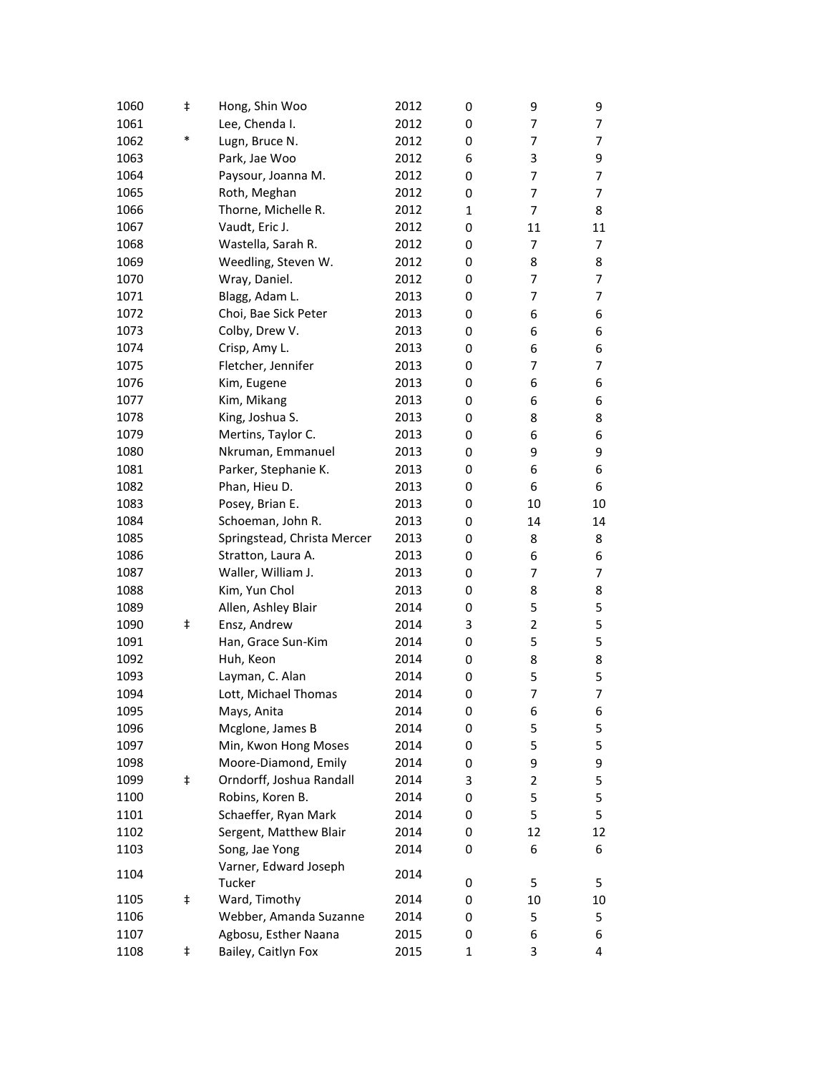| 1060 | ŧ          | Hong, Shin Woo              | 2012 | 0            | 9              | 9  |
|------|------------|-----------------------------|------|--------------|----------------|----|
| 1061 |            | Lee, Chenda I.              | 2012 | 0            | 7              | 7  |
| 1062 | *          | Lugn, Bruce N.              | 2012 | 0            | 7              | 7  |
| 1063 |            | Park, Jae Woo               | 2012 | 6            | 3              | 9  |
| 1064 |            | Paysour, Joanna M.          | 2012 | 0            | 7              | 7  |
| 1065 |            | Roth, Meghan                | 2012 | 0            | 7              | 7  |
| 1066 |            | Thorne, Michelle R.         | 2012 | $\mathbf{1}$ | 7              | 8  |
| 1067 |            | Vaudt, Eric J.              | 2012 | 0            | 11             | 11 |
| 1068 |            | Wastella, Sarah R.          | 2012 | 0            | 7              | 7  |
| 1069 |            | Weedling, Steven W.         | 2012 | 0            | 8              | 8  |
| 1070 |            | Wray, Daniel.               | 2012 | 0            | 7              | 7  |
| 1071 |            | Blagg, Adam L.              | 2013 | 0            | 7              | 7  |
| 1072 |            | Choi, Bae Sick Peter        | 2013 | 0            | 6              | 6  |
| 1073 |            | Colby, Drew V.              | 2013 | 0            | 6              | 6  |
| 1074 |            | Crisp, Amy L.               | 2013 | 0            | 6              | 6  |
| 1075 |            | Fletcher, Jennifer          | 2013 | 0            | 7              | 7  |
| 1076 |            | Kim, Eugene                 | 2013 | 0            | 6              | 6  |
| 1077 |            | Kim, Mikang                 | 2013 | 0            | 6              | 6  |
| 1078 |            | King, Joshua S.             | 2013 | 0            | 8              | 8  |
| 1079 |            | Mertins, Taylor C.          | 2013 | 0            | 6              | 6  |
| 1080 |            | Nkruman, Emmanuel           | 2013 | 0            | 9              | 9  |
| 1081 |            | Parker, Stephanie K.        | 2013 | 0            | 6              | 6  |
| 1082 |            | Phan, Hieu D.               | 2013 | 0            | 6              | 6  |
| 1083 |            | Posey, Brian E.             | 2013 | 0            | 10             | 10 |
| 1084 |            | Schoeman, John R.           | 2013 | 0            | 14             | 14 |
| 1085 |            | Springstead, Christa Mercer | 2013 | 0            | 8              | 8  |
| 1086 |            | Stratton, Laura A.          | 2013 | 0            | 6              | 6  |
| 1087 |            | Waller, William J.          | 2013 | 0            | 7              | 7  |
| 1088 |            | Kim, Yun Chol               | 2013 | 0            | 8              | 8  |
| 1089 |            | Allen, Ashley Blair         | 2014 | 0            | 5              | 5  |
| 1090 | ŧ          | Ensz, Andrew                | 2014 | 3            | $\overline{2}$ | 5  |
| 1091 |            | Han, Grace Sun-Kim          | 2014 | 0            | 5              | 5  |
| 1092 |            | Huh, Keon                   | 2014 | 0            | 8              | 8  |
| 1093 |            | Layman, C. Alan             | 2014 | 0            | 5              | 5  |
| 1094 |            | Lott, Michael Thomas        | 2014 | 0            | 7              | 7  |
| 1095 |            | Mays, Anita                 | 2014 | 0            | 6              | 6  |
| 1096 |            | Mcglone, James B            | 2014 | 0            | 5              | 5  |
| 1097 |            | Min, Kwon Hong Moses        | 2014 | 0            | 5              | 5  |
| 1098 |            | Moore-Diamond, Emily        | 2014 | 0            | 9              | 9  |
| 1099 | $\ddagger$ | Orndorff, Joshua Randall    | 2014 | 3            | $\overline{2}$ | 5  |
| 1100 |            | Robins, Koren B.            | 2014 | 0            | 5              | 5  |
| 1101 |            | Schaeffer, Ryan Mark        | 2014 | 0            | 5              | 5  |
| 1102 |            | Sergent, Matthew Blair      | 2014 | 0            | 12             | 12 |
| 1103 |            | Song, Jae Yong              | 2014 | 0            | 6              | 6  |
| 1104 |            | Varner, Edward Joseph       | 2014 |              |                |    |
|      |            | Tucker                      |      | 0            | 5              | 5  |
| 1105 | ŧ          | Ward, Timothy               | 2014 | 0            | 10             | 10 |
| 1106 |            | Webber, Amanda Suzanne      | 2014 | 0            | 5              | 5  |
| 1107 |            | Agbosu, Esther Naana        | 2015 | 0            | 6              | 6  |
| 1108 | ŧ          | Bailey, Caitlyn Fox         | 2015 | 1            | 3              | 4  |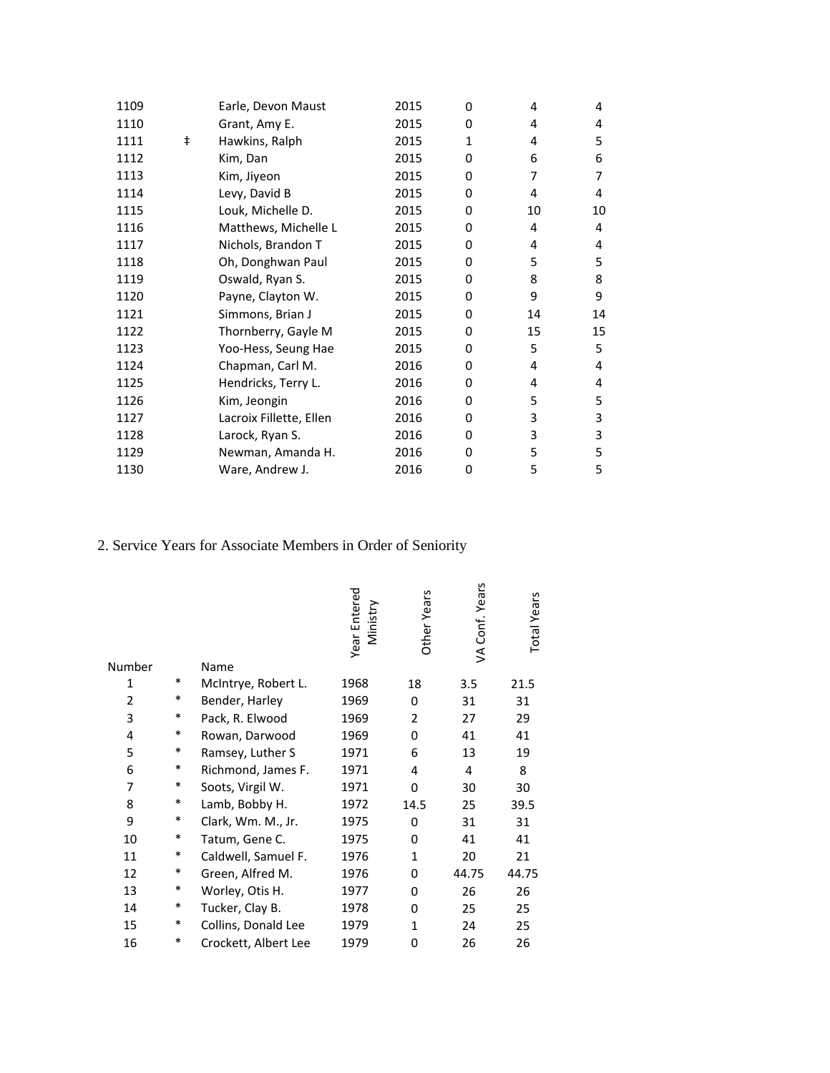| 1109 |            | Earle, Devon Maust      | 2015 | 0 | 4  | 4  |
|------|------------|-------------------------|------|---|----|----|
| 1110 |            | Grant, Amy E.           | 2015 | 0 | 4  | 4  |
| 1111 | $\ddagger$ | Hawkins, Ralph          | 2015 | 1 | 4  | 5  |
| 1112 |            | Kim, Dan                | 2015 | 0 | 6  | 6  |
| 1113 |            | Kim, Jiyeon             | 2015 | 0 | 7  | 7  |
| 1114 |            | Levy, David B           | 2015 | 0 | 4  | 4  |
| 1115 |            | Louk, Michelle D.       | 2015 | 0 | 10 | 10 |
| 1116 |            | Matthews, Michelle L    | 2015 | 0 | 4  | 4  |
| 1117 |            | Nichols, Brandon T      | 2015 | 0 | 4  | 4  |
| 1118 |            | Oh, Donghwan Paul       | 2015 | 0 | 5  | 5  |
| 1119 |            | Oswald, Ryan S.         | 2015 | 0 | 8  | 8  |
| 1120 |            | Payne, Clayton W.       | 2015 | 0 | 9  | 9  |
| 1121 |            | Simmons, Brian J        | 2015 | 0 | 14 | 14 |
| 1122 |            | Thornberry, Gayle M     | 2015 | 0 | 15 | 15 |
| 1123 |            | Yoo-Hess, Seung Hae     | 2015 | 0 | 5  | 5  |
| 1124 |            | Chapman, Carl M.        | 2016 | 0 | 4  | 4  |
| 1125 |            | Hendricks, Terry L.     | 2016 | 0 | 4  | 4  |
| 1126 |            | Kim, Jeongin            | 2016 | 0 | 5  | 5  |
| 1127 |            | Lacroix Fillette, Ellen | 2016 | 0 | 3  | 3  |
| 1128 |            | Larock, Ryan S.         | 2016 | 0 | 3  | 3  |
| 1129 |            | Newman, Amanda H.       | 2016 | 0 | 5  | 5  |
| 1130 |            | Ware, Andrew J.         | 2016 | 0 | 5  | 5  |

# 2. Service Years for Associate Members in Order of Seniority

| Number         |        | Name                 | Year Entered<br>Ministry | Other Years    | VA Conf. Years | <b>Total Years</b> |
|----------------|--------|----------------------|--------------------------|----------------|----------------|--------------------|
| 1              | $\ast$ |                      | 1968                     |                |                |                    |
| $\overline{2}$ | *      | McIntrye, Robert L.  |                          | 18<br>0        | 3.5            | 21.5               |
| 3              | $\ast$ | Bender, Harley       | 1969<br>1969             | $\overline{2}$ | 31             | 31                 |
|                | $\ast$ | Pack, R. Elwood      |                          |                | 27             | 29                 |
| 4              |        | Rowan, Darwood       | 1969                     | 0              | 41             | 41                 |
| 5              | $\ast$ | Ramsey, Luther S     | 1971                     | 6              | 13             | 19                 |
| 6              | $\ast$ | Richmond, James F.   | 1971                     | 4              | 4              | 8                  |
| $\overline{7}$ | $\ast$ | Soots, Virgil W.     | 1971                     | 0              | 30             | 30                 |
| 8              | $\ast$ | Lamb, Bobby H.       | 1972                     | 14.5           | 25             | 39.5               |
| 9              | $\ast$ | Clark, Wm. M., Jr.   | 1975                     | 0              | 31             | 31                 |
| 10             | $\ast$ | Tatum, Gene C.       | 1975                     | 0              | 41             | 41                 |
| 11             | $\ast$ | Caldwell, Samuel F.  | 1976                     | $\mathbf{1}$   | 20             | 21                 |
| 12             | $\ast$ | Green, Alfred M.     | 1976                     | 0              | 44.75          | 44.75              |
| 13             | $\ast$ | Worley, Otis H.      | 1977                     | $\Omega$       | 26             | 26                 |
| 14             | $\ast$ | Tucker, Clay B.      | 1978                     | 0              | 25             | 25                 |
| 15             | $\ast$ | Collins, Donald Lee  | 1979                     | $\mathbf{1}$   | 24             | 25                 |
| 16             | *      | Crockett, Albert Lee | 1979                     | 0              | 26             | 26                 |
|                |        |                      |                          |                |                |                    |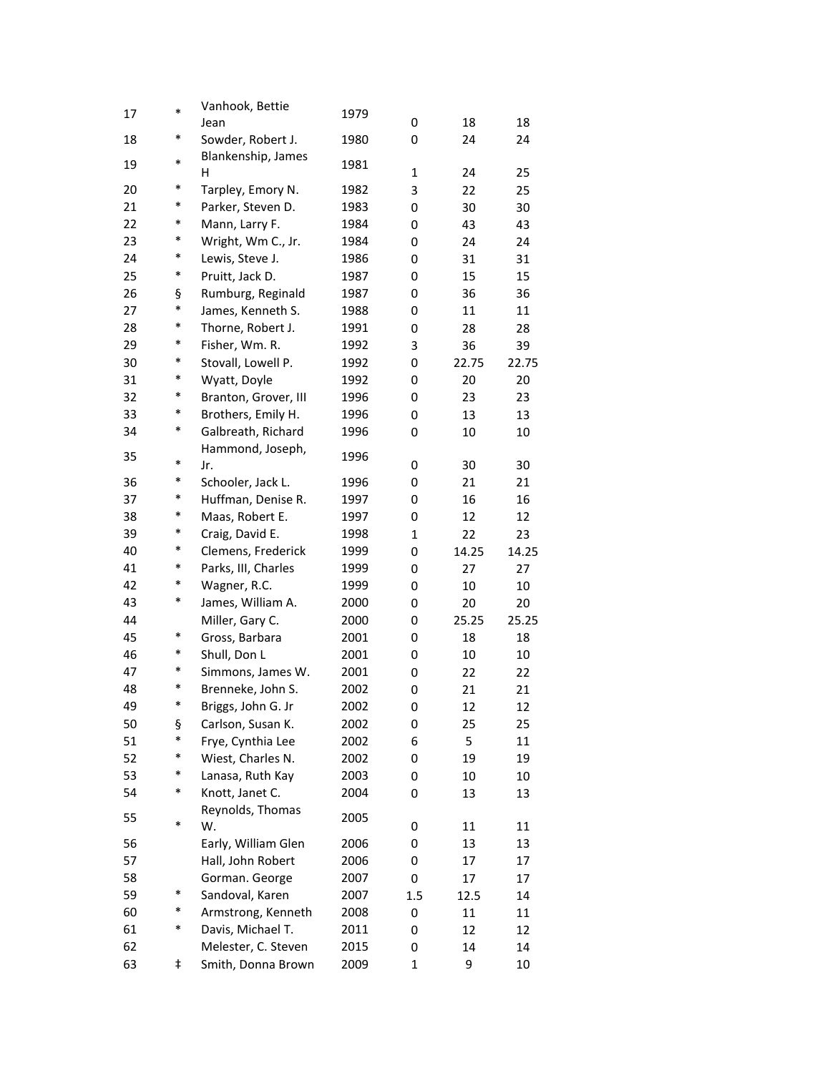| 17 | $\ast$ | Vanhook, Bettie<br>Jean | 1979 | 0            | 18    | 18    |
|----|--------|-------------------------|------|--------------|-------|-------|
| 18 | *      | Sowder, Robert J.       | 1980 | 0            | 24    | 24    |
|    |        | Blankenship, James      |      |              |       |       |
| 19 | $\ast$ | H                       | 1981 | $\mathbf{1}$ | 24    | 25    |
| 20 | *      | Tarpley, Emory N.       | 1982 | 3            | 22    | 25    |
| 21 | $\ast$ | Parker, Steven D.       | 1983 | 0            | 30    | 30    |
| 22 | *      | Mann, Larry F.          | 1984 | 0            | 43    | 43    |
| 23 | *      | Wright, Wm C., Jr.      | 1984 | 0            | 24    | 24    |
| 24 | ∗      | Lewis, Steve J.         | 1986 | 0            | 31    | 31    |
| 25 | $\ast$ | Pruitt, Jack D.         | 1987 | 0            | 15    | 15    |
| 26 | ş      | Rumburg, Reginald       | 1987 | 0            | 36    | 36    |
| 27 | $\ast$ | James, Kenneth S.       | 1988 | 0            | 11    | 11    |
| 28 | *      | Thorne, Robert J.       | 1991 | 0            | 28    | 28    |
| 29 | *      | Fisher, Wm. R.          | 1992 | 3            | 36    | 39    |
| 30 | *      | Stovall, Lowell P.      | 1992 | 0            | 22.75 | 22.75 |
| 31 | *      | Wyatt, Doyle            | 1992 | 0            | 20    | 20    |
| 32 | *      | Branton, Grover, III    | 1996 | 0            | 23    | 23    |
| 33 | *      | Brothers, Emily H.      | 1996 | 0            | 13    | 13    |
| 34 | $\ast$ | Galbreath, Richard      | 1996 | 0            | 10    | 10    |
|    |        | Hammond, Joseph,        |      |              |       |       |
| 35 | $\ast$ | Jr.                     | 1996 | 0            | 30    | 30    |
| 36 | *      | Schooler, Jack L.       | 1996 | 0            | 21    | 21    |
| 37 | *      | Huffman, Denise R.      | 1997 | 0            | 16    | 16    |
| 38 | $\ast$ | Maas, Robert E.         | 1997 | 0            | 12    | 12    |
| 39 | *      | Craig, David E.         | 1998 | $\mathbf 1$  | 22    | 23    |
| 40 | ∗      | Clemens, Frederick      | 1999 | 0            | 14.25 | 14.25 |
| 41 | *      | Parks, III, Charles     | 1999 | 0            | 27    | 27    |
| 42 | *      | Wagner, R.C.            | 1999 | 0            | 10    | 10    |
| 43 | *      | James, William A.       | 2000 | 0            | 20    | 20    |
| 44 |        | Miller, Gary C.         | 2000 | 0            | 25.25 | 25.25 |
| 45 | $\ast$ | Gross, Barbara          | 2001 | 0            | 18    | 18    |
| 46 | *      | Shull, Don L            | 2001 | 0            | 10    | 10    |
| 47 | *      | Simmons, James W.       | 2001 | 0            | 22    | 22    |
| 48 | *      | Brenneke, John S.       | 2002 | 0            | 21    | 21    |
| 49 | *      | Briggs, John G. Jr      | 2002 | 0            | 12    | 12    |
| 50 | ş      | Carlson, Susan K.       | 2002 | 0            | 25    | 25    |
| 51 | $\ast$ | Frye, Cynthia Lee       | 2002 | 6            | 5     | 11    |
| 52 | ∗      | Wiest, Charles N.       | 2002 | 0            | 19    | 19    |
| 53 | ∗      | Lanasa, Ruth Kay        | 2003 | 0            | 10    | 10    |
| 54 | $\ast$ | Knott, Janet C.         | 2004 | 0            | 13    | 13    |
| 55 |        | Reynolds, Thomas        | 2005 |              |       |       |
|    | *      | W.                      |      | 0            | 11    | 11    |
| 56 |        | Early, William Glen     | 2006 | 0            | 13    | 13    |
| 57 |        | Hall, John Robert       | 2006 | 0            | 17    | 17    |
| 58 |        | Gorman. George          | 2007 | 0            | 17    | 17    |
| 59 | ∗      | Sandoval, Karen         | 2007 | 1.5          | 12.5  | 14    |
| 60 | $\ast$ | Armstrong, Kenneth      | 2008 | 0            | 11    | 11    |
| 61 | $\ast$ | Davis, Michael T.       | 2011 | 0            | 12    | 12    |
| 62 |        | Melester, C. Steven     | 2015 | 0            | 14    | 14    |
| 63 | ŧ      | Smith, Donna Brown      | 2009 | 1            | 9     | 10    |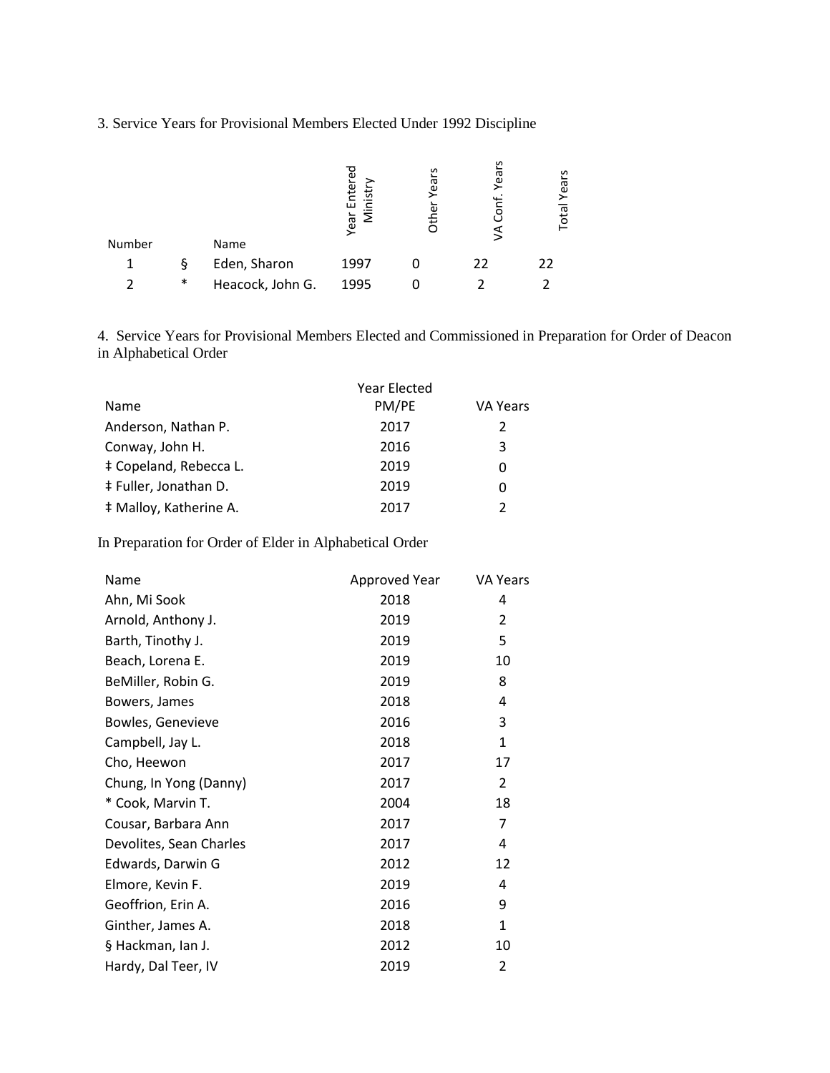## 3. Service Years for Provisional Members Elected Under 1992 Discipline

| Number |        | Name             | Enterec<br>đ.<br>Σ<br>Year | Years<br>ē<br>芳 | ပ္ပ<br>yea<br>$\circ$<br>⋚ | S<br>Year<br>otal |
|--------|--------|------------------|----------------------------|-----------------|----------------------------|-------------------|
|        | ş      | Eden, Sharon     | 1997                       |                 | 22                         | 22                |
|        | $\ast$ | Heacock, John G. | 1995                       |                 |                            |                   |

4. Service Years for Provisional Members Elected and Commissioned in Preparation for Order of Deacon in Alphabetical Order

|                        | Year Elected |                 |
|------------------------|--------------|-----------------|
| <b>Name</b>            | PM/PE        | <b>VA Years</b> |
| Anderson, Nathan P.    | 2017         | 2               |
| Conway, John H.        | 2016         | 3               |
| ‡ Copeland, Rebecca L. | 2019         | 0               |
| ‡ Fuller, Jonathan D.  | 2019         | Ω               |
| # Malloy, Katherine A. | 2017         | $\mathcal{P}$   |

In Preparation for Order of Elder in Alphabetical Order

| Name                    | Approved Year | VA Years     |
|-------------------------|---------------|--------------|
| Ahn, Mi Sook            | 2018          | 4            |
| Arnold, Anthony J.      | 2019          | 2            |
| Barth, Tinothy J.       | 2019          | 5            |
| Beach, Lorena E.        | 2019          | 10           |
| BeMiller, Robin G.      | 2019          | 8            |
| Bowers, James           | 2018          | 4            |
| Bowles, Genevieve       | 2016          | 3            |
| Campbell, Jay L.        | 2018          | $\mathbf{1}$ |
| Cho, Heewon             | 2017          | 17           |
| Chung, In Yong (Danny)  | 2017          | 2            |
| * Cook, Marvin T.       | 2004          | 18           |
| Cousar, Barbara Ann     | 2017          | 7            |
| Devolites, Sean Charles | 2017          | 4            |
| Edwards, Darwin G       | 2012          | 12           |
| Elmore, Kevin F.        | 2019          | 4            |
| Geoffrion, Erin A.      | 2016          | 9            |
| Ginther, James A.       | 2018          | $\mathbf{1}$ |
| § Hackman, Ian J.       | 2012          | 10           |
| Hardy, Dal Teer, IV     | 2019          | 2            |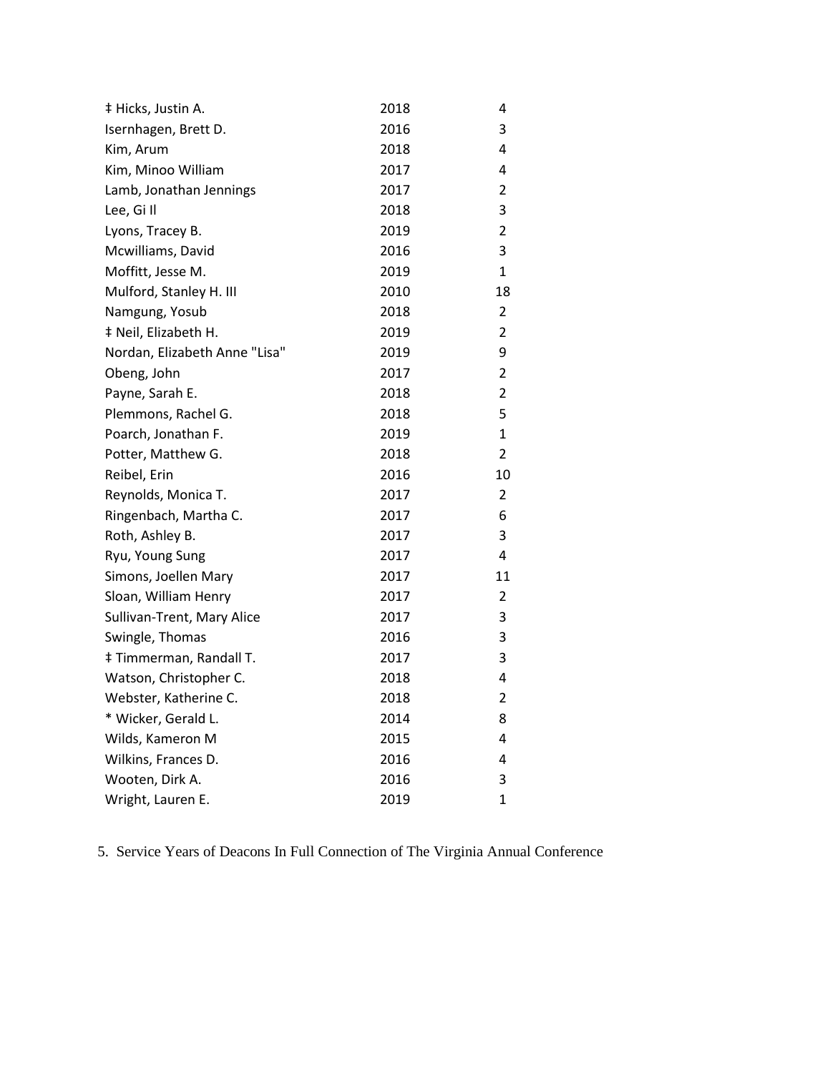| ‡ Hicks, Justin A.            | 2018 | 4              |
|-------------------------------|------|----------------|
| Isernhagen, Brett D.          | 2016 | 3              |
| Kim, Arum                     | 2018 | 4              |
| Kim, Minoo William            | 2017 | 4              |
| Lamb, Jonathan Jennings       | 2017 | 2              |
| Lee, Gill                     | 2018 | 3              |
| Lyons, Tracey B.              | 2019 | 2              |
| Mcwilliams, David             | 2016 | 3              |
| Moffitt, Jesse M.             | 2019 | 1              |
| Mulford, Stanley H. III       | 2010 | 18             |
| Namgung, Yosub                | 2018 | 2              |
| ‡ Neil, Elizabeth H.          | 2019 | 2              |
| Nordan, Elizabeth Anne "Lisa" | 2019 | 9              |
| Obeng, John                   | 2017 | $\overline{2}$ |
| Payne, Sarah E.               | 2018 | $\overline{2}$ |
| Plemmons, Rachel G.           | 2018 | 5              |
| Poarch, Jonathan F.           | 2019 | 1              |
| Potter, Matthew G.            | 2018 | 2              |
| Reibel, Erin                  | 2016 | 10             |
| Reynolds, Monica T.           | 2017 | 2              |
| Ringenbach, Martha C.         | 2017 | 6              |
| Roth, Ashley B.               | 2017 | 3              |
| Ryu, Young Sung               | 2017 | 4              |
| Simons, Joellen Mary          | 2017 | 11             |
| Sloan, William Henry          | 2017 | $\overline{2}$ |
| Sullivan-Trent, Mary Alice    | 2017 | 3              |
| Swingle, Thomas               | 2016 | 3              |
| ‡ Timmerman, Randall T.       | 2017 | 3              |
| Watson, Christopher C.        | 2018 | 4              |
| Webster, Katherine C.         | 2018 | 2              |
| * Wicker, Gerald L.           | 2014 | 8              |
| Wilds, Kameron M              | 2015 | 4              |
| Wilkins, Frances D.           | 2016 | 4              |
| Wooten, Dirk A.               | 2016 | 3              |
| Wright, Lauren E.             | 2019 | 1              |

5. Service Years of Deacons In Full Connection of The Virginia Annual Conference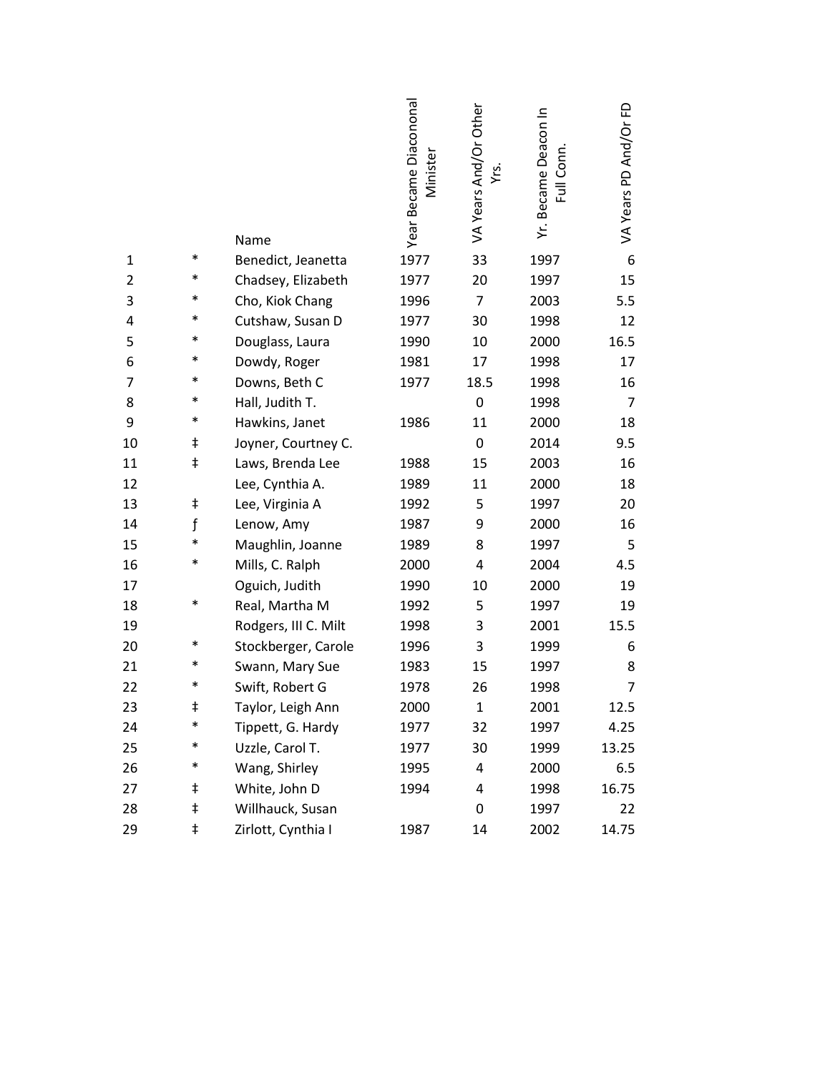|    |            | Name                 | Year Became Diacononal<br>Minister | VA Years And/Or Other<br>Yrs. | Yr. Became Deacon In<br>Full Conn | VA Years PD And/Or FD |  |
|----|------------|----------------------|------------------------------------|-------------------------------|-----------------------------------|-----------------------|--|
| 1  | $\ast$     | Benedict, Jeanetta   | 1977                               | 33                            | 1997                              | 6                     |  |
| 2  | $\ast$     | Chadsey, Elizabeth   | 1977                               | 20                            | 1997                              | 15                    |  |
| 3  | $\ast$     | Cho, Kiok Chang      | 1996                               | 7                             | 2003                              | 5.5                   |  |
| 4  | $\ast$     | Cutshaw, Susan D     | 1977                               | 30                            | 1998                              | 12                    |  |
| 5  | $\ast$     | Douglass, Laura      | 1990                               | 10                            | 2000                              | 16.5                  |  |
| 6  | $\ast$     | Dowdy, Roger         | 1981                               | 17                            | 1998                              | 17                    |  |
| 7  | $\ast$     | Downs, Beth C        | 1977                               | 18.5                          | 1998                              | 16                    |  |
| 8  | $\ast$     | Hall, Judith T.      |                                    | 0                             | 1998                              | 7                     |  |
| 9  | $\ast$     | Hawkins, Janet       | 1986                               | 11                            | 2000                              | 18                    |  |
| 10 | ŧ          | Joyner, Courtney C.  |                                    | 0                             | 2014                              | 9.5                   |  |
| 11 | ŧ          | Laws, Brenda Lee     | 1988                               | 15                            | 2003                              | 16                    |  |
| 12 |            | Lee, Cynthia A.      | 1989                               | 11                            | 2000                              | 18                    |  |
| 13 | ŧ          | Lee, Virginia A      | 1992                               | 5                             | 1997                              | 20                    |  |
| 14 | f          | Lenow, Amy           | 1987                               | 9                             | 2000                              | 16                    |  |
| 15 | $\ast$     | Maughlin, Joanne     | 1989                               | 8                             | 1997                              | 5                     |  |
| 16 | $\ast$     | Mills, C. Ralph      | 2000                               | 4                             | 2004                              | 4.5                   |  |
| 17 |            | Oguich, Judith       | 1990                               | 10                            | 2000                              | 19                    |  |
| 18 | $\ast$     | Real, Martha M       | 1992                               | 5                             | 1997                              | 19                    |  |
| 19 |            | Rodgers, III C. Milt | 1998                               | 3                             | 2001                              | 15.5                  |  |
| 20 | $\ast$     | Stockberger, Carole  | 1996                               | 3                             | 1999                              | 6                     |  |
| 21 | $\ast$     | Swann, Mary Sue      | 1983                               | 15                            | 1997                              | 8                     |  |
| 22 | $\ast$     | Swift, Robert G      | 1978                               | 26                            | 1998                              | 7                     |  |
| 23 | ŧ          | Taylor, Leigh Ann    | 2000                               | $\mathbf{1}$                  | 2001                              | 12.5                  |  |
| 24 | *          | Tippett, G. Hardy    | 1977                               | 32                            | 1997                              | 4.25                  |  |
| 25 | $\ast$     | Uzzle, Carol T.      | 1977                               | 30                            | 1999                              | 13.25                 |  |
| 26 | $\ast$     | Wang, Shirley        | 1995                               | 4                             | 2000                              | 6.5                   |  |
| 27 | ŧ          | White, John D        | 1994                               | 4                             | 1998                              | 16.75                 |  |
| 28 | ŧ          | Willhauck, Susan     |                                    | 0                             | 1997                              | 22                    |  |
| 29 | $\ddagger$ | Zirlott, Cynthia I   | 1987                               | 14                            | 2002                              | 14.75                 |  |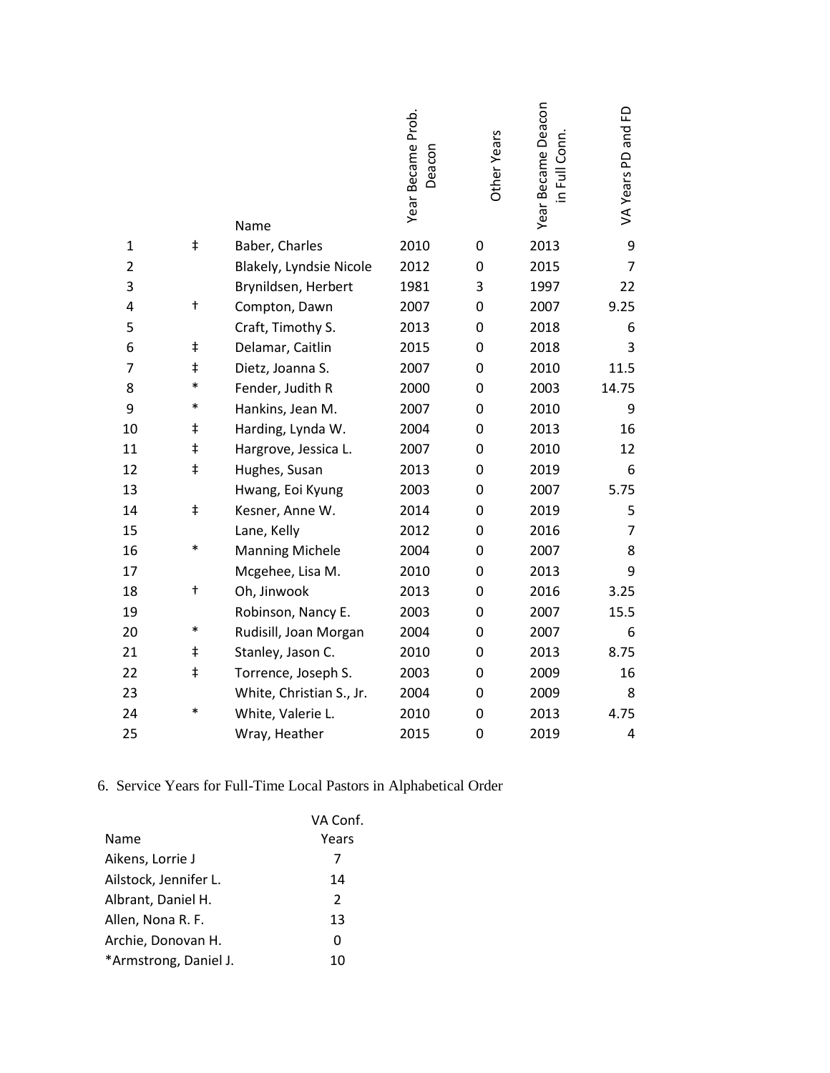|                |            | Name                     | Year Became Prob.<br>Deacon | Other Years | Year Became Deacon<br>in Full Conn. | £<br>VA Years PD and |
|----------------|------------|--------------------------|-----------------------------|-------------|-------------------------------------|----------------------|
| $\mathbf{1}$   | $\ddagger$ | Baber, Charles           | 2010                        | 0           | 2013                                | 9                    |
| $\overline{2}$ |            | Blakely, Lyndsie Nicole  | 2012                        | 0           | 2015                                | $\overline{7}$       |
| 3              |            | Brynildsen, Herbert      | 1981                        | 3           | 1997                                | 22                   |
| 4              | t          | Compton, Dawn            | 2007                        | 0           | 2007                                | 9.25                 |
| 5              |            | Craft, Timothy S.        | 2013                        | 0           | 2018                                | 6                    |
| 6              | $\ddagger$ | Delamar, Caitlin         | 2015                        | 0           | 2018                                | 3                    |
| 7              | $\ddagger$ | Dietz, Joanna S.         | 2007                        | 0           | 2010                                | 11.5                 |
| 8              | *          | Fender, Judith R         | 2000                        | 0           | 2003                                | 14.75                |
| 9              | $\ast$     | Hankins, Jean M.         | 2007                        | 0           | 2010                                | 9                    |
| 10             | ŧ          | Harding, Lynda W.        | 2004                        | 0           | 2013                                | 16                   |
| 11             | ŧ          | Hargrove, Jessica L.     | 2007                        | 0           | 2010                                | 12                   |
| 12             | $\ddagger$ | Hughes, Susan            | 2013                        | 0           | 2019                                | 6                    |
| 13             |            | Hwang, Eoi Kyung         | 2003                        | 0           | 2007                                | 5.75                 |
| 14             | ŧ          | Kesner, Anne W.          | 2014                        | 0           | 2019                                | 5                    |
| 15             |            | Lane, Kelly              | 2012                        | 0           | 2016                                | $\overline{7}$       |
| 16             | $\ast$     | <b>Manning Michele</b>   | 2004                        | 0           | 2007                                | 8                    |
| 17             |            | Mcgehee, Lisa M.         | 2010                        | 0           | 2013                                | 9                    |
| 18             | $\ddagger$ | Oh, Jinwook              | 2013                        | 0           | 2016                                | 3.25                 |
| 19             |            | Robinson, Nancy E.       | 2003                        | 0           | 2007                                | 15.5                 |
| 20             | $\ast$     | Rudisill, Joan Morgan    | 2004                        | 0           | 2007                                | 6                    |
| 21             | ŧ          | Stanley, Jason C.        | 2010                        | 0           | 2013                                | 8.75                 |
| 22             | ŧ          | Torrence, Joseph S.      | 2003                        | 0           | 2009                                | 16                   |
| 23             |            | White, Christian S., Jr. | 2004                        | 0           | 2009                                | 8                    |
| 24             | $\ast$     | White, Valerie L.        | 2010                        | 0           | 2013                                | 4.75                 |
| 25             |            | Wray, Heather            | 2015                        | 0           | 2019                                | 4                    |

# 6. Service Years for Full-Time Local Pastors in Alphabetical Order

|                       | VA Conf.      |
|-----------------------|---------------|
| Name                  | Years         |
| Aikens, Lorrie J      | 7             |
| Ailstock, Jennifer L. | 14            |
| Albrant, Daniel H.    | $\mathcal{P}$ |
| Allen, Nona R. F.     | 13            |
| Archie, Donovan H.    | O             |
| *Armstrong, Daniel J. | 10            |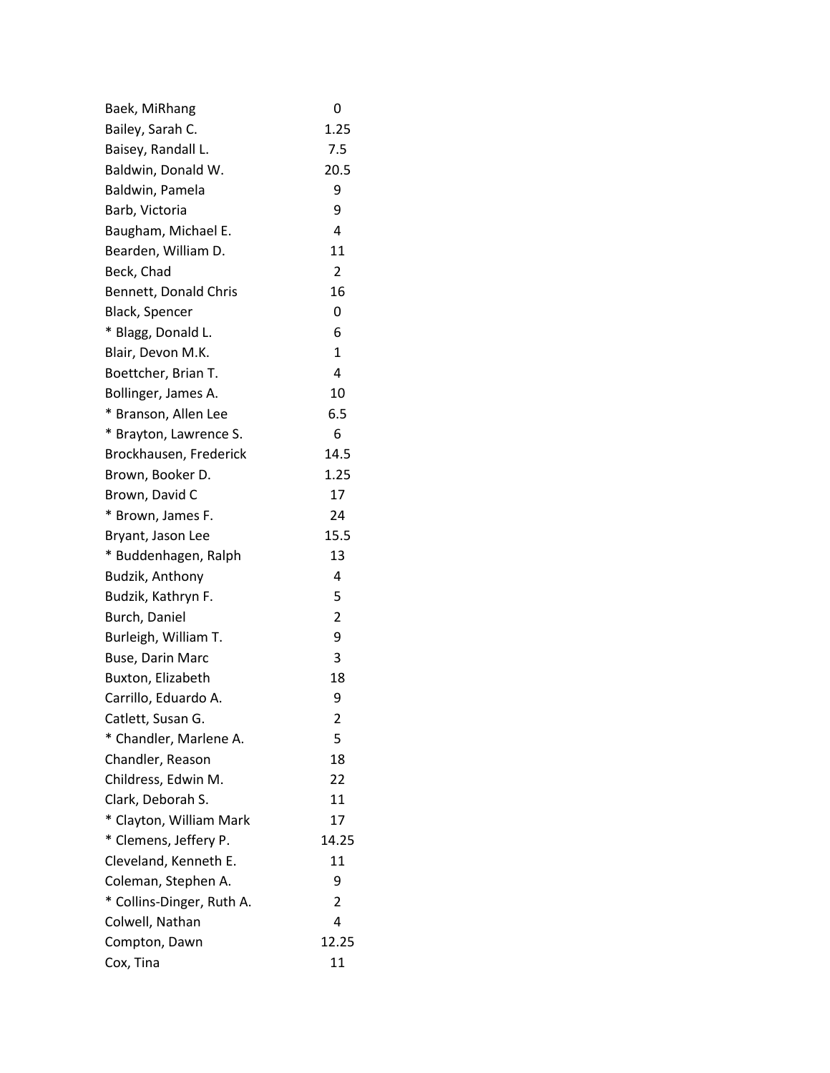| Baek, MiRhang             | 0              |
|---------------------------|----------------|
| Bailey, Sarah C.          | 1.25           |
| Baisey, Randall L.        | 7.5            |
| Baldwin, Donald W.        | 20.5           |
| Baldwin, Pamela           | 9              |
| Barb, Victoria            | 9              |
| Baugham, Michael E.       | 4              |
| Bearden, William D.       | 11             |
| Beck, Chad                | $\overline{2}$ |
| Bennett, Donald Chris     | 16             |
| Black, Spencer            | 0              |
| * Blagg, Donald L.        | 6              |
| Blair, Devon M.K.         | $\mathbf{1}$   |
| Boettcher, Brian T.       | 4              |
| Bollinger, James A.       | 10             |
| * Branson, Allen Lee      | 6.5            |
| * Brayton, Lawrence S.    | 6              |
| Brockhausen, Frederick    | 14.5           |
| Brown, Booker D.          | 1.25           |
| Brown, David C            | 17             |
| * Brown, James F.         | 24             |
| Bryant, Jason Lee         | 15.5           |
| * Buddenhagen, Ralph      | 13             |
| Budzik, Anthony           | 4              |
| Budzik, Kathryn F.        | 5              |
| Burch, Daniel             | $\overline{2}$ |
| Burleigh, William T.      | 9              |
| <b>Buse, Darin Marc</b>   | 3              |
| Buxton, Elizabeth         | 18             |
| Carrillo, Eduardo A.      | 9              |
| Catlett, Susan G.         | 2              |
| * Chandler, Marlene A.    | 5              |
| Chandler, Reason          | 18             |
| Childress, Edwin M.       | 22             |
| Clark, Deborah S.         | 11             |
| * Clayton, William Mark   | 17             |
| * Clemens, Jeffery P.     | 14.25          |
| Cleveland, Kenneth E.     | 11             |
| Coleman, Stephen A.       | 9              |
| * Collins-Dinger, Ruth A. | $\overline{2}$ |
| Colwell, Nathan           | 4              |
| Compton, Dawn             | 12.25          |
| Cox, Tina                 | 11             |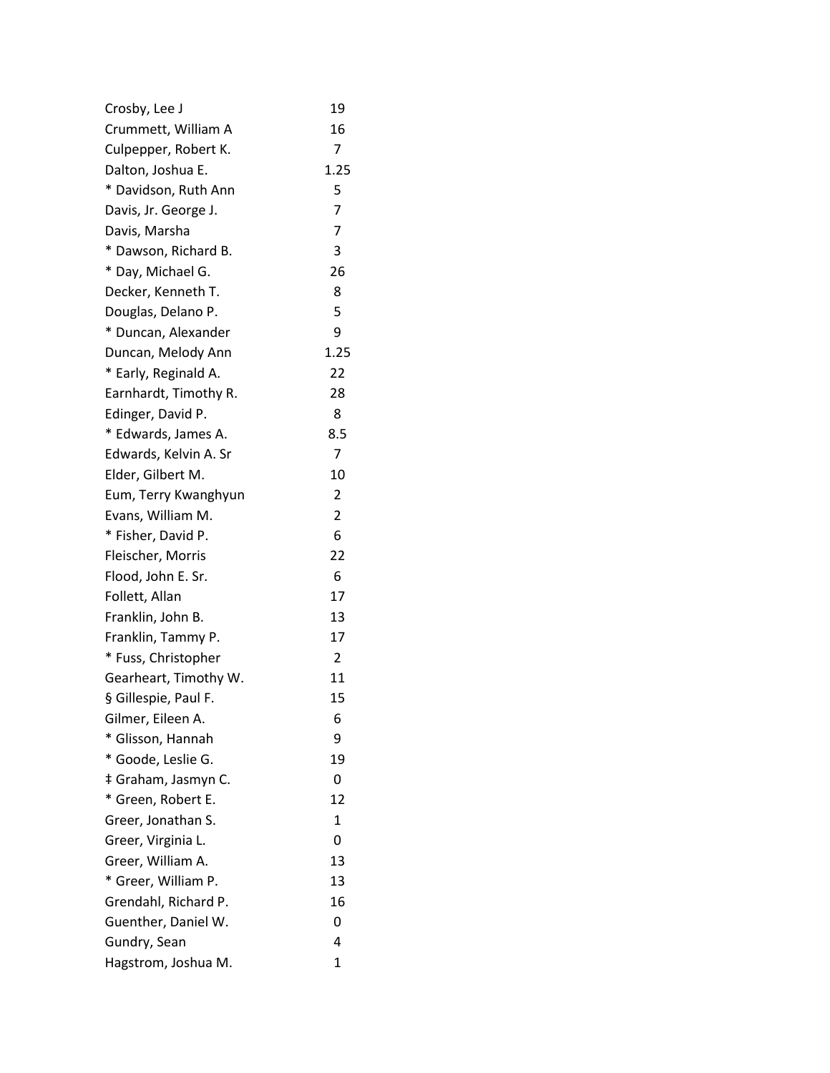| Crosby, Lee J         | 19             |
|-----------------------|----------------|
| Crummett, William A   | 16             |
| Culpepper, Robert K.  | 7              |
| Dalton, Joshua E.     | 1.25           |
| * Davidson, Ruth Ann  | 5              |
| Davis, Jr. George J.  | $\overline{7}$ |
| Davis, Marsha         | 7              |
| * Dawson, Richard B.  | 3              |
| * Day, Michael G.     | 26             |
| Decker, Kenneth T.    | 8              |
| Douglas, Delano P.    | 5              |
| * Duncan, Alexander   | 9              |
| Duncan, Melody Ann    | 1.25           |
| * Early, Reginald A.  | 22             |
| Earnhardt, Timothy R. | 28             |
| Edinger, David P.     | 8              |
| * Edwards, James A.   | 8.5            |
| Edwards, Kelvin A. Sr | 7              |
| Elder, Gilbert M.     | 10             |
| Eum, Terry Kwanghyun  | $\overline{c}$ |
| Evans, William M.     | 2              |
| * Fisher, David P.    | 6              |
| Fleischer, Morris     | 22             |
| Flood, John E. Sr.    | 6              |
| Follett, Allan        | 17             |
| Franklin, John B.     | 13             |
| Franklin, Tammy P.    | 17             |
| * Fuss, Christopher   | $\overline{2}$ |
| Gearheart, Timothy W. | 11             |
| § Gillespie, Paul F.  | 15             |
| Gilmer, Eileen A.     | 6              |
| * Glisson, Hannah     | 9              |
| * Goode, Leslie G.    | 19             |
| ‡ Graham, Jasmyn C.   | 0              |
| * Green, Robert E.    | 12             |
| Greer, Jonathan S.    | $\mathbf{1}$   |
| Greer, Virginia L.    | 0              |
| Greer, William A.     | 13             |
| * Greer, William P.   | 13             |
| Grendahl, Richard P.  | 16             |
| Guenther, Daniel W.   | 0              |
| Gundry, Sean          | 4              |
| Hagstrom, Joshua M.   | 1              |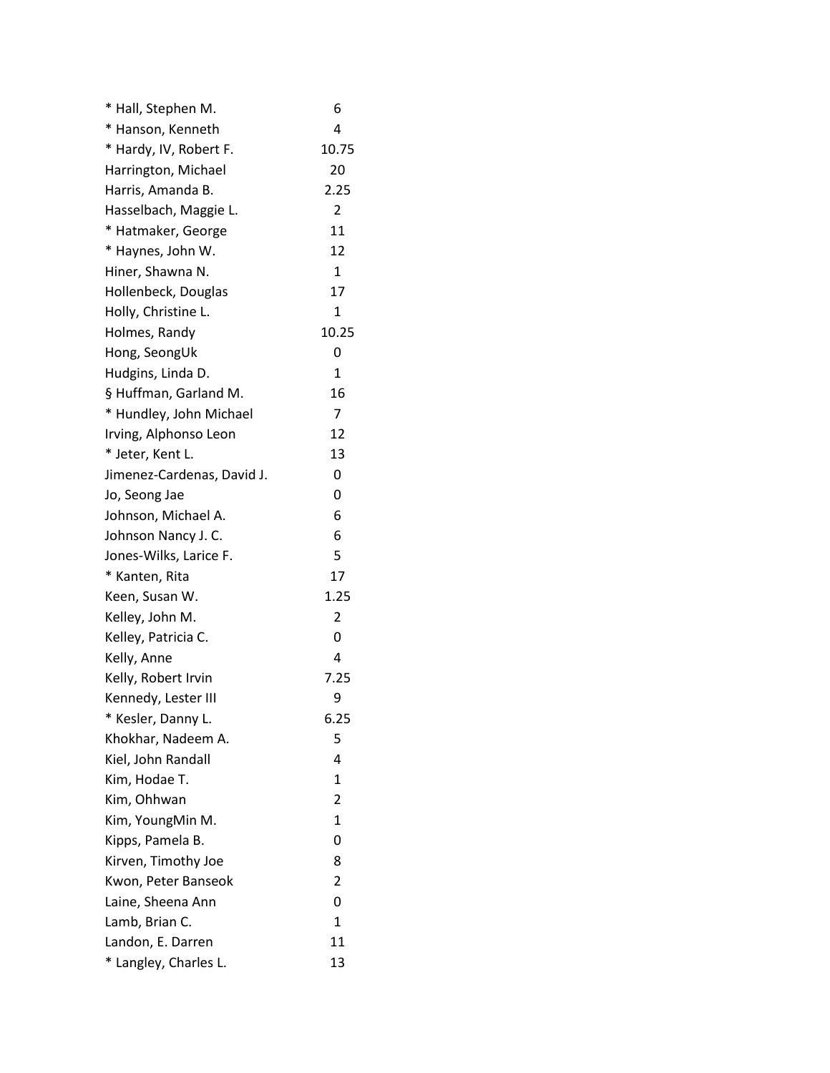| * Hall, Stephen M.         | 6              |
|----------------------------|----------------|
| * Hanson, Kenneth          | 4              |
| * Hardy, IV, Robert F.     | 10.75          |
| Harrington, Michael        | 20             |
| Harris, Amanda B.          | 2.25           |
| Hasselbach, Maggie L.      | $\overline{2}$ |
| * Hatmaker, George         | 11             |
| * Haynes, John W.          | 12             |
| Hiner, Shawna N.           | 1              |
| Hollenbeck, Douglas        | 17             |
| Holly, Christine L.        | 1              |
| Holmes, Randy              | 10.25          |
| Hong, SeongUk              | 0              |
| Hudgins, Linda D.          | $\mathbf{1}$   |
| § Huffman, Garland M.      | 16             |
| * Hundley, John Michael    | 7              |
| Irving, Alphonso Leon      | 12             |
| * Jeter, Kent L.           | 13             |
| Jimenez-Cardenas, David J. | 0              |
| Jo, Seong Jae              | 0              |
| Johnson, Michael A.        | 6              |
| Johnson Nancy J. C.        | 6              |
| Jones-Wilks, Larice F.     | 5              |
| * Kanten, Rita             | 17             |
| Keen, Susan W.             | 1.25           |
| Kelley, John M.            | 2              |
| Kelley, Patricia C.        | 0              |
| Kelly, Anne                | 4              |
| Kelly, Robert Irvin        | 7.25           |
| Kennedy, Lester III        | 9              |
| * Kesler, Danny L.         | 6.25           |
| Khokhar, Nadeem A.         | 5              |
| Kiel, John Randall         | 4              |
| Kim, Hodae T.              | 1              |
| Kim, Ohhwan                | 2              |
| Kim, YoungMin M.           | $\mathbf{1}$   |
| Kipps, Pamela B.           | 0              |
| Kirven, Timothy Joe        | 8              |
| Kwon, Peter Banseok        | 2              |
| Laine, Sheena Ann          | 0              |
| Lamb, Brian C.             | 1              |
| Landon, E. Darren          | 11             |
| * Langley, Charles L.      | 13             |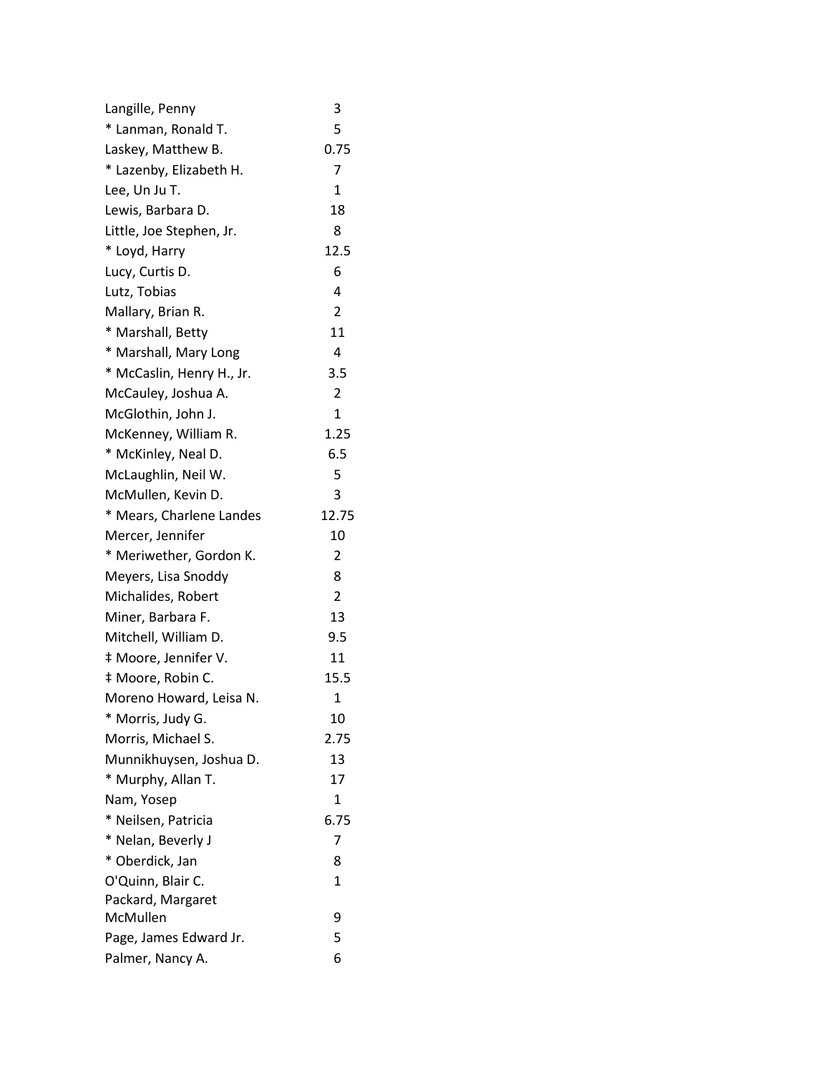| Langille, Penny           | 3              |
|---------------------------|----------------|
| * Lanman, Ronald T.       | 5              |
| Laskey, Matthew B.        | 0.75           |
| * Lazenby, Elizabeth H.   | 7              |
| Lee, Un Ju T.             | 1              |
| Lewis, Barbara D.         | 18             |
| Little, Joe Stephen, Jr.  | 8              |
| * Loyd, Harry             | 12.5           |
| Lucy, Curtis D.           | 6              |
| Lutz, Tobias              | 4              |
| Mallary, Brian R.         | $\overline{2}$ |
| * Marshall, Betty         | 11             |
| * Marshall, Mary Long     | 4              |
| * McCaslin, Henry H., Jr. | 3.5            |
| McCauley, Joshua A.       | $\overline{2}$ |
| McGlothin, John J.        | 1              |
| McKenney, William R.      | 1.25           |
| * McKinley, Neal D.       | 6.5            |
| McLaughlin, Neil W.       | 5              |
| McMullen, Kevin D.        | 3              |
| * Mears, Charlene Landes  | 12.75          |
| Mercer, Jennifer          | 10             |
| * Meriwether, Gordon K.   | $\overline{2}$ |
| Meyers, Lisa Snoddy       | 8              |
| Michalides, Robert        | $\overline{2}$ |
| Miner, Barbara F.         | 13             |
| Mitchell, William D.      | 9.5            |
| # Moore, Jennifer V.      | 11             |
| ‡ Moore, Robin C.         | 15.5           |
| Moreno Howard, Leisa N.   | $\mathbf 1$    |
| * Morris, Judy G.         | 10             |
| Morris, Michael S.        | 2.75           |
| Munnikhuysen, Joshua D.   | 13             |
| * Murphy, Allan T.        | 17             |
| Nam, Yosep                | $\mathbf{1}$   |
| * Neilsen, Patricia       | 6.75           |
| * Nelan, Beverly J        | 7              |
| * Oberdick, Jan           | 8              |
| O'Quinn, Blair C.         | 1              |
| Packard, Margaret         |                |
| McMullen                  | 9              |
| Page, James Edward Jr.    | 5              |
| Palmer, Nancy A.          | 6              |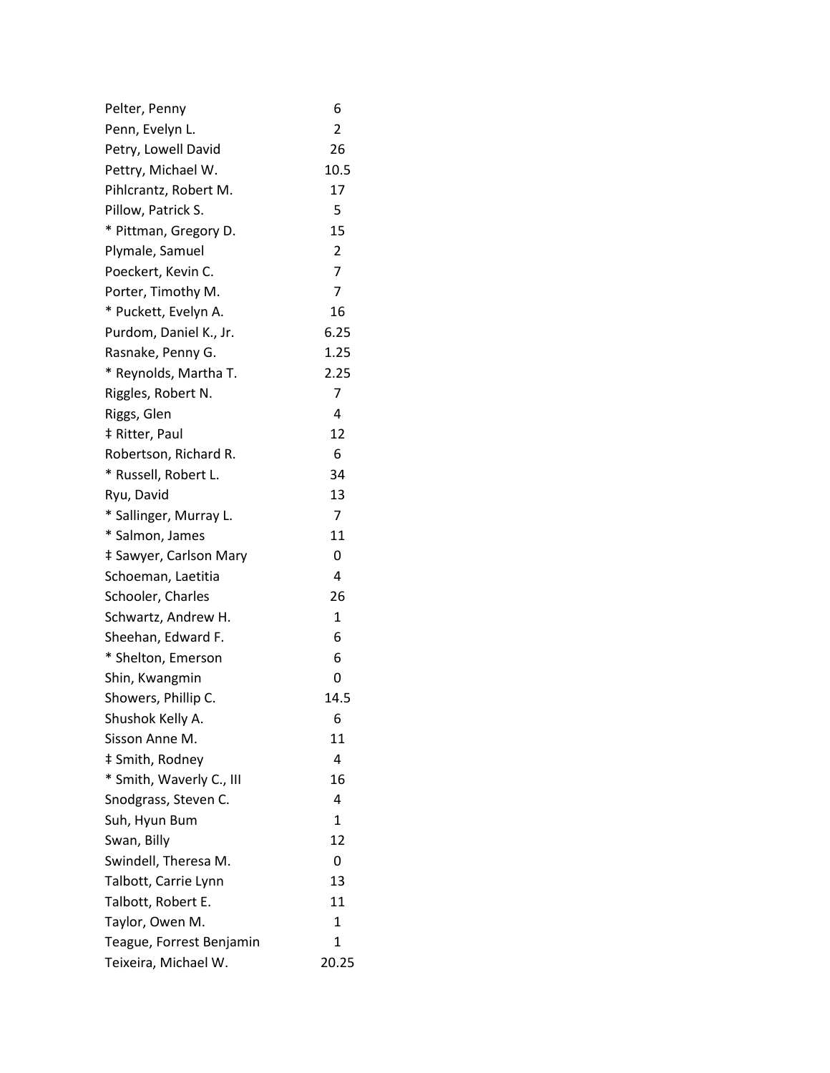| Pelter, Penny            | 6              |
|--------------------------|----------------|
| Penn, Evelyn L.          | $\overline{2}$ |
| Petry, Lowell David      | 26             |
| Pettry, Michael W.       | 10.5           |
| Pihlcrantz, Robert M.    | 17             |
| Pillow, Patrick S.       | 5              |
| * Pittman, Gregory D.    | 15             |
| Plymale, Samuel          | $\overline{2}$ |
| Poeckert, Kevin C.       | 7              |
| Porter, Timothy M.       | 7              |
| * Puckett, Evelyn A.     | 16             |
| Purdom, Daniel K., Jr.   | 6.25           |
| Rasnake, Penny G.        | 1.25           |
| * Reynolds, Martha T.    | 2.25           |
| Riggles, Robert N.       | 7              |
| Riggs, Glen              | 4              |
| ‡ Ritter, Paul           | 12             |
| Robertson, Richard R.    | 6              |
| * Russell, Robert L.     | 34             |
| Ryu, David               | 13             |
| * Sallinger, Murray L.   | 7              |
| * Salmon, James          | 11             |
| ‡ Sawyer, Carlson Mary   | 0              |
| Schoeman, Laetitia       | 4              |
| Schooler, Charles        | 26             |
| Schwartz, Andrew H.      | 1              |
| Sheehan, Edward F.       | 6              |
| * Shelton, Emerson       | 6              |
| Shin, Kwangmin           | 0              |
| Showers, Phillip C.      | 14.5           |
| Shushok Kelly A.         | 6              |
| Sisson Anne M.           | 11             |
| ‡ Smith, Rodney          | 4              |
| * Smith, Waverly C., III | 16             |
| Snodgrass, Steven C.     | 4              |
| Suh, Hyun Bum            | $\mathbf{1}$   |
| Swan, Billy              | 12             |
| Swindell, Theresa M.     | 0              |
| Talbott, Carrie Lynn     | 13             |
| Talbott, Robert E.       | 11             |
| Taylor, Owen M.          | 1              |
| Teague, Forrest Benjamin | 1              |
| Teixeira, Michael W.     | 20.25          |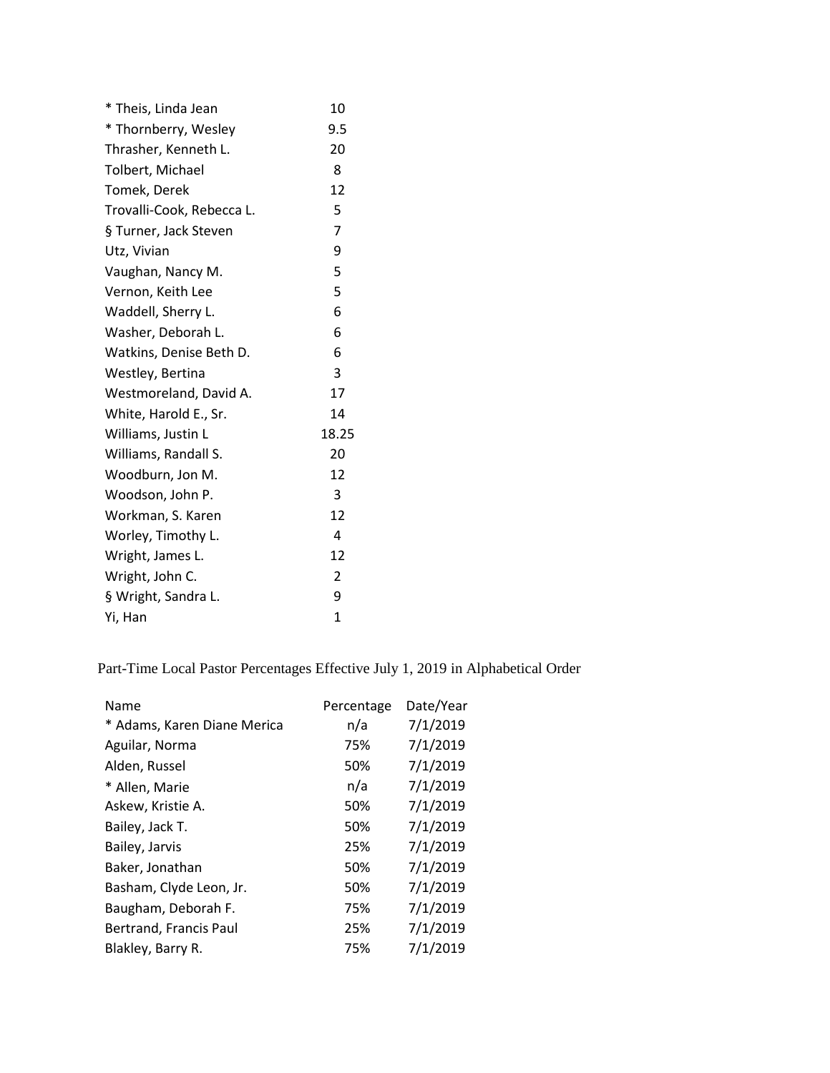| * Theis, Linda Jean       | 10             |
|---------------------------|----------------|
| * Thornberry, Wesley      | 9.5            |
| Thrasher, Kenneth L.      | 20             |
| Tolbert, Michael          | 8              |
| Tomek, Derek              | 12             |
| Trovalli-Cook, Rebecca L. | 5              |
| § Turner, Jack Steven     | 7              |
| Utz, Vivian               | 9              |
| Vaughan, Nancy M.         | 5              |
| Vernon, Keith Lee         | 5              |
| Waddell, Sherry L.        | 6              |
| Washer, Deborah L.        | 6              |
| Watkins, Denise Beth D.   | 6              |
| Westley, Bertina          | 3              |
| Westmoreland, David A.    | 17             |
| White, Harold E., Sr.     | 14             |
| Williams, Justin L        | 18.25          |
| Williams, Randall S.      | 20             |
| Woodburn, Jon M.          | 12             |
| Woodson, John P.          | 3              |
| Workman, S. Karen         | 12             |
| Worley, Timothy L.        | 4              |
| Wright, James L.          | 12             |
| Wright, John C.           | $\overline{2}$ |
| § Wright, Sandra L.       | 9              |
| Yi, Han                   | 1              |

Part-Time Local Pastor Percentages Effective July 1, 2019 in Alphabetical Order

| Name                        | Percentage | Date/Year |
|-----------------------------|------------|-----------|
| * Adams, Karen Diane Merica | n/a        | 7/1/2019  |
| Aguilar, Norma              | 75%        | 7/1/2019  |
| Alden, Russel               | 50%        | 7/1/2019  |
| * Allen, Marie              | n/a        | 7/1/2019  |
| Askew, Kristie A.           | 50%        | 7/1/2019  |
| Bailey, Jack T.             | 50%        | 7/1/2019  |
| Bailey, Jarvis              | 25%        | 7/1/2019  |
| Baker, Jonathan             | 50%        | 7/1/2019  |
| Basham, Clyde Leon, Jr.     | 50%        | 7/1/2019  |
| Baugham, Deborah F.         | 75%        | 7/1/2019  |
| Bertrand, Francis Paul      | 25%        | 7/1/2019  |
| Blakley, Barry R.           | 75%        | 7/1/2019  |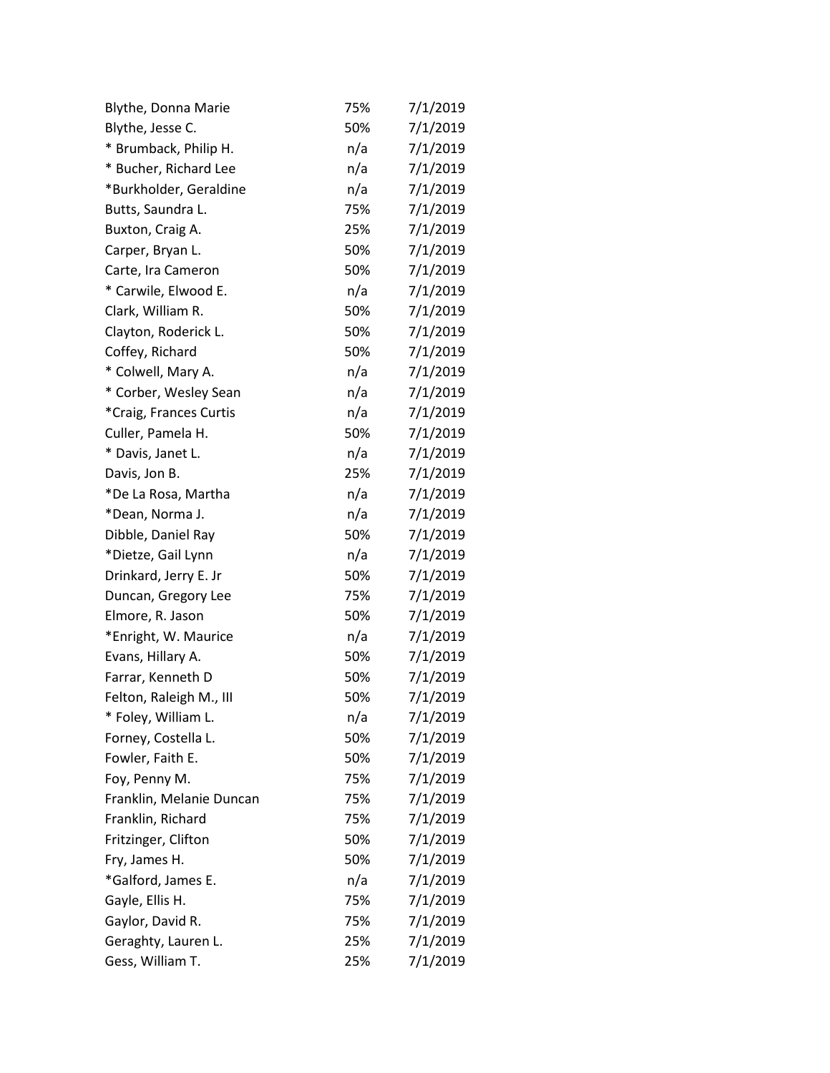| Blythe, Donna Marie      | 75% | 7/1/2019 |
|--------------------------|-----|----------|
| Blythe, Jesse C.         | 50% | 7/1/2019 |
| * Brumback, Philip H.    | n/a | 7/1/2019 |
| * Bucher, Richard Lee    | n/a | 7/1/2019 |
| *Burkholder, Geraldine   | n/a | 7/1/2019 |
| Butts, Saundra L.        | 75% | 7/1/2019 |
| Buxton, Craig A.         | 25% | 7/1/2019 |
| Carper, Bryan L.         | 50% | 7/1/2019 |
| Carte, Ira Cameron       | 50% | 7/1/2019 |
| * Carwile, Elwood E.     | n/a | 7/1/2019 |
| Clark, William R.        | 50% | 7/1/2019 |
| Clayton, Roderick L.     | 50% | 7/1/2019 |
| Coffey, Richard          | 50% | 7/1/2019 |
| * Colwell, Mary A.       | n/a | 7/1/2019 |
| * Corber, Wesley Sean    | n/a | 7/1/2019 |
| *Craig, Frances Curtis   | n/a | 7/1/2019 |
| Culler, Pamela H.        | 50% | 7/1/2019 |
| * Davis, Janet L.        | n/a | 7/1/2019 |
| Davis, Jon B.            | 25% | 7/1/2019 |
| *De La Rosa, Martha      | n/a | 7/1/2019 |
| *Dean, Norma J.          | n/a | 7/1/2019 |
| Dibble, Daniel Ray       | 50% | 7/1/2019 |
| *Dietze, Gail Lynn       | n/a | 7/1/2019 |
| Drinkard, Jerry E. Jr    | 50% | 7/1/2019 |
| Duncan, Gregory Lee      | 75% | 7/1/2019 |
| Elmore, R. Jason         | 50% | 7/1/2019 |
| *Enright, W. Maurice     | n/a | 7/1/2019 |
| Evans, Hillary A.        | 50% | 7/1/2019 |
| Farrar, Kenneth D        | 50% | 7/1/2019 |
| Felton, Raleigh M., III  | 50% | 7/1/2019 |
| * Foley, William L.      | n/a | 7/1/2019 |
| Forney, Costella L.      | 50% | 7/1/2019 |
| Fowler, Faith E.         | 50% | 7/1/2019 |
| Foy, Penny M.            | 75% | 7/1/2019 |
| Franklin, Melanie Duncan | 75% | 7/1/2019 |
| Franklin, Richard        | 75% | 7/1/2019 |
| Fritzinger, Clifton      | 50% | 7/1/2019 |
| Fry, James H.            | 50% | 7/1/2019 |
| *Galford, James E.       | n/a | 7/1/2019 |
| Gayle, Ellis H.          | 75% | 7/1/2019 |
| Gaylor, David R.         | 75% | 7/1/2019 |
| Geraghty, Lauren L.      | 25% | 7/1/2019 |
| Gess, William T.         | 25% | 7/1/2019 |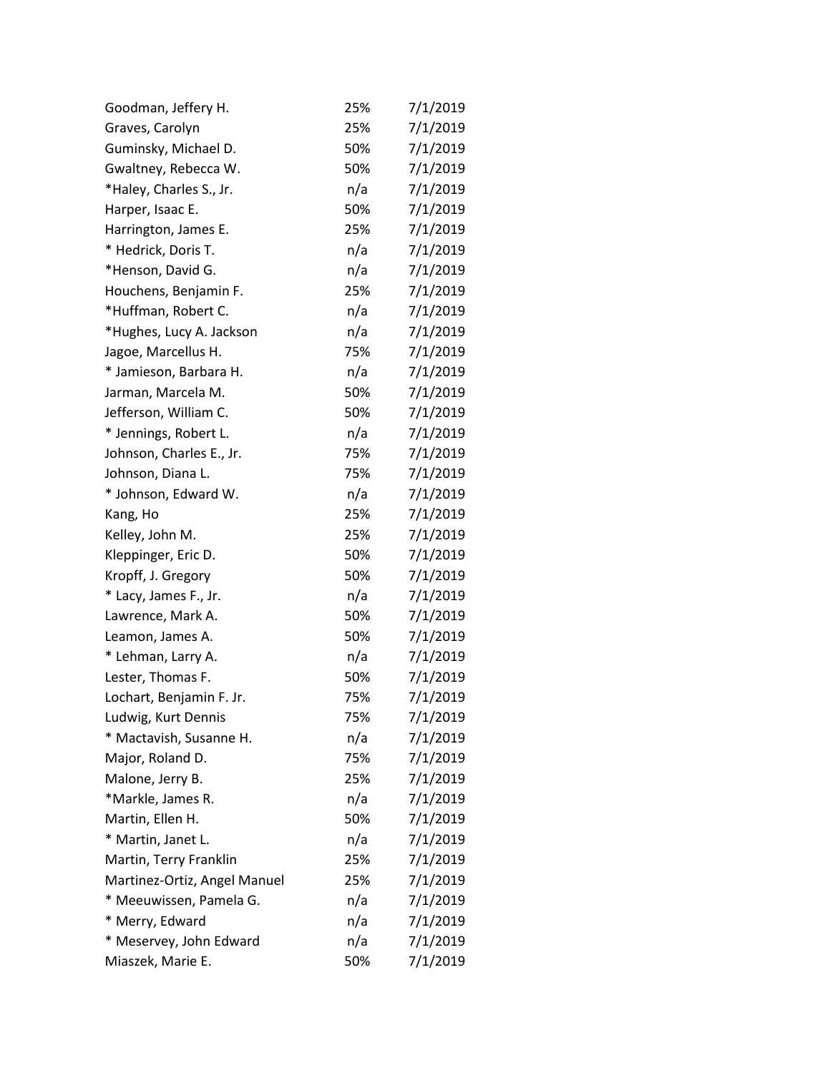| Goodman, Jeffery H.          | 25% | 7/1/2019 |
|------------------------------|-----|----------|
| Graves, Carolyn              | 25% | 7/1/2019 |
| Guminsky, Michael D.         | 50% | 7/1/2019 |
| Gwaltney, Rebecca W.         | 50% | 7/1/2019 |
| *Haley, Charles S., Jr.      | n/a | 7/1/2019 |
| Harper, Isaac E.             | 50% | 7/1/2019 |
| Harrington, James E.         | 25% | 7/1/2019 |
| * Hedrick, Doris T.          | n/a | 7/1/2019 |
| *Henson, David G.            | n/a | 7/1/2019 |
| Houchens, Benjamin F.        | 25% | 7/1/2019 |
| *Huffman, Robert C.          | n/a | 7/1/2019 |
| *Hughes, Lucy A. Jackson     | n/a | 7/1/2019 |
| Jagoe, Marcellus H.          | 75% | 7/1/2019 |
| * Jamieson, Barbara H.       | n/a | 7/1/2019 |
| Jarman, Marcela M.           | 50% | 7/1/2019 |
| Jefferson, William C.        | 50% | 7/1/2019 |
| * Jennings, Robert L.        | n/a | 7/1/2019 |
| Johnson, Charles E., Jr.     | 75% | 7/1/2019 |
| Johnson, Diana L.            | 75% | 7/1/2019 |
| * Johnson, Edward W.         | n/a | 7/1/2019 |
| Kang, Ho                     | 25% | 7/1/2019 |
| Kelley, John M.              | 25% | 7/1/2019 |
| Kleppinger, Eric D.          | 50% | 7/1/2019 |
| Kropff, J. Gregory           | 50% | 7/1/2019 |
| * Lacy, James F., Jr.        | n/a | 7/1/2019 |
| Lawrence, Mark A.            | 50% | 7/1/2019 |
| Leamon, James A.             | 50% | 7/1/2019 |
| * Lehman, Larry A.           | n/a | 7/1/2019 |
| Lester, Thomas F.            | 50% | 7/1/2019 |
| Lochart, Benjamin F. Jr.     | 75% | 7/1/2019 |
| Ludwig, Kurt Dennis          | 75% | 7/1/2019 |
| * Mactavish, Susanne H.      | n/a | 7/1/2019 |
| Major, Roland D.             | 75% | 7/1/2019 |
| Malone, Jerry B.             | 25% | 7/1/2019 |
| *Markle, James R.            | n/a | 7/1/2019 |
| Martin, Ellen H.             | 50% | 7/1/2019 |
| * Martin, Janet L.           | n/a | 7/1/2019 |
| Martin, Terry Franklin       | 25% | 7/1/2019 |
| Martinez-Ortiz, Angel Manuel | 25% | 7/1/2019 |
| * Meeuwissen, Pamela G.      | n/a | 7/1/2019 |
| * Merry, Edward              | n/a | 7/1/2019 |
| * Meservey, John Edward      | n/a | 7/1/2019 |
| Miaszek, Marie E.            | 50% | 7/1/2019 |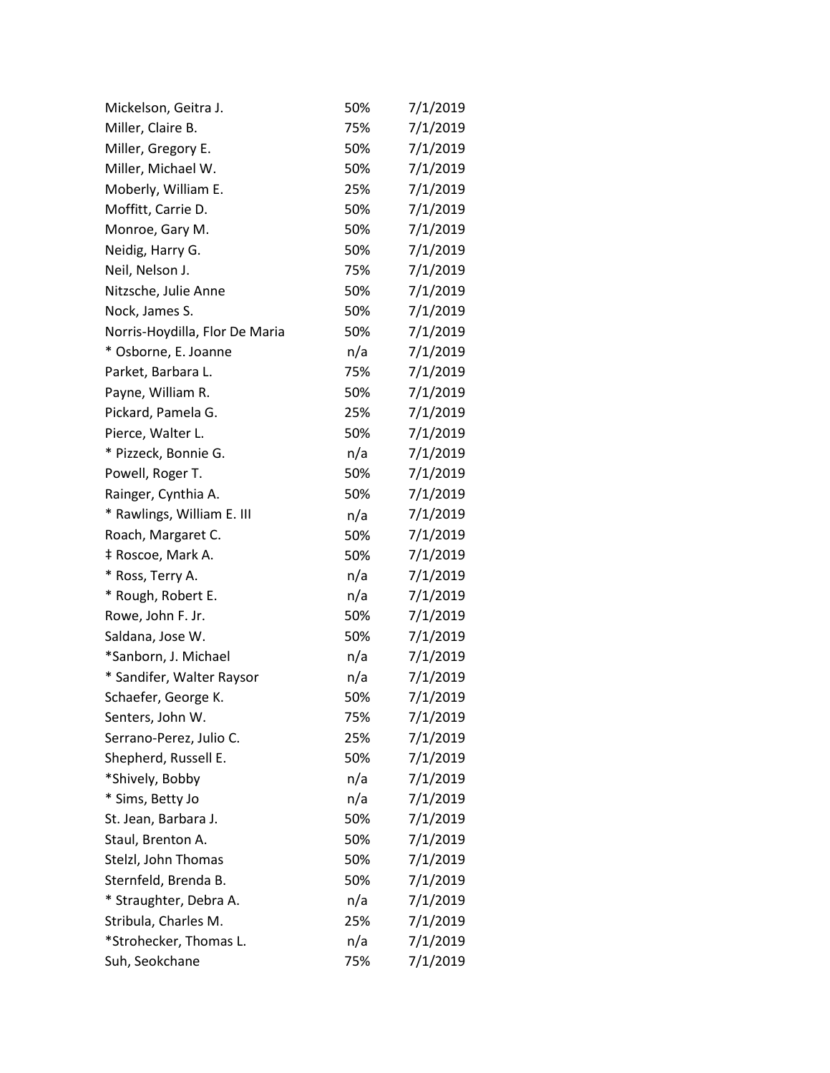| Mickelson, Geitra J.           | 50% | 7/1/2019 |  |
|--------------------------------|-----|----------|--|
| Miller, Claire B.              | 75% | 7/1/2019 |  |
| Miller, Gregory E.             | 50% | 7/1/2019 |  |
| Miller, Michael W.             | 50% | 7/1/2019 |  |
| Moberly, William E.            | 25% | 7/1/2019 |  |
| Moffitt, Carrie D.             | 50% | 7/1/2019 |  |
| Monroe, Gary M.                | 50% | 7/1/2019 |  |
| Neidig, Harry G.               | 50% | 7/1/2019 |  |
| Neil, Nelson J.                | 75% | 7/1/2019 |  |
| Nitzsche, Julie Anne           | 50% | 7/1/2019 |  |
| Nock, James S.                 | 50% | 7/1/2019 |  |
| Norris-Hoydilla, Flor De Maria | 50% | 7/1/2019 |  |
| * Osborne, E. Joanne           | n/a | 7/1/2019 |  |
| Parket, Barbara L.             | 75% | 7/1/2019 |  |
| Payne, William R.              | 50% | 7/1/2019 |  |
| Pickard, Pamela G.             | 25% | 7/1/2019 |  |
| Pierce, Walter L.              | 50% | 7/1/2019 |  |
| * Pizzeck, Bonnie G.           | n/a | 7/1/2019 |  |
| Powell, Roger T.               | 50% | 7/1/2019 |  |
| Rainger, Cynthia A.            | 50% | 7/1/2019 |  |
| * Rawlings, William E. III     | n/a | 7/1/2019 |  |
| Roach, Margaret C.             | 50% | 7/1/2019 |  |
| ‡ Roscoe, Mark A.              | 50% | 7/1/2019 |  |
| * Ross, Terry A.               | n/a | 7/1/2019 |  |
| * Rough, Robert E.             | n/a | 7/1/2019 |  |
| Rowe, John F. Jr.              | 50% | 7/1/2019 |  |
| Saldana, Jose W.               | 50% | 7/1/2019 |  |
| *Sanborn, J. Michael           | n/a | 7/1/2019 |  |
| * Sandifer, Walter Raysor      | n/a | 7/1/2019 |  |
| Schaefer, George K.            | 50% | 7/1/2019 |  |
| Senters, John W.               | 75% | 7/1/2019 |  |
| Serrano-Perez, Julio C.        | 25% | 7/1/2019 |  |
| Shepherd, Russell E.           | 50% | 7/1/2019 |  |
| *Shively, Bobby                | n/a | 7/1/2019 |  |
| * Sims, Betty Jo               | n/a | 7/1/2019 |  |
| St. Jean, Barbara J.           | 50% | 7/1/2019 |  |
| Staul, Brenton A.              | 50% | 7/1/2019 |  |
| Stelzl, John Thomas            | 50% | 7/1/2019 |  |
| Sternfeld, Brenda B.           | 50% | 7/1/2019 |  |
| * Straughter, Debra A.         | n/a | 7/1/2019 |  |
| Stribula, Charles M.           | 25% | 7/1/2019 |  |
| *Strohecker, Thomas L.         | n/a | 7/1/2019 |  |
| Suh, Seokchane                 | 75% | 7/1/2019 |  |